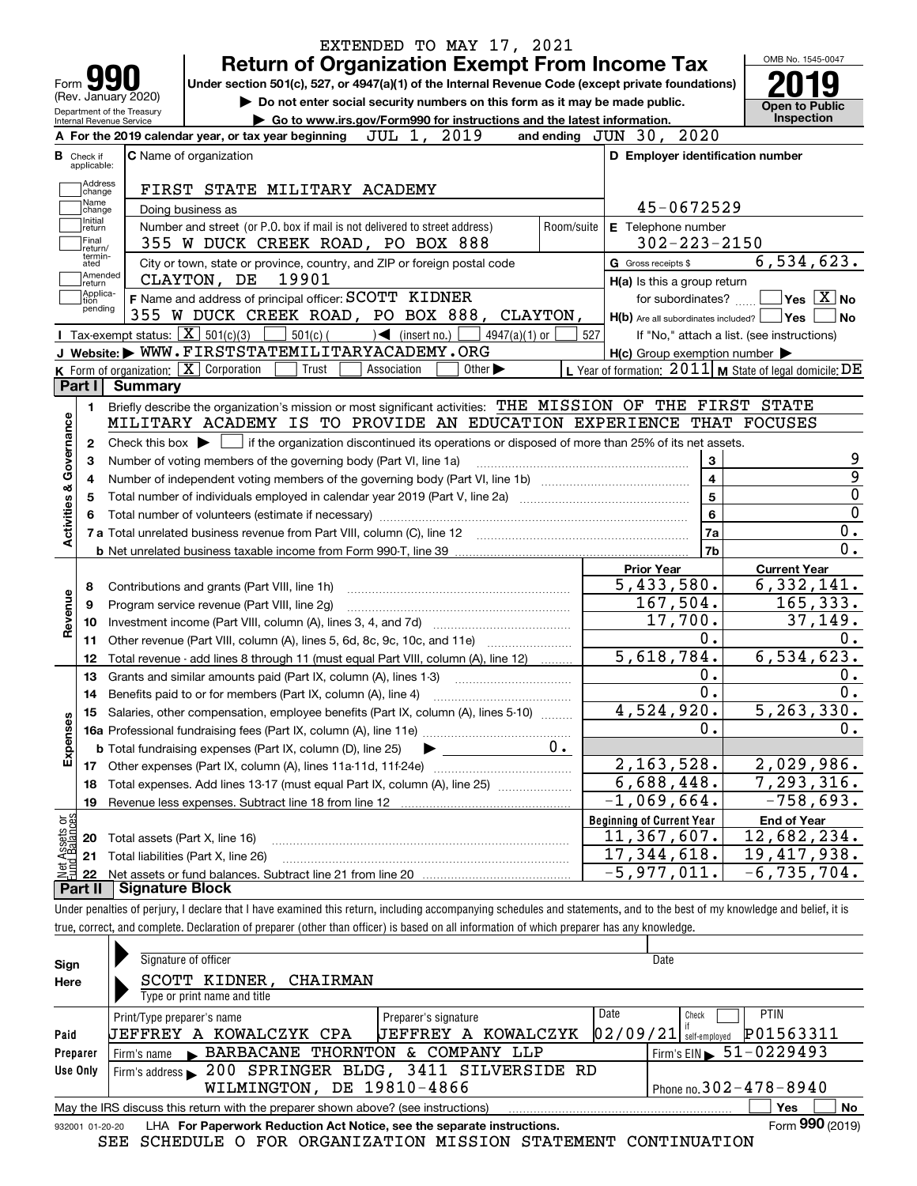| Form JY<br>Under section 501(c), 527, or 4947(a)(1) of the Internal Revenue Code (except private foundations)<br>(Rev. January 2020)<br>Do not enter social security numbers on this form as it may be made public.<br>Department of the Treasury<br>Go to www.irs.gov/Form990 for instructions and the latest information.<br>Internal Revenue Service<br>and ending JUN 30, 2020<br>JUL 1, 2019<br>A For the 2019 calendar year, or tax year beginning<br><b>C</b> Name of organization<br><b>B</b> Check if<br>applicable:<br>Address<br>FIRST STATE MILITARY ACADEMY<br>change<br>Name<br>Doing business as<br>change<br>Initial<br>Number and street (or P.O. box if mail is not delivered to street address)<br>Room/suite<br>return<br> Final<br>355 W DUCK CREEK ROAD, PO BOX 888<br>return/<br>termin-<br>City or town, state or province, country, and ZIP or foreign postal code<br>ated<br>Amended<br>CLAYTON, DE<br>19901<br>∣return<br>Applica-<br>F Name and address of principal officer: SCOTT KIDNER<br>tion<br>pending<br>355 W DUCK CREEK ROAD, PO BOX 888, CLAYTON,<br>Tax-exempt status: $\boxed{\mathbf{X}}$ 501(c)(3) [<br>$501(c)$ $\left( \right)$ $\left( \right)$ (insert no.)<br>$4947(a)(1)$ or<br>527<br>J Website: WWW.FIRSTSTATEMILITARYACADEMY.ORG<br>K Form of organization: $\overline{X}$ Corporation<br>Trust<br>Association<br>Other $\blacktriangleright$<br>Part I<br>Summary<br>Briefly describe the organization's mission or most significant activities: THE MISSION OF THE FIRST STATE<br>1.<br>MILITARY ACADEMY IS TO PROVIDE AN EDUCATION EXPERIENCE THAT FOCUSES<br>Check this box $\blacktriangleright$ $\Box$ if the organization discontinued its operations or disposed of more than 25% of its net assets.<br>2<br>Number of voting members of the governing body (Part VI, line 1a)<br>з<br>4<br>5<br>Contributions and grants (Part VIII, line 1h)<br>8<br>Program service revenue (Part VIII, line 2g)<br>9<br>10<br>Other revenue (Part VIII, column (A), lines 5, 6d, 8c, 9c, 10c, and 11e)<br>11<br>Total revenue - add lines 8 through 11 (must equal Part VIII, column (A), line 12)<br>12<br>13<br>Grants and similar amounts paid (Part IX, column (A), lines 1-3)<br>14<br>15 Salaries, other compensation, employee benefits (Part IX, column (A), lines 5-10)<br>$0$ .<br><b>b</b> Total fundraising expenses (Part IX, column (D), line 25)<br>Other expenses (Part IX, column (A), lines 11a-11d, 11f-24e)<br>17<br>Total expenses. Add lines 13-17 (must equal Part IX, column (A), line 25)<br>18<br>Revenue less expenses. Subtract line 18 from line 12<br>19<br>Total assets (Part X, line 16)<br>20<br>Total liabilities (Part X, line 26)<br>21 | <b>Return of Organization Exempt From Income Tax</b> | OMB No. 1545-0047                                                               |
|-----------------------------------------------------------------------------------------------------------------------------------------------------------------------------------------------------------------------------------------------------------------------------------------------------------------------------------------------------------------------------------------------------------------------------------------------------------------------------------------------------------------------------------------------------------------------------------------------------------------------------------------------------------------------------------------------------------------------------------------------------------------------------------------------------------------------------------------------------------------------------------------------------------------------------------------------------------------------------------------------------------------------------------------------------------------------------------------------------------------------------------------------------------------------------------------------------------------------------------------------------------------------------------------------------------------------------------------------------------------------------------------------------------------------------------------------------------------------------------------------------------------------------------------------------------------------------------------------------------------------------------------------------------------------------------------------------------------------------------------------------------------------------------------------------------------------------------------------------------------------------------------------------------------------------------------------------------------------------------------------------------------------------------------------------------------------------------------------------------------------------------------------------------------------------------------------------------------------------------------------------------------------------------------------------------------------------------------------------------------------------------------------------------------------------------------------------------------------------------------------------------------------------------------------------------------------------------------------------------------------------------------------------------------------------------------------------------------------------|------------------------------------------------------|---------------------------------------------------------------------------------|
|                                                                                                                                                                                                                                                                                                                                                                                                                                                                                                                                                                                                                                                                                                                                                                                                                                                                                                                                                                                                                                                                                                                                                                                                                                                                                                                                                                                                                                                                                                                                                                                                                                                                                                                                                                                                                                                                                                                                                                                                                                                                                                                                                                                                                                                                                                                                                                                                                                                                                                                                                                                                                                                                                                                             |                                                      |                                                                                 |
|                                                                                                                                                                                                                                                                                                                                                                                                                                                                                                                                                                                                                                                                                                                                                                                                                                                                                                                                                                                                                                                                                                                                                                                                                                                                                                                                                                                                                                                                                                                                                                                                                                                                                                                                                                                                                                                                                                                                                                                                                                                                                                                                                                                                                                                                                                                                                                                                                                                                                                                                                                                                                                                                                                                             |                                                      | Open to Public                                                                  |
|                                                                                                                                                                                                                                                                                                                                                                                                                                                                                                                                                                                                                                                                                                                                                                                                                                                                                                                                                                                                                                                                                                                                                                                                                                                                                                                                                                                                                                                                                                                                                                                                                                                                                                                                                                                                                                                                                                                                                                                                                                                                                                                                                                                                                                                                                                                                                                                                                                                                                                                                                                                                                                                                                                                             |                                                      | <b>Inspection</b>                                                               |
|                                                                                                                                                                                                                                                                                                                                                                                                                                                                                                                                                                                                                                                                                                                                                                                                                                                                                                                                                                                                                                                                                                                                                                                                                                                                                                                                                                                                                                                                                                                                                                                                                                                                                                                                                                                                                                                                                                                                                                                                                                                                                                                                                                                                                                                                                                                                                                                                                                                                                                                                                                                                                                                                                                                             |                                                      |                                                                                 |
|                                                                                                                                                                                                                                                                                                                                                                                                                                                                                                                                                                                                                                                                                                                                                                                                                                                                                                                                                                                                                                                                                                                                                                                                                                                                                                                                                                                                                                                                                                                                                                                                                                                                                                                                                                                                                                                                                                                                                                                                                                                                                                                                                                                                                                                                                                                                                                                                                                                                                                                                                                                                                                                                                                                             | D Employer identification number                     |                                                                                 |
|                                                                                                                                                                                                                                                                                                                                                                                                                                                                                                                                                                                                                                                                                                                                                                                                                                                                                                                                                                                                                                                                                                                                                                                                                                                                                                                                                                                                                                                                                                                                                                                                                                                                                                                                                                                                                                                                                                                                                                                                                                                                                                                                                                                                                                                                                                                                                                                                                                                                                                                                                                                                                                                                                                                             |                                                      |                                                                                 |
|                                                                                                                                                                                                                                                                                                                                                                                                                                                                                                                                                                                                                                                                                                                                                                                                                                                                                                                                                                                                                                                                                                                                                                                                                                                                                                                                                                                                                                                                                                                                                                                                                                                                                                                                                                                                                                                                                                                                                                                                                                                                                                                                                                                                                                                                                                                                                                                                                                                                                                                                                                                                                                                                                                                             | 45-0672529                                           |                                                                                 |
|                                                                                                                                                                                                                                                                                                                                                                                                                                                                                                                                                                                                                                                                                                                                                                                                                                                                                                                                                                                                                                                                                                                                                                                                                                                                                                                                                                                                                                                                                                                                                                                                                                                                                                                                                                                                                                                                                                                                                                                                                                                                                                                                                                                                                                                                                                                                                                                                                                                                                                                                                                                                                                                                                                                             | E Telephone number<br>$302 - 223 - 2150$             |                                                                                 |
|                                                                                                                                                                                                                                                                                                                                                                                                                                                                                                                                                                                                                                                                                                                                                                                                                                                                                                                                                                                                                                                                                                                                                                                                                                                                                                                                                                                                                                                                                                                                                                                                                                                                                                                                                                                                                                                                                                                                                                                                                                                                                                                                                                                                                                                                                                                                                                                                                                                                                                                                                                                                                                                                                                                             | G Gross receipts \$                                  | 6,534,623.                                                                      |
|                                                                                                                                                                                                                                                                                                                                                                                                                                                                                                                                                                                                                                                                                                                                                                                                                                                                                                                                                                                                                                                                                                                                                                                                                                                                                                                                                                                                                                                                                                                                                                                                                                                                                                                                                                                                                                                                                                                                                                                                                                                                                                                                                                                                                                                                                                                                                                                                                                                                                                                                                                                                                                                                                                                             | H(a) Is this a group return                          |                                                                                 |
|                                                                                                                                                                                                                                                                                                                                                                                                                                                                                                                                                                                                                                                                                                                                                                                                                                                                                                                                                                                                                                                                                                                                                                                                                                                                                                                                                                                                                                                                                                                                                                                                                                                                                                                                                                                                                                                                                                                                                                                                                                                                                                                                                                                                                                                                                                                                                                                                                                                                                                                                                                                                                                                                                                                             | for subordinates?                                    | $ {\mathsf Y}{\mathsf e}{\mathsf s} \: \mid \! \underline{{\mathsf X}} \:  $ No |
|                                                                                                                                                                                                                                                                                                                                                                                                                                                                                                                                                                                                                                                                                                                                                                                                                                                                                                                                                                                                                                                                                                                                                                                                                                                                                                                                                                                                                                                                                                                                                                                                                                                                                                                                                                                                                                                                                                                                                                                                                                                                                                                                                                                                                                                                                                                                                                                                                                                                                                                                                                                                                                                                                                                             | $H(b)$ Are all subordinates included? $\Box$ Yes     |                                                                                 |
|                                                                                                                                                                                                                                                                                                                                                                                                                                                                                                                                                                                                                                                                                                                                                                                                                                                                                                                                                                                                                                                                                                                                                                                                                                                                                                                                                                                                                                                                                                                                                                                                                                                                                                                                                                                                                                                                                                                                                                                                                                                                                                                                                                                                                                                                                                                                                                                                                                                                                                                                                                                                                                                                                                                             |                                                      | If "No," attach a list. (see instructions)                                      |
|                                                                                                                                                                                                                                                                                                                                                                                                                                                                                                                                                                                                                                                                                                                                                                                                                                                                                                                                                                                                                                                                                                                                                                                                                                                                                                                                                                                                                                                                                                                                                                                                                                                                                                                                                                                                                                                                                                                                                                                                                                                                                                                                                                                                                                                                                                                                                                                                                                                                                                                                                                                                                                                                                                                             | $H(c)$ Group exemption number $\blacktriangleright$  |                                                                                 |
|                                                                                                                                                                                                                                                                                                                                                                                                                                                                                                                                                                                                                                                                                                                                                                                                                                                                                                                                                                                                                                                                                                                                                                                                                                                                                                                                                                                                                                                                                                                                                                                                                                                                                                                                                                                                                                                                                                                                                                                                                                                                                                                                                                                                                                                                                                                                                                                                                                                                                                                                                                                                                                                                                                                             |                                                      | <b>L</b> Year of formation: $2011$ <b>M</b> State of legal domicile: DE         |
|                                                                                                                                                                                                                                                                                                                                                                                                                                                                                                                                                                                                                                                                                                                                                                                                                                                                                                                                                                                                                                                                                                                                                                                                                                                                                                                                                                                                                                                                                                                                                                                                                                                                                                                                                                                                                                                                                                                                                                                                                                                                                                                                                                                                                                                                                                                                                                                                                                                                                                                                                                                                                                                                                                                             |                                                      |                                                                                 |
|                                                                                                                                                                                                                                                                                                                                                                                                                                                                                                                                                                                                                                                                                                                                                                                                                                                                                                                                                                                                                                                                                                                                                                                                                                                                                                                                                                                                                                                                                                                                                                                                                                                                                                                                                                                                                                                                                                                                                                                                                                                                                                                                                                                                                                                                                                                                                                                                                                                                                                                                                                                                                                                                                                                             |                                                      |                                                                                 |
|                                                                                                                                                                                                                                                                                                                                                                                                                                                                                                                                                                                                                                                                                                                                                                                                                                                                                                                                                                                                                                                                                                                                                                                                                                                                                                                                                                                                                                                                                                                                                                                                                                                                                                                                                                                                                                                                                                                                                                                                                                                                                                                                                                                                                                                                                                                                                                                                                                                                                                                                                                                                                                                                                                                             |                                                      |                                                                                 |
|                                                                                                                                                                                                                                                                                                                                                                                                                                                                                                                                                                                                                                                                                                                                                                                                                                                                                                                                                                                                                                                                                                                                                                                                                                                                                                                                                                                                                                                                                                                                                                                                                                                                                                                                                                                                                                                                                                                                                                                                                                                                                                                                                                                                                                                                                                                                                                                                                                                                                                                                                                                                                                                                                                                             |                                                      |                                                                                 |
|                                                                                                                                                                                                                                                                                                                                                                                                                                                                                                                                                                                                                                                                                                                                                                                                                                                                                                                                                                                                                                                                                                                                                                                                                                                                                                                                                                                                                                                                                                                                                                                                                                                                                                                                                                                                                                                                                                                                                                                                                                                                                                                                                                                                                                                                                                                                                                                                                                                                                                                                                                                                                                                                                                                             |                                                      |                                                                                 |
|                                                                                                                                                                                                                                                                                                                                                                                                                                                                                                                                                                                                                                                                                                                                                                                                                                                                                                                                                                                                                                                                                                                                                                                                                                                                                                                                                                                                                                                                                                                                                                                                                                                                                                                                                                                                                                                                                                                                                                                                                                                                                                                                                                                                                                                                                                                                                                                                                                                                                                                                                                                                                                                                                                                             | 3                                                    |                                                                                 |
|                                                                                                                                                                                                                                                                                                                                                                                                                                                                                                                                                                                                                                                                                                                                                                                                                                                                                                                                                                                                                                                                                                                                                                                                                                                                                                                                                                                                                                                                                                                                                                                                                                                                                                                                                                                                                                                                                                                                                                                                                                                                                                                                                                                                                                                                                                                                                                                                                                                                                                                                                                                                                                                                                                                             | $\overline{\mathbf{4}}$                              |                                                                                 |
|                                                                                                                                                                                                                                                                                                                                                                                                                                                                                                                                                                                                                                                                                                                                                                                                                                                                                                                                                                                                                                                                                                                                                                                                                                                                                                                                                                                                                                                                                                                                                                                                                                                                                                                                                                                                                                                                                                                                                                                                                                                                                                                                                                                                                                                                                                                                                                                                                                                                                                                                                                                                                                                                                                                             | 5                                                    |                                                                                 |
|                                                                                                                                                                                                                                                                                                                                                                                                                                                                                                                                                                                                                                                                                                                                                                                                                                                                                                                                                                                                                                                                                                                                                                                                                                                                                                                                                                                                                                                                                                                                                                                                                                                                                                                                                                                                                                                                                                                                                                                                                                                                                                                                                                                                                                                                                                                                                                                                                                                                                                                                                                                                                                                                                                                             | 6                                                    |                                                                                 |
|                                                                                                                                                                                                                                                                                                                                                                                                                                                                                                                                                                                                                                                                                                                                                                                                                                                                                                                                                                                                                                                                                                                                                                                                                                                                                                                                                                                                                                                                                                                                                                                                                                                                                                                                                                                                                                                                                                                                                                                                                                                                                                                                                                                                                                                                                                                                                                                                                                                                                                                                                                                                                                                                                                                             | 7a                                                   |                                                                                 |
|                                                                                                                                                                                                                                                                                                                                                                                                                                                                                                                                                                                                                                                                                                                                                                                                                                                                                                                                                                                                                                                                                                                                                                                                                                                                                                                                                                                                                                                                                                                                                                                                                                                                                                                                                                                                                                                                                                                                                                                                                                                                                                                                                                                                                                                                                                                                                                                                                                                                                                                                                                                                                                                                                                                             | 7b                                                   |                                                                                 |
|                                                                                                                                                                                                                                                                                                                                                                                                                                                                                                                                                                                                                                                                                                                                                                                                                                                                                                                                                                                                                                                                                                                                                                                                                                                                                                                                                                                                                                                                                                                                                                                                                                                                                                                                                                                                                                                                                                                                                                                                                                                                                                                                                                                                                                                                                                                                                                                                                                                                                                                                                                                                                                                                                                                             | <b>Prior Year</b>                                    | <b>Current Year</b>                                                             |
|                                                                                                                                                                                                                                                                                                                                                                                                                                                                                                                                                                                                                                                                                                                                                                                                                                                                                                                                                                                                                                                                                                                                                                                                                                                                                                                                                                                                                                                                                                                                                                                                                                                                                                                                                                                                                                                                                                                                                                                                                                                                                                                                                                                                                                                                                                                                                                                                                                                                                                                                                                                                                                                                                                                             | 5,433,580.                                           | 6,332,141.                                                                      |
|                                                                                                                                                                                                                                                                                                                                                                                                                                                                                                                                                                                                                                                                                                                                                                                                                                                                                                                                                                                                                                                                                                                                                                                                                                                                                                                                                                                                                                                                                                                                                                                                                                                                                                                                                                                                                                                                                                                                                                                                                                                                                                                                                                                                                                                                                                                                                                                                                                                                                                                                                                                                                                                                                                                             | 167,504.                                             | 165, 333.                                                                       |
|                                                                                                                                                                                                                                                                                                                                                                                                                                                                                                                                                                                                                                                                                                                                                                                                                                                                                                                                                                                                                                                                                                                                                                                                                                                                                                                                                                                                                                                                                                                                                                                                                                                                                                                                                                                                                                                                                                                                                                                                                                                                                                                                                                                                                                                                                                                                                                                                                                                                                                                                                                                                                                                                                                                             | 17,700.                                              | 37,149.                                                                         |
|                                                                                                                                                                                                                                                                                                                                                                                                                                                                                                                                                                                                                                                                                                                                                                                                                                                                                                                                                                                                                                                                                                                                                                                                                                                                                                                                                                                                                                                                                                                                                                                                                                                                                                                                                                                                                                                                                                                                                                                                                                                                                                                                                                                                                                                                                                                                                                                                                                                                                                                                                                                                                                                                                                                             | 0.                                                   |                                                                                 |
|                                                                                                                                                                                                                                                                                                                                                                                                                                                                                                                                                                                                                                                                                                                                                                                                                                                                                                                                                                                                                                                                                                                                                                                                                                                                                                                                                                                                                                                                                                                                                                                                                                                                                                                                                                                                                                                                                                                                                                                                                                                                                                                                                                                                                                                                                                                                                                                                                                                                                                                                                                                                                                                                                                                             | 5,618,784.                                           | 6,534,623.                                                                      |
|                                                                                                                                                                                                                                                                                                                                                                                                                                                                                                                                                                                                                                                                                                                                                                                                                                                                                                                                                                                                                                                                                                                                                                                                                                                                                                                                                                                                                                                                                                                                                                                                                                                                                                                                                                                                                                                                                                                                                                                                                                                                                                                                                                                                                                                                                                                                                                                                                                                                                                                                                                                                                                                                                                                             | 0.                                                   |                                                                                 |
|                                                                                                                                                                                                                                                                                                                                                                                                                                                                                                                                                                                                                                                                                                                                                                                                                                                                                                                                                                                                                                                                                                                                                                                                                                                                                                                                                                                                                                                                                                                                                                                                                                                                                                                                                                                                                                                                                                                                                                                                                                                                                                                                                                                                                                                                                                                                                                                                                                                                                                                                                                                                                                                                                                                             | 0.                                                   |                                                                                 |
|                                                                                                                                                                                                                                                                                                                                                                                                                                                                                                                                                                                                                                                                                                                                                                                                                                                                                                                                                                                                                                                                                                                                                                                                                                                                                                                                                                                                                                                                                                                                                                                                                                                                                                                                                                                                                                                                                                                                                                                                                                                                                                                                                                                                                                                                                                                                                                                                                                                                                                                                                                                                                                                                                                                             | 4,524,920.                                           | 5, 263, 330.                                                                    |
|                                                                                                                                                                                                                                                                                                                                                                                                                                                                                                                                                                                                                                                                                                                                                                                                                                                                                                                                                                                                                                                                                                                                                                                                                                                                                                                                                                                                                                                                                                                                                                                                                                                                                                                                                                                                                                                                                                                                                                                                                                                                                                                                                                                                                                                                                                                                                                                                                                                                                                                                                                                                                                                                                                                             | 0.                                                   |                                                                                 |
|                                                                                                                                                                                                                                                                                                                                                                                                                                                                                                                                                                                                                                                                                                                                                                                                                                                                                                                                                                                                                                                                                                                                                                                                                                                                                                                                                                                                                                                                                                                                                                                                                                                                                                                                                                                                                                                                                                                                                                                                                                                                                                                                                                                                                                                                                                                                                                                                                                                                                                                                                                                                                                                                                                                             |                                                      |                                                                                 |
|                                                                                                                                                                                                                                                                                                                                                                                                                                                                                                                                                                                                                                                                                                                                                                                                                                                                                                                                                                                                                                                                                                                                                                                                                                                                                                                                                                                                                                                                                                                                                                                                                                                                                                                                                                                                                                                                                                                                                                                                                                                                                                                                                                                                                                                                                                                                                                                                                                                                                                                                                                                                                                                                                                                             |                                                      |                                                                                 |
|                                                                                                                                                                                                                                                                                                                                                                                                                                                                                                                                                                                                                                                                                                                                                                                                                                                                                                                                                                                                                                                                                                                                                                                                                                                                                                                                                                                                                                                                                                                                                                                                                                                                                                                                                                                                                                                                                                                                                                                                                                                                                                                                                                                                                                                                                                                                                                                                                                                                                                                                                                                                                                                                                                                             | 2, 163, 528.                                         | 2,029,986.                                                                      |
|                                                                                                                                                                                                                                                                                                                                                                                                                                                                                                                                                                                                                                                                                                                                                                                                                                                                                                                                                                                                                                                                                                                                                                                                                                                                                                                                                                                                                                                                                                                                                                                                                                                                                                                                                                                                                                                                                                                                                                                                                                                                                                                                                                                                                                                                                                                                                                                                                                                                                                                                                                                                                                                                                                                             | 6,688,448.                                           | 7, 293, 316.                                                                    |
|                                                                                                                                                                                                                                                                                                                                                                                                                                                                                                                                                                                                                                                                                                                                                                                                                                                                                                                                                                                                                                                                                                                                                                                                                                                                                                                                                                                                                                                                                                                                                                                                                                                                                                                                                                                                                                                                                                                                                                                                                                                                                                                                                                                                                                                                                                                                                                                                                                                                                                                                                                                                                                                                                                                             | $-1,069,664.$                                        | $-758,693.$                                                                     |
|                                                                                                                                                                                                                                                                                                                                                                                                                                                                                                                                                                                                                                                                                                                                                                                                                                                                                                                                                                                                                                                                                                                                                                                                                                                                                                                                                                                                                                                                                                                                                                                                                                                                                                                                                                                                                                                                                                                                                                                                                                                                                                                                                                                                                                                                                                                                                                                                                                                                                                                                                                                                                                                                                                                             | <b>Beginning of Current Year</b>                     | <b>End of Year</b>                                                              |
|                                                                                                                                                                                                                                                                                                                                                                                                                                                                                                                                                                                                                                                                                                                                                                                                                                                                                                                                                                                                                                                                                                                                                                                                                                                                                                                                                                                                                                                                                                                                                                                                                                                                                                                                                                                                                                                                                                                                                                                                                                                                                                                                                                                                                                                                                                                                                                                                                                                                                                                                                                                                                                                                                                                             | 11, 367, 607.                                        | 12,682,234.                                                                     |
|                                                                                                                                                                                                                                                                                                                                                                                                                                                                                                                                                                                                                                                                                                                                                                                                                                                                                                                                                                                                                                                                                                                                                                                                                                                                                                                                                                                                                                                                                                                                                                                                                                                                                                                                                                                                                                                                                                                                                                                                                                                                                                                                                                                                                                                                                                                                                                                                                                                                                                                                                                                                                                                                                                                             | 17, 344, 618.                                        | 19,417,938.                                                                     |
| 22                                                                                                                                                                                                                                                                                                                                                                                                                                                                                                                                                                                                                                                                                                                                                                                                                                                                                                                                                                                                                                                                                                                                                                                                                                                                                                                                                                                                                                                                                                                                                                                                                                                                                                                                                                                                                                                                                                                                                                                                                                                                                                                                                                                                                                                                                                                                                                                                                                                                                                                                                                                                                                                                                                                          | $-5,977,011.$                                        | $-6, 735, 704.$                                                                 |
| Part II<br><b>Signature Block</b>                                                                                                                                                                                                                                                                                                                                                                                                                                                                                                                                                                                                                                                                                                                                                                                                                                                                                                                                                                                                                                                                                                                                                                                                                                                                                                                                                                                                                                                                                                                                                                                                                                                                                                                                                                                                                                                                                                                                                                                                                                                                                                                                                                                                                                                                                                                                                                                                                                                                                                                                                                                                                                                                                           |                                                      |                                                                                 |
| Under penalties of perjury, I declare that I have examined this return, including accompanying schedules and statements, and to the best of my knowledge and belief, it is                                                                                                                                                                                                                                                                                                                                                                                                                                                                                                                                                                                                                                                                                                                                                                                                                                                                                                                                                                                                                                                                                                                                                                                                                                                                                                                                                                                                                                                                                                                                                                                                                                                                                                                                                                                                                                                                                                                                                                                                                                                                                                                                                                                                                                                                                                                                                                                                                                                                                                                                                  |                                                      |                                                                                 |

| Sign     | Signature of officer                                                                                         |                                  | Date                                     |  |  |  |  |  |  |  |  |  |
|----------|--------------------------------------------------------------------------------------------------------------|----------------------------------|------------------------------------------|--|--|--|--|--|--|--|--|--|
| Here     | SCOTT KIDNER,<br>CHAIRMAN                                                                                    |                                  |                                          |  |  |  |  |  |  |  |  |  |
|          | Type or print name and title                                                                                 |                                  |                                          |  |  |  |  |  |  |  |  |  |
|          | Print/Type preparer's name                                                                                   | Preparer's signature             | Date<br><b>PTIN</b><br>Check             |  |  |  |  |  |  |  |  |  |
| Paid     | A KOWALCZYK CPA<br>UEFFREY                                                                                   | KOWALCZYK<br><b>UEFFREY</b><br>A | P01563311<br> 02/09/21 <br>self-emploved |  |  |  |  |  |  |  |  |  |
| Preparer | THORNTON<br><b>BARBACANE</b><br>Firm's name $\blacktriangleright$                                            | COMPANY LLP<br>&.                | $!\text{Firm's EIN} > 51 - 0229493$      |  |  |  |  |  |  |  |  |  |
| Use Only | Firm's address 200 SPRINGER BLDG, 3411 SILVERSIDE RD                                                         |                                  |                                          |  |  |  |  |  |  |  |  |  |
|          | Phone no. $302 - 478 - 8940$<br>WILMINGTON, DE 19810-4866                                                    |                                  |                                          |  |  |  |  |  |  |  |  |  |
|          | May the IRS discuss this return with the preparer shown above? (see instructions)                            |                                  | No<br>Yes                                |  |  |  |  |  |  |  |  |  |
|          | Form 990 (2019)<br>LHA For Paperwork Reduction Act Notice, see the separate instructions.<br>932001 01-20-20 |                                  |                                          |  |  |  |  |  |  |  |  |  |

SEE SCHEDULE O FOR ORGANIZATION MISSION STATEMENT CONTINUATION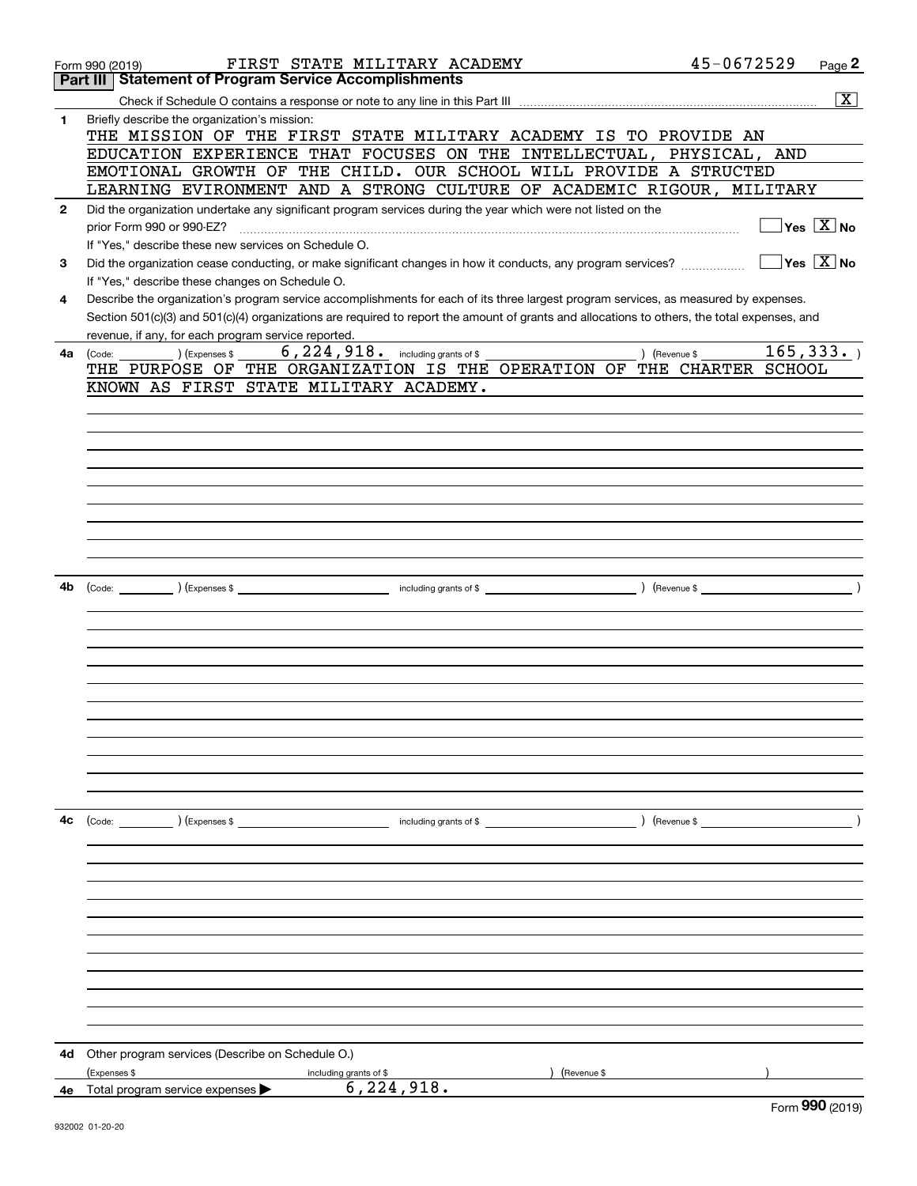|              | FIRST STATE MILITARY ACADEMY<br>Form 990 (2019)                                                                                              | 45-0672529    | Page 2                                    |
|--------------|----------------------------------------------------------------------------------------------------------------------------------------------|---------------|-------------------------------------------|
|              | <b>Statement of Program Service Accomplishments</b><br>Part III                                                                              |               |                                           |
|              |                                                                                                                                              |               | $\overline{\mathbf{X}}$                   |
| 1            | Briefly describe the organization's mission:<br>THE MISSION OF THE FIRST STATE MILITARY ACADEMY IS TO PROVIDE AN                             |               |                                           |
|              | EDUCATION EXPERIENCE THAT FOCUSES ON THE INTELLECTUAL, PHYSICAL,                                                                             | AND           |                                           |
|              | EMOTIONAL GROWTH OF THE CHILD. OUR SCHOOL WILL PROVIDE A STRUCTED                                                                            |               |                                           |
|              | LEARNING EVIRONMENT AND A STRONG CULTURE OF ACADEMIC RIGOUR, MILITARY                                                                        |               |                                           |
| $\mathbf{2}$ | Did the organization undertake any significant program services during the year which were not listed on the                                 |               |                                           |
|              | prior Form 990 or 990-EZ?                                                                                                                    |               | $Yes \quad X$ No                          |
|              | If "Yes," describe these new services on Schedule O.                                                                                         |               |                                           |
| 3            | Did the organization cease conducting, or make significant changes in how it conducts, any program services?                                 |               | $\overline{\ }$ Yes $\overline{\ \ X}$ No |
|              | If "Yes," describe these changes on Schedule O.                                                                                              |               |                                           |
| 4            | Describe the organization's program service accomplishments for each of its three largest program services, as measured by expenses.         |               |                                           |
|              | Section 501(c)(3) and 501(c)(4) organizations are required to report the amount of grants and allocations to others, the total expenses, and |               |                                           |
|              | revenue, if any, for each program service reported.                                                                                          |               |                                           |
| 4a           | $6,224,918$ . including grants of \$<br>) (Expenses \$<br>(Code:                                                                             | ) (Revenue \$ | 165, 333.                                 |
|              | THE PURPOSE OF THE ORGANIZATION IS THE OPERATION OF THE CHARTER SCHOOL                                                                       |               |                                           |
|              | KNOWN AS FIRST STATE MILITARY ACADEMY.                                                                                                       |               |                                           |
|              |                                                                                                                                              |               |                                           |
|              |                                                                                                                                              |               |                                           |
|              |                                                                                                                                              |               |                                           |
|              |                                                                                                                                              |               |                                           |
|              |                                                                                                                                              |               |                                           |
|              |                                                                                                                                              |               |                                           |
|              |                                                                                                                                              |               |                                           |
|              |                                                                                                                                              |               |                                           |
|              |                                                                                                                                              |               |                                           |
|              |                                                                                                                                              |               |                                           |
| 4b           |                                                                                                                                              |               |                                           |
|              |                                                                                                                                              |               |                                           |
|              |                                                                                                                                              |               |                                           |
|              |                                                                                                                                              |               |                                           |
|              |                                                                                                                                              |               |                                           |
|              |                                                                                                                                              |               |                                           |
|              |                                                                                                                                              |               |                                           |
|              |                                                                                                                                              |               |                                           |
|              |                                                                                                                                              |               |                                           |
|              |                                                                                                                                              |               |                                           |
|              |                                                                                                                                              |               |                                           |
|              |                                                                                                                                              |               |                                           |
| 4c           | (Code: ) (Expenses \$<br>including grants of \$                                                                                              | (Revenue \$   |                                           |
|              |                                                                                                                                              |               |                                           |
|              |                                                                                                                                              |               |                                           |
|              |                                                                                                                                              |               |                                           |
|              |                                                                                                                                              |               |                                           |
|              |                                                                                                                                              |               |                                           |
|              |                                                                                                                                              |               |                                           |
|              |                                                                                                                                              |               |                                           |
|              |                                                                                                                                              |               |                                           |
|              |                                                                                                                                              |               |                                           |
|              |                                                                                                                                              |               |                                           |
|              |                                                                                                                                              |               |                                           |
|              |                                                                                                                                              |               |                                           |
| 4d           | Other program services (Describe on Schedule O.)                                                                                             |               |                                           |
|              | (Expenses \$<br>(Revenue \$<br>including grants of \$<br>6, 224, 918.                                                                        |               |                                           |
|              | <b>4e</b> Total program service expenses $\blacktriangleright$                                                                               |               | $F_{\text{Orm}}$ 990 (2019)               |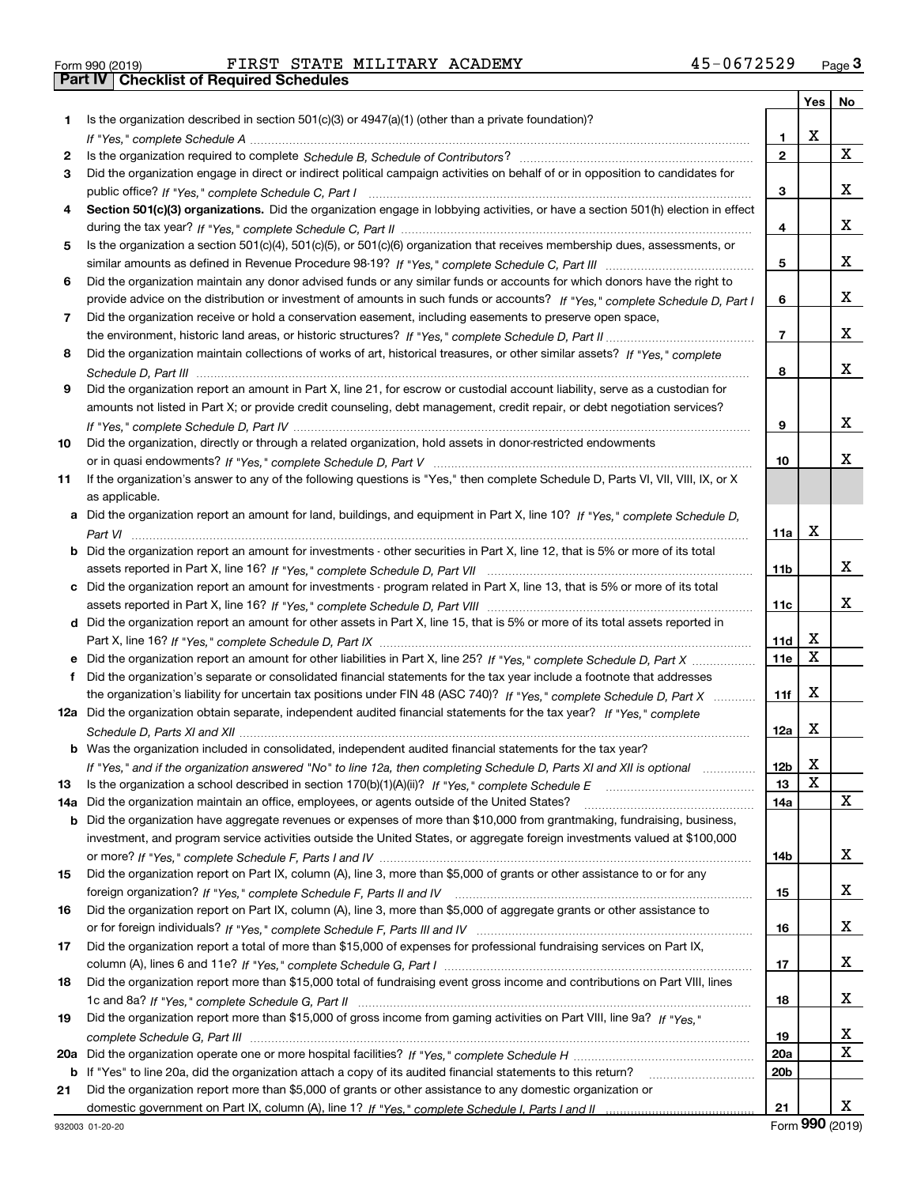| Form 990 (2019) |  |  |
|-----------------|--|--|

Form 990 (2019) FIRST STATE MILITARY ACADEMY 45-0672529 <sub>Page</sub> 3<br>**Part IV | Checklist of Required Schedules** 

|     |                                                                                                                                  |                 | Yes | No          |
|-----|----------------------------------------------------------------------------------------------------------------------------------|-----------------|-----|-------------|
| 1.  | Is the organization described in section $501(c)(3)$ or $4947(a)(1)$ (other than a private foundation)?                          |                 |     |             |
|     |                                                                                                                                  | 1.              | х   |             |
| 2   |                                                                                                                                  | $\overline{2}$  |     | X           |
| 3   | Did the organization engage in direct or indirect political campaign activities on behalf of or in opposition to candidates for  |                 |     |             |
|     |                                                                                                                                  | 3               |     | х           |
| 4   | Section 501(c)(3) organizations. Did the organization engage in lobbying activities, or have a section 501(h) election in effect |                 |     |             |
|     |                                                                                                                                  | 4               |     | х           |
| 5.  | Is the organization a section 501(c)(4), 501(c)(5), or 501(c)(6) organization that receives membership dues, assessments, or     |                 |     |             |
|     |                                                                                                                                  | 5               |     | х           |
| 6   | Did the organization maintain any donor advised funds or any similar funds or accounts for which donors have the right to        |                 |     |             |
|     | provide advice on the distribution or investment of amounts in such funds or accounts? If "Yes," complete Schedule D, Part I     | 6               |     | х           |
| 7   | Did the organization receive or hold a conservation easement, including easements to preserve open space,                        |                 |     |             |
|     |                                                                                                                                  | $\overline{7}$  |     | х           |
| 8   | Did the organization maintain collections of works of art, historical treasures, or other similar assets? If "Yes," complete     |                 |     |             |
|     |                                                                                                                                  | 8               |     | х           |
| 9   | Did the organization report an amount in Part X, line 21, for escrow or custodial account liability, serve as a custodian for    |                 |     |             |
|     | amounts not listed in Part X; or provide credit counseling, debt management, credit repair, or debt negotiation services?        |                 |     | х           |
|     |                                                                                                                                  | 9               |     |             |
| 10  | Did the organization, directly or through a related organization, hold assets in donor-restricted endowments                     | 10              |     | x           |
| 11  | If the organization's answer to any of the following questions is "Yes," then complete Schedule D, Parts VI, VII, VIII, IX, or X |                 |     |             |
|     | as applicable.                                                                                                                   |                 |     |             |
| a   | Did the organization report an amount for land, buildings, and equipment in Part X, line 10? If "Yes." complete Schedule D.      |                 |     |             |
|     |                                                                                                                                  | 11a             | X   |             |
| b   | Did the organization report an amount for investments - other securities in Part X, line 12, that is 5% or more of its total     |                 |     |             |
|     |                                                                                                                                  | 11 <sub>b</sub> |     | х           |
| c   | Did the organization report an amount for investments - program related in Part X, line 13, that is 5% or more of its total      |                 |     |             |
|     |                                                                                                                                  | 11c             |     | х           |
|     | d Did the organization report an amount for other assets in Part X, line 15, that is 5% or more of its total assets reported in  |                 |     |             |
|     |                                                                                                                                  | 11d             | х   |             |
|     |                                                                                                                                  | 11e             | X   |             |
| f   | Did the organization's separate or consolidated financial statements for the tax year include a footnote that addresses          |                 |     |             |
|     | the organization's liability for uncertain tax positions under FIN 48 (ASC 740)? If "Yes," complete Schedule D, Part X           | 11f             | X   |             |
|     | 12a Did the organization obtain separate, independent audited financial statements for the tax year? If "Yes," complete          |                 |     |             |
|     |                                                                                                                                  | 12a             | X   |             |
|     | <b>b</b> Was the organization included in consolidated, independent audited financial statements for the tax year?               |                 |     |             |
|     | If "Yes," and if the organization answered "No" to line 12a, then completing Schedule D, Parts XI and XII is optional            | 12D             | X   |             |
| 13  | Is the organization a school described in section $170(b)(1)(A)(ii)?$ If "Yes," complete Schedule E                              | 13              | X   |             |
| 14a | Did the organization maintain an office, employees, or agents outside of the United States?                                      | 14a             |     | х           |
| b   | Did the organization have aggregate revenues or expenses of more than \$10,000 from grantmaking, fundraising, business,          |                 |     |             |
|     | investment, and program service activities outside the United States, or aggregate foreign investments valued at \$100,000       |                 |     |             |
|     |                                                                                                                                  | 14b             |     | X           |
| 15  | Did the organization report on Part IX, column (A), line 3, more than \$5,000 of grants or other assistance to or for any        |                 |     |             |
|     |                                                                                                                                  | 15              |     | x           |
| 16  | Did the organization report on Part IX, column (A), line 3, more than \$5,000 of aggregate grants or other assistance to         |                 |     |             |
|     |                                                                                                                                  | 16              |     | x           |
| 17  | Did the organization report a total of more than \$15,000 of expenses for professional fundraising services on Part IX,          |                 |     | x           |
|     | Did the organization report more than \$15,000 total of fundraising event gross income and contributions on Part VIII, lines     | 17              |     |             |
| 18  |                                                                                                                                  |                 |     | x           |
| 19  | Did the organization report more than \$15,000 of gross income from gaming activities on Part VIII, line 9a? If "Yes."           | 18              |     |             |
|     |                                                                                                                                  | 19              |     | х           |
| 20a |                                                                                                                                  | <b>20a</b>      |     | $\mathbf X$ |
|     | b If "Yes" to line 20a, did the organization attach a copy of its audited financial statements to this return?                   | 20 <sub>b</sub> |     |             |
| 21  | Did the organization report more than \$5,000 of grants or other assistance to any domestic organization or                      |                 |     |             |
|     |                                                                                                                                  | 21              |     | x           |
|     |                                                                                                                                  |                 |     |             |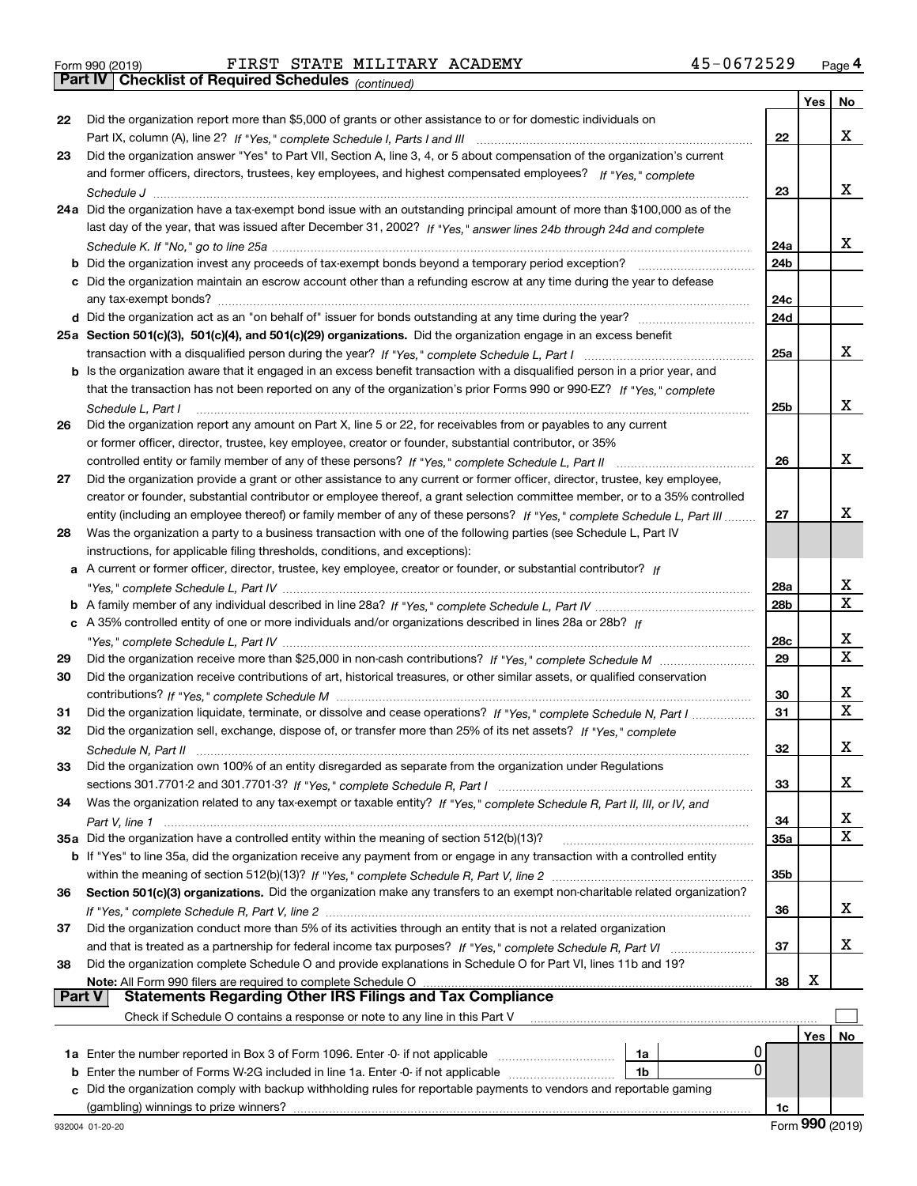Form 990 (2019) FIRST STATE MILITARY ACADEMY 45-0672529 <sub>Page</sub> 4<br>**Part IV | Checklist of Required Schedules** <sub>(continued)</sub>

*(continued)*

|               |                                                                                                                                                                                                                                                         |                 | Yes | No     |
|---------------|---------------------------------------------------------------------------------------------------------------------------------------------------------------------------------------------------------------------------------------------------------|-----------------|-----|--------|
| 22            | Did the organization report more than \$5,000 of grants or other assistance to or for domestic individuals on                                                                                                                                           |                 |     |        |
|               |                                                                                                                                                                                                                                                         | 22              |     | x      |
| 23            | Did the organization answer "Yes" to Part VII, Section A, line 3, 4, or 5 about compensation of the organization's current                                                                                                                              |                 |     |        |
|               | and former officers, directors, trustees, key employees, and highest compensated employees? If "Yes." complete                                                                                                                                          |                 |     |        |
|               |                                                                                                                                                                                                                                                         | 23              |     | x      |
|               | 24a Did the organization have a tax-exempt bond issue with an outstanding principal amount of more than \$100,000 as of the                                                                                                                             |                 |     |        |
|               | last day of the year, that was issued after December 31, 2002? If "Yes," answer lines 24b through 24d and complete                                                                                                                                      |                 |     | x      |
|               |                                                                                                                                                                                                                                                         | 24a             |     |        |
|               | <b>b</b> Did the organization invest any proceeds of tax-exempt bonds beyond a temporary period exception? <i>mmmmmmmmmmm</i><br>c Did the organization maintain an escrow account other than a refunding escrow at any time during the year to defease | 24b             |     |        |
|               |                                                                                                                                                                                                                                                         | 24c             |     |        |
|               |                                                                                                                                                                                                                                                         | 24d             |     |        |
|               | 25a Section 501(c)(3), 501(c)(4), and 501(c)(29) organizations. Did the organization engage in an excess benefit                                                                                                                                        |                 |     |        |
|               |                                                                                                                                                                                                                                                         | 25a             |     | x      |
|               | b Is the organization aware that it engaged in an excess benefit transaction with a disqualified person in a prior year, and                                                                                                                            |                 |     |        |
|               | that the transaction has not been reported on any of the organization's prior Forms 990 or 990-EZ? If "Yes," complete                                                                                                                                   |                 |     |        |
|               | Schedule L. Part I                                                                                                                                                                                                                                      | 25b             |     | x      |
| 26            | Did the organization report any amount on Part X, line 5 or 22, for receivables from or payables to any current                                                                                                                                         |                 |     |        |
|               | or former officer, director, trustee, key employee, creator or founder, substantial contributor, or 35%                                                                                                                                                 |                 |     |        |
|               | controlled entity or family member of any of these persons? If "Yes," complete Schedule L, Part II                                                                                                                                                      | 26              |     | x      |
| 27            | Did the organization provide a grant or other assistance to any current or former officer, director, trustee, key employee,                                                                                                                             |                 |     |        |
|               | creator or founder, substantial contributor or employee thereof, a grant selection committee member, or to a 35% controlled                                                                                                                             |                 |     |        |
|               | entity (including an employee thereof) or family member of any of these persons? If "Yes." complete Schedule L. Part III                                                                                                                                | 27              |     | x      |
| 28            | Was the organization a party to a business transaction with one of the following parties (see Schedule L, Part IV                                                                                                                                       |                 |     |        |
|               | instructions, for applicable filing thresholds, conditions, and exceptions):                                                                                                                                                                            |                 |     |        |
|               | a A current or former officer, director, trustee, key employee, creator or founder, or substantial contributor? If                                                                                                                                      |                 |     |        |
|               |                                                                                                                                                                                                                                                         | 28a             |     | х<br>X |
|               |                                                                                                                                                                                                                                                         | 28 <sub>b</sub> |     |        |
|               | c A 35% controlled entity of one or more individuals and/or organizations described in lines 28a or 28b? If                                                                                                                                             | 28c             |     | х      |
| 29            |                                                                                                                                                                                                                                                         | 29              |     | x      |
| 30            | Did the organization receive contributions of art, historical treasures, or other similar assets, or qualified conservation                                                                                                                             |                 |     |        |
|               |                                                                                                                                                                                                                                                         | 30              |     | x      |
| 31            | Did the organization liquidate, terminate, or dissolve and cease operations? If "Yes," complete Schedule N, Part I                                                                                                                                      | 31              |     | X      |
| 32            | Did the organization sell, exchange, dispose of, or transfer more than 25% of its net assets? If "Yes," complete                                                                                                                                        |                 |     |        |
|               |                                                                                                                                                                                                                                                         | 32              |     | x      |
| 33            | Did the organization own 100% of an entity disregarded as separate from the organization under Regulations                                                                                                                                              |                 |     |        |
|               |                                                                                                                                                                                                                                                         | 33              |     | x      |
| 34            | Was the organization related to any tax-exempt or taxable entity? If "Yes," complete Schedule R, Part II, III, or IV, and                                                                                                                               |                 |     |        |
|               |                                                                                                                                                                                                                                                         | 34              |     | X      |
|               | 35a Did the organization have a controlled entity within the meaning of section 512(b)(13)?                                                                                                                                                             | 35a             |     | X      |
|               | b If "Yes" to line 35a, did the organization receive any payment from or engage in any transaction with a controlled entity                                                                                                                             |                 |     |        |
|               |                                                                                                                                                                                                                                                         | 35b             |     |        |
| 36            | Section 501(c)(3) organizations. Did the organization make any transfers to an exempt non-charitable related organization?                                                                                                                              |                 |     |        |
|               |                                                                                                                                                                                                                                                         | 36              |     | X.     |
| 37            | Did the organization conduct more than 5% of its activities through an entity that is not a related organization                                                                                                                                        |                 |     |        |
|               |                                                                                                                                                                                                                                                         | 37              |     | X.     |
| 38            | Did the organization complete Schedule O and provide explanations in Schedule O for Part VI, lines 11b and 19?                                                                                                                                          |                 |     |        |
| <b>Part V</b> | Note: All Form 990 filers are required to complete Schedule O<br><b>Statements Regarding Other IRS Filings and Tax Compliance</b>                                                                                                                       | 38              | х   |        |
|               | Check if Schedule O contains a response or note to any line in this Part V                                                                                                                                                                              |                 |     |        |
|               |                                                                                                                                                                                                                                                         |                 | Yes | No     |
|               | <b>1a</b> Enter the number reported in Box 3 of Form 1096. Enter -0- if not applicable<br>1a                                                                                                                                                            |                 |     |        |
| b             | 0<br>Enter the number of Forms W-2G included in line 1a. Enter -0- if not applicable<br>1b                                                                                                                                                              |                 |     |        |
| с             | Did the organization comply with backup withholding rules for reportable payments to vendors and reportable gaming                                                                                                                                      |                 |     |        |
|               | (gambling) winnings to prize winners?                                                                                                                                                                                                                   | 1c              |     |        |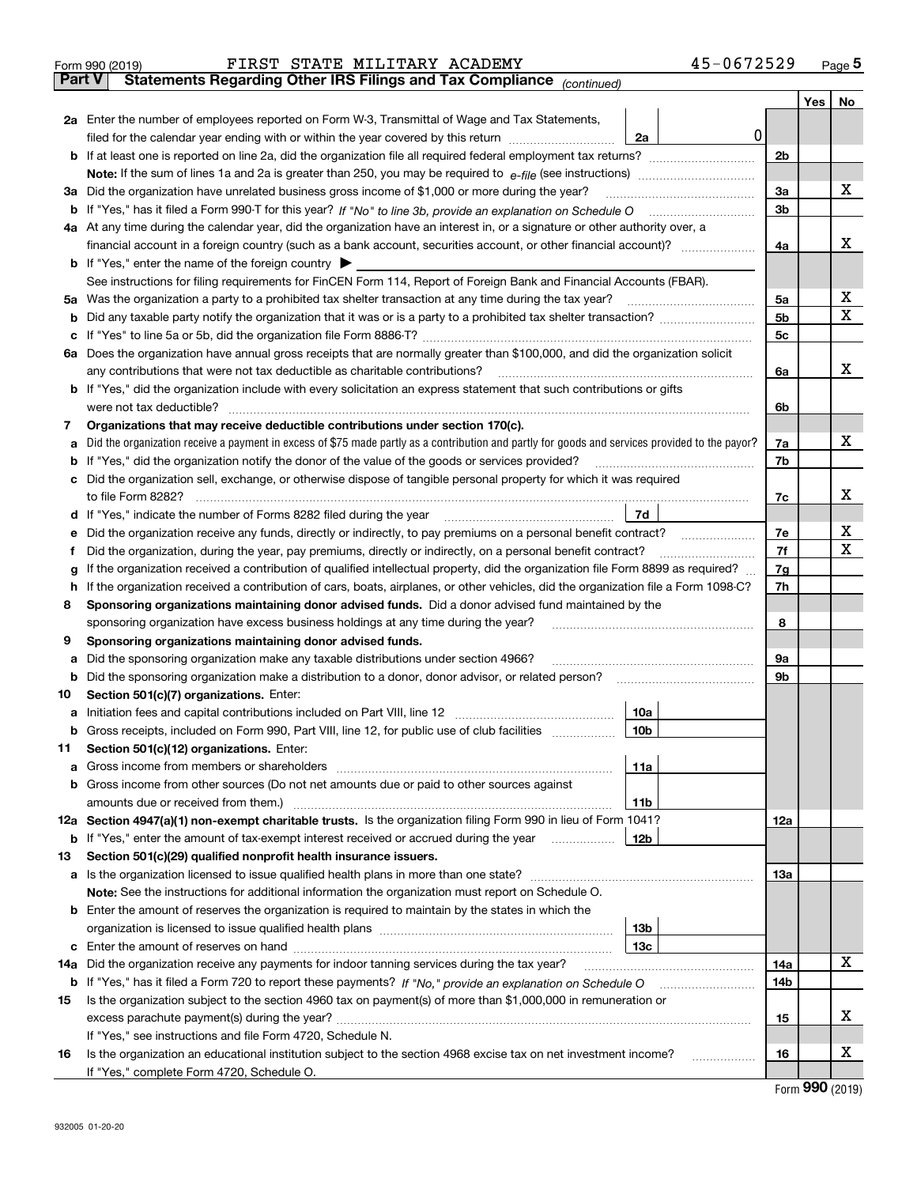| Statements Regarding Other IRS Filings and Tax Compliance (continued)<br><b>Part V</b><br>Yes $ $<br>No<br>2a Enter the number of employees reported on Form W-3, Transmittal of Wage and Tax Statements,<br>0<br>filed for the calendar year ending with or within the year covered by this return <i>manumumumum</i><br>2a<br>2b<br>х<br>3a<br>3a Did the organization have unrelated business gross income of \$1,000 or more during the year?<br>3b<br>4a At any time during the calendar year, did the organization have an interest in, or a signature or other authority over, a<br>х<br>4a<br><b>b</b> If "Yes," enter the name of the foreign country $\blacktriangleright$<br>See instructions for filing requirements for FinCEN Form 114, Report of Foreign Bank and Financial Accounts (FBAR).<br>x<br>5a Was the organization a party to a prohibited tax shelter transaction at any time during the tax year?<br>5a<br>X<br>5b<br>b<br>5c<br>c<br>6a Does the organization have annual gross receipts that are normally greater than \$100,000, and did the organization solicit<br>x<br>any contributions that were not tax deductible as charitable contributions?<br>6a<br><b>b</b> If "Yes," did the organization include with every solicitation an express statement that such contributions or gifts<br>were not tax deductible?<br>6b<br>Organizations that may receive deductible contributions under section 170(c).<br>7<br>х<br>Did the organization receive a payment in excess of \$75 made partly as a contribution and partly for goods and services provided to the payor?<br>7a<br>a<br><b>b</b> If "Yes," did the organization notify the donor of the value of the goods or services provided?<br>7b<br>c Did the organization sell, exchange, or otherwise dispose of tangible personal property for which it was required<br>х<br>7c<br>7d<br>х<br>Did the organization receive any funds, directly or indirectly, to pay premiums on a personal benefit contract?<br>7e<br>е<br>х<br>7f<br>Did the organization, during the year, pay premiums, directly or indirectly, on a personal benefit contract?<br>f<br>If the organization received a contribution of qualified intellectual property, did the organization file Form 8899 as required?<br>7g<br>g<br>If the organization received a contribution of cars, boats, airplanes, or other vehicles, did the organization file a Form 1098-C?<br>7h<br>h.<br>Sponsoring organizations maintaining donor advised funds. Did a donor advised fund maintained by the<br>8<br>8<br>sponsoring organization have excess business holdings at any time during the year?<br>Sponsoring organizations maintaining donor advised funds.<br>9<br>Did the sponsoring organization make any taxable distributions under section 4966?<br>9а<br>а<br>9b<br>Did the sponsoring organization make a distribution to a donor, donor advisor, or related person?<br>b<br>Section 501(c)(7) organizations. Enter:<br>10<br>10a<br> 10b <br>Gross receipts, included on Form 990, Part VIII, line 12, for public use of club facilities<br>Section 501(c)(12) organizations. Enter:<br>11<br>Gross income from members or shareholders<br>11a<br>a<br>b Gross income from other sources (Do not net amounts due or paid to other sources against<br>11b<br>12a Section 4947(a)(1) non-exempt charitable trusts. Is the organization filing Form 990 in lieu of Form 1041?<br>12a<br>12b<br><b>b</b> If "Yes," enter the amount of tax-exempt interest received or accrued during the year<br>Section 501(c)(29) qualified nonprofit health insurance issuers.<br>13<br>Is the organization licensed to issue qualified health plans in more than one state?<br>13а<br>a<br>Note: See the instructions for additional information the organization must report on Schedule O.<br><b>b</b> Enter the amount of reserves the organization is required to maintain by the states in which the<br>13b<br>13с<br>х<br>14a Did the organization receive any payments for indoor tanning services during the tax year?<br>14a<br><b>b</b> If "Yes," has it filed a Form 720 to report these payments? If "No," provide an explanation on Schedule O<br>14b<br>Is the organization subject to the section 4960 tax on payment(s) of more than \$1,000,000 in remuneration or<br>15<br>x<br>15<br>If "Yes," see instructions and file Form 4720, Schedule N.<br>x<br>Is the organization an educational institution subject to the section 4968 excise tax on net investment income?<br>16<br>16<br>If "Yes," complete Form 4720, Schedule O. | 45-0672529<br>FIRST STATE MILITARY ACADEMY<br>Form 990 (2019) |  | $Page$ <sup>5</sup> |
|------------------------------------------------------------------------------------------------------------------------------------------------------------------------------------------------------------------------------------------------------------------------------------------------------------------------------------------------------------------------------------------------------------------------------------------------------------------------------------------------------------------------------------------------------------------------------------------------------------------------------------------------------------------------------------------------------------------------------------------------------------------------------------------------------------------------------------------------------------------------------------------------------------------------------------------------------------------------------------------------------------------------------------------------------------------------------------------------------------------------------------------------------------------------------------------------------------------------------------------------------------------------------------------------------------------------------------------------------------------------------------------------------------------------------------------------------------------------------------------------------------------------------------------------------------------------------------------------------------------------------------------------------------------------------------------------------------------------------------------------------------------------------------------------------------------------------------------------------------------------------------------------------------------------------------------------------------------------------------------------------------------------------------------------------------------------------------------------------------------------------------------------------------------------------------------------------------------------------------------------------------------------------------------------------------------------------------------------------------------------------------------------------------------------------------------------------------------------------------------------------------------------------------------------------------------------------------------------------------------------------------------------------------------------------------------------------------------------------------------------------------------------------------------------------------------------------------------------------------------------------------------------------------------------------------------------------------------------------------------------------------------------------------------------------------------------------------------------------------------------------------------------------------------------------------------------------------------------------------------------------------------------------------------------------------------------------------------------------------------------------------------------------------------------------------------------------------------------------------------------------------------------------------------------------------------------------------------------------------------------------------------------------------------------------------------------------------------------------------------------------------------------------------------------------------------------------------------------------------------------------------------------------------------------------------------------------------------------------------------------------------------------------------------------------------------------------------------------------------------------------------------------------------------------------------------------------------------------------------------------------------------------------------------------------------------------------------------------------------------------------------------------------------------------------------------------------------------------------------------------------------------------------------------------------------------------------------------------------------|---------------------------------------------------------------|--|---------------------|
|                                                                                                                                                                                                                                                                                                                                                                                                                                                                                                                                                                                                                                                                                                                                                                                                                                                                                                                                                                                                                                                                                                                                                                                                                                                                                                                                                                                                                                                                                                                                                                                                                                                                                                                                                                                                                                                                                                                                                                                                                                                                                                                                                                                                                                                                                                                                                                                                                                                                                                                                                                                                                                                                                                                                                                                                                                                                                                                                                                                                                                                                                                                                                                                                                                                                                                                                                                                                                                                                                                                                                                                                                                                                                                                                                                                                                                                                                                                                                                                                                                                                                                                                                                                                                                                                                                                                                                                                                                                                                                                                                                                                            |                                                               |  |                     |
|                                                                                                                                                                                                                                                                                                                                                                                                                                                                                                                                                                                                                                                                                                                                                                                                                                                                                                                                                                                                                                                                                                                                                                                                                                                                                                                                                                                                                                                                                                                                                                                                                                                                                                                                                                                                                                                                                                                                                                                                                                                                                                                                                                                                                                                                                                                                                                                                                                                                                                                                                                                                                                                                                                                                                                                                                                                                                                                                                                                                                                                                                                                                                                                                                                                                                                                                                                                                                                                                                                                                                                                                                                                                                                                                                                                                                                                                                                                                                                                                                                                                                                                                                                                                                                                                                                                                                                                                                                                                                                                                                                                                            |                                                               |  |                     |
|                                                                                                                                                                                                                                                                                                                                                                                                                                                                                                                                                                                                                                                                                                                                                                                                                                                                                                                                                                                                                                                                                                                                                                                                                                                                                                                                                                                                                                                                                                                                                                                                                                                                                                                                                                                                                                                                                                                                                                                                                                                                                                                                                                                                                                                                                                                                                                                                                                                                                                                                                                                                                                                                                                                                                                                                                                                                                                                                                                                                                                                                                                                                                                                                                                                                                                                                                                                                                                                                                                                                                                                                                                                                                                                                                                                                                                                                                                                                                                                                                                                                                                                                                                                                                                                                                                                                                                                                                                                                                                                                                                                                            |                                                               |  |                     |
|                                                                                                                                                                                                                                                                                                                                                                                                                                                                                                                                                                                                                                                                                                                                                                                                                                                                                                                                                                                                                                                                                                                                                                                                                                                                                                                                                                                                                                                                                                                                                                                                                                                                                                                                                                                                                                                                                                                                                                                                                                                                                                                                                                                                                                                                                                                                                                                                                                                                                                                                                                                                                                                                                                                                                                                                                                                                                                                                                                                                                                                                                                                                                                                                                                                                                                                                                                                                                                                                                                                                                                                                                                                                                                                                                                                                                                                                                                                                                                                                                                                                                                                                                                                                                                                                                                                                                                                                                                                                                                                                                                                                            |                                                               |  |                     |
|                                                                                                                                                                                                                                                                                                                                                                                                                                                                                                                                                                                                                                                                                                                                                                                                                                                                                                                                                                                                                                                                                                                                                                                                                                                                                                                                                                                                                                                                                                                                                                                                                                                                                                                                                                                                                                                                                                                                                                                                                                                                                                                                                                                                                                                                                                                                                                                                                                                                                                                                                                                                                                                                                                                                                                                                                                                                                                                                                                                                                                                                                                                                                                                                                                                                                                                                                                                                                                                                                                                                                                                                                                                                                                                                                                                                                                                                                                                                                                                                                                                                                                                                                                                                                                                                                                                                                                                                                                                                                                                                                                                                            |                                                               |  |                     |
|                                                                                                                                                                                                                                                                                                                                                                                                                                                                                                                                                                                                                                                                                                                                                                                                                                                                                                                                                                                                                                                                                                                                                                                                                                                                                                                                                                                                                                                                                                                                                                                                                                                                                                                                                                                                                                                                                                                                                                                                                                                                                                                                                                                                                                                                                                                                                                                                                                                                                                                                                                                                                                                                                                                                                                                                                                                                                                                                                                                                                                                                                                                                                                                                                                                                                                                                                                                                                                                                                                                                                                                                                                                                                                                                                                                                                                                                                                                                                                                                                                                                                                                                                                                                                                                                                                                                                                                                                                                                                                                                                                                                            |                                                               |  |                     |
|                                                                                                                                                                                                                                                                                                                                                                                                                                                                                                                                                                                                                                                                                                                                                                                                                                                                                                                                                                                                                                                                                                                                                                                                                                                                                                                                                                                                                                                                                                                                                                                                                                                                                                                                                                                                                                                                                                                                                                                                                                                                                                                                                                                                                                                                                                                                                                                                                                                                                                                                                                                                                                                                                                                                                                                                                                                                                                                                                                                                                                                                                                                                                                                                                                                                                                                                                                                                                                                                                                                                                                                                                                                                                                                                                                                                                                                                                                                                                                                                                                                                                                                                                                                                                                                                                                                                                                                                                                                                                                                                                                                                            |                                                               |  |                     |
|                                                                                                                                                                                                                                                                                                                                                                                                                                                                                                                                                                                                                                                                                                                                                                                                                                                                                                                                                                                                                                                                                                                                                                                                                                                                                                                                                                                                                                                                                                                                                                                                                                                                                                                                                                                                                                                                                                                                                                                                                                                                                                                                                                                                                                                                                                                                                                                                                                                                                                                                                                                                                                                                                                                                                                                                                                                                                                                                                                                                                                                                                                                                                                                                                                                                                                                                                                                                                                                                                                                                                                                                                                                                                                                                                                                                                                                                                                                                                                                                                                                                                                                                                                                                                                                                                                                                                                                                                                                                                                                                                                                                            |                                                               |  |                     |
|                                                                                                                                                                                                                                                                                                                                                                                                                                                                                                                                                                                                                                                                                                                                                                                                                                                                                                                                                                                                                                                                                                                                                                                                                                                                                                                                                                                                                                                                                                                                                                                                                                                                                                                                                                                                                                                                                                                                                                                                                                                                                                                                                                                                                                                                                                                                                                                                                                                                                                                                                                                                                                                                                                                                                                                                                                                                                                                                                                                                                                                                                                                                                                                                                                                                                                                                                                                                                                                                                                                                                                                                                                                                                                                                                                                                                                                                                                                                                                                                                                                                                                                                                                                                                                                                                                                                                                                                                                                                                                                                                                                                            |                                                               |  |                     |
|                                                                                                                                                                                                                                                                                                                                                                                                                                                                                                                                                                                                                                                                                                                                                                                                                                                                                                                                                                                                                                                                                                                                                                                                                                                                                                                                                                                                                                                                                                                                                                                                                                                                                                                                                                                                                                                                                                                                                                                                                                                                                                                                                                                                                                                                                                                                                                                                                                                                                                                                                                                                                                                                                                                                                                                                                                                                                                                                                                                                                                                                                                                                                                                                                                                                                                                                                                                                                                                                                                                                                                                                                                                                                                                                                                                                                                                                                                                                                                                                                                                                                                                                                                                                                                                                                                                                                                                                                                                                                                                                                                                                            |                                                               |  |                     |
|                                                                                                                                                                                                                                                                                                                                                                                                                                                                                                                                                                                                                                                                                                                                                                                                                                                                                                                                                                                                                                                                                                                                                                                                                                                                                                                                                                                                                                                                                                                                                                                                                                                                                                                                                                                                                                                                                                                                                                                                                                                                                                                                                                                                                                                                                                                                                                                                                                                                                                                                                                                                                                                                                                                                                                                                                                                                                                                                                                                                                                                                                                                                                                                                                                                                                                                                                                                                                                                                                                                                                                                                                                                                                                                                                                                                                                                                                                                                                                                                                                                                                                                                                                                                                                                                                                                                                                                                                                                                                                                                                                                                            |                                                               |  |                     |
|                                                                                                                                                                                                                                                                                                                                                                                                                                                                                                                                                                                                                                                                                                                                                                                                                                                                                                                                                                                                                                                                                                                                                                                                                                                                                                                                                                                                                                                                                                                                                                                                                                                                                                                                                                                                                                                                                                                                                                                                                                                                                                                                                                                                                                                                                                                                                                                                                                                                                                                                                                                                                                                                                                                                                                                                                                                                                                                                                                                                                                                                                                                                                                                                                                                                                                                                                                                                                                                                                                                                                                                                                                                                                                                                                                                                                                                                                                                                                                                                                                                                                                                                                                                                                                                                                                                                                                                                                                                                                                                                                                                                            |                                                               |  |                     |
|                                                                                                                                                                                                                                                                                                                                                                                                                                                                                                                                                                                                                                                                                                                                                                                                                                                                                                                                                                                                                                                                                                                                                                                                                                                                                                                                                                                                                                                                                                                                                                                                                                                                                                                                                                                                                                                                                                                                                                                                                                                                                                                                                                                                                                                                                                                                                                                                                                                                                                                                                                                                                                                                                                                                                                                                                                                                                                                                                                                                                                                                                                                                                                                                                                                                                                                                                                                                                                                                                                                                                                                                                                                                                                                                                                                                                                                                                                                                                                                                                                                                                                                                                                                                                                                                                                                                                                                                                                                                                                                                                                                                            |                                                               |  |                     |
|                                                                                                                                                                                                                                                                                                                                                                                                                                                                                                                                                                                                                                                                                                                                                                                                                                                                                                                                                                                                                                                                                                                                                                                                                                                                                                                                                                                                                                                                                                                                                                                                                                                                                                                                                                                                                                                                                                                                                                                                                                                                                                                                                                                                                                                                                                                                                                                                                                                                                                                                                                                                                                                                                                                                                                                                                                                                                                                                                                                                                                                                                                                                                                                                                                                                                                                                                                                                                                                                                                                                                                                                                                                                                                                                                                                                                                                                                                                                                                                                                                                                                                                                                                                                                                                                                                                                                                                                                                                                                                                                                                                                            |                                                               |  |                     |
|                                                                                                                                                                                                                                                                                                                                                                                                                                                                                                                                                                                                                                                                                                                                                                                                                                                                                                                                                                                                                                                                                                                                                                                                                                                                                                                                                                                                                                                                                                                                                                                                                                                                                                                                                                                                                                                                                                                                                                                                                                                                                                                                                                                                                                                                                                                                                                                                                                                                                                                                                                                                                                                                                                                                                                                                                                                                                                                                                                                                                                                                                                                                                                                                                                                                                                                                                                                                                                                                                                                                                                                                                                                                                                                                                                                                                                                                                                                                                                                                                                                                                                                                                                                                                                                                                                                                                                                                                                                                                                                                                                                                            |                                                               |  |                     |
|                                                                                                                                                                                                                                                                                                                                                                                                                                                                                                                                                                                                                                                                                                                                                                                                                                                                                                                                                                                                                                                                                                                                                                                                                                                                                                                                                                                                                                                                                                                                                                                                                                                                                                                                                                                                                                                                                                                                                                                                                                                                                                                                                                                                                                                                                                                                                                                                                                                                                                                                                                                                                                                                                                                                                                                                                                                                                                                                                                                                                                                                                                                                                                                                                                                                                                                                                                                                                                                                                                                                                                                                                                                                                                                                                                                                                                                                                                                                                                                                                                                                                                                                                                                                                                                                                                                                                                                                                                                                                                                                                                                                            |                                                               |  |                     |
|                                                                                                                                                                                                                                                                                                                                                                                                                                                                                                                                                                                                                                                                                                                                                                                                                                                                                                                                                                                                                                                                                                                                                                                                                                                                                                                                                                                                                                                                                                                                                                                                                                                                                                                                                                                                                                                                                                                                                                                                                                                                                                                                                                                                                                                                                                                                                                                                                                                                                                                                                                                                                                                                                                                                                                                                                                                                                                                                                                                                                                                                                                                                                                                                                                                                                                                                                                                                                                                                                                                                                                                                                                                                                                                                                                                                                                                                                                                                                                                                                                                                                                                                                                                                                                                                                                                                                                                                                                                                                                                                                                                                            |                                                               |  |                     |
|                                                                                                                                                                                                                                                                                                                                                                                                                                                                                                                                                                                                                                                                                                                                                                                                                                                                                                                                                                                                                                                                                                                                                                                                                                                                                                                                                                                                                                                                                                                                                                                                                                                                                                                                                                                                                                                                                                                                                                                                                                                                                                                                                                                                                                                                                                                                                                                                                                                                                                                                                                                                                                                                                                                                                                                                                                                                                                                                                                                                                                                                                                                                                                                                                                                                                                                                                                                                                                                                                                                                                                                                                                                                                                                                                                                                                                                                                                                                                                                                                                                                                                                                                                                                                                                                                                                                                                                                                                                                                                                                                                                                            |                                                               |  |                     |
|                                                                                                                                                                                                                                                                                                                                                                                                                                                                                                                                                                                                                                                                                                                                                                                                                                                                                                                                                                                                                                                                                                                                                                                                                                                                                                                                                                                                                                                                                                                                                                                                                                                                                                                                                                                                                                                                                                                                                                                                                                                                                                                                                                                                                                                                                                                                                                                                                                                                                                                                                                                                                                                                                                                                                                                                                                                                                                                                                                                                                                                                                                                                                                                                                                                                                                                                                                                                                                                                                                                                                                                                                                                                                                                                                                                                                                                                                                                                                                                                                                                                                                                                                                                                                                                                                                                                                                                                                                                                                                                                                                                                            |                                                               |  |                     |
|                                                                                                                                                                                                                                                                                                                                                                                                                                                                                                                                                                                                                                                                                                                                                                                                                                                                                                                                                                                                                                                                                                                                                                                                                                                                                                                                                                                                                                                                                                                                                                                                                                                                                                                                                                                                                                                                                                                                                                                                                                                                                                                                                                                                                                                                                                                                                                                                                                                                                                                                                                                                                                                                                                                                                                                                                                                                                                                                                                                                                                                                                                                                                                                                                                                                                                                                                                                                                                                                                                                                                                                                                                                                                                                                                                                                                                                                                                                                                                                                                                                                                                                                                                                                                                                                                                                                                                                                                                                                                                                                                                                                            |                                                               |  |                     |
|                                                                                                                                                                                                                                                                                                                                                                                                                                                                                                                                                                                                                                                                                                                                                                                                                                                                                                                                                                                                                                                                                                                                                                                                                                                                                                                                                                                                                                                                                                                                                                                                                                                                                                                                                                                                                                                                                                                                                                                                                                                                                                                                                                                                                                                                                                                                                                                                                                                                                                                                                                                                                                                                                                                                                                                                                                                                                                                                                                                                                                                                                                                                                                                                                                                                                                                                                                                                                                                                                                                                                                                                                                                                                                                                                                                                                                                                                                                                                                                                                                                                                                                                                                                                                                                                                                                                                                                                                                                                                                                                                                                                            |                                                               |  |                     |
|                                                                                                                                                                                                                                                                                                                                                                                                                                                                                                                                                                                                                                                                                                                                                                                                                                                                                                                                                                                                                                                                                                                                                                                                                                                                                                                                                                                                                                                                                                                                                                                                                                                                                                                                                                                                                                                                                                                                                                                                                                                                                                                                                                                                                                                                                                                                                                                                                                                                                                                                                                                                                                                                                                                                                                                                                                                                                                                                                                                                                                                                                                                                                                                                                                                                                                                                                                                                                                                                                                                                                                                                                                                                                                                                                                                                                                                                                                                                                                                                                                                                                                                                                                                                                                                                                                                                                                                                                                                                                                                                                                                                            |                                                               |  |                     |
|                                                                                                                                                                                                                                                                                                                                                                                                                                                                                                                                                                                                                                                                                                                                                                                                                                                                                                                                                                                                                                                                                                                                                                                                                                                                                                                                                                                                                                                                                                                                                                                                                                                                                                                                                                                                                                                                                                                                                                                                                                                                                                                                                                                                                                                                                                                                                                                                                                                                                                                                                                                                                                                                                                                                                                                                                                                                                                                                                                                                                                                                                                                                                                                                                                                                                                                                                                                                                                                                                                                                                                                                                                                                                                                                                                                                                                                                                                                                                                                                                                                                                                                                                                                                                                                                                                                                                                                                                                                                                                                                                                                                            |                                                               |  |                     |
|                                                                                                                                                                                                                                                                                                                                                                                                                                                                                                                                                                                                                                                                                                                                                                                                                                                                                                                                                                                                                                                                                                                                                                                                                                                                                                                                                                                                                                                                                                                                                                                                                                                                                                                                                                                                                                                                                                                                                                                                                                                                                                                                                                                                                                                                                                                                                                                                                                                                                                                                                                                                                                                                                                                                                                                                                                                                                                                                                                                                                                                                                                                                                                                                                                                                                                                                                                                                                                                                                                                                                                                                                                                                                                                                                                                                                                                                                                                                                                                                                                                                                                                                                                                                                                                                                                                                                                                                                                                                                                                                                                                                            |                                                               |  |                     |
|                                                                                                                                                                                                                                                                                                                                                                                                                                                                                                                                                                                                                                                                                                                                                                                                                                                                                                                                                                                                                                                                                                                                                                                                                                                                                                                                                                                                                                                                                                                                                                                                                                                                                                                                                                                                                                                                                                                                                                                                                                                                                                                                                                                                                                                                                                                                                                                                                                                                                                                                                                                                                                                                                                                                                                                                                                                                                                                                                                                                                                                                                                                                                                                                                                                                                                                                                                                                                                                                                                                                                                                                                                                                                                                                                                                                                                                                                                                                                                                                                                                                                                                                                                                                                                                                                                                                                                                                                                                                                                                                                                                                            |                                                               |  |                     |
|                                                                                                                                                                                                                                                                                                                                                                                                                                                                                                                                                                                                                                                                                                                                                                                                                                                                                                                                                                                                                                                                                                                                                                                                                                                                                                                                                                                                                                                                                                                                                                                                                                                                                                                                                                                                                                                                                                                                                                                                                                                                                                                                                                                                                                                                                                                                                                                                                                                                                                                                                                                                                                                                                                                                                                                                                                                                                                                                                                                                                                                                                                                                                                                                                                                                                                                                                                                                                                                                                                                                                                                                                                                                                                                                                                                                                                                                                                                                                                                                                                                                                                                                                                                                                                                                                                                                                                                                                                                                                                                                                                                                            |                                                               |  |                     |
|                                                                                                                                                                                                                                                                                                                                                                                                                                                                                                                                                                                                                                                                                                                                                                                                                                                                                                                                                                                                                                                                                                                                                                                                                                                                                                                                                                                                                                                                                                                                                                                                                                                                                                                                                                                                                                                                                                                                                                                                                                                                                                                                                                                                                                                                                                                                                                                                                                                                                                                                                                                                                                                                                                                                                                                                                                                                                                                                                                                                                                                                                                                                                                                                                                                                                                                                                                                                                                                                                                                                                                                                                                                                                                                                                                                                                                                                                                                                                                                                                                                                                                                                                                                                                                                                                                                                                                                                                                                                                                                                                                                                            |                                                               |  |                     |
|                                                                                                                                                                                                                                                                                                                                                                                                                                                                                                                                                                                                                                                                                                                                                                                                                                                                                                                                                                                                                                                                                                                                                                                                                                                                                                                                                                                                                                                                                                                                                                                                                                                                                                                                                                                                                                                                                                                                                                                                                                                                                                                                                                                                                                                                                                                                                                                                                                                                                                                                                                                                                                                                                                                                                                                                                                                                                                                                                                                                                                                                                                                                                                                                                                                                                                                                                                                                                                                                                                                                                                                                                                                                                                                                                                                                                                                                                                                                                                                                                                                                                                                                                                                                                                                                                                                                                                                                                                                                                                                                                                                                            |                                                               |  |                     |
|                                                                                                                                                                                                                                                                                                                                                                                                                                                                                                                                                                                                                                                                                                                                                                                                                                                                                                                                                                                                                                                                                                                                                                                                                                                                                                                                                                                                                                                                                                                                                                                                                                                                                                                                                                                                                                                                                                                                                                                                                                                                                                                                                                                                                                                                                                                                                                                                                                                                                                                                                                                                                                                                                                                                                                                                                                                                                                                                                                                                                                                                                                                                                                                                                                                                                                                                                                                                                                                                                                                                                                                                                                                                                                                                                                                                                                                                                                                                                                                                                                                                                                                                                                                                                                                                                                                                                                                                                                                                                                                                                                                                            |                                                               |  |                     |
|                                                                                                                                                                                                                                                                                                                                                                                                                                                                                                                                                                                                                                                                                                                                                                                                                                                                                                                                                                                                                                                                                                                                                                                                                                                                                                                                                                                                                                                                                                                                                                                                                                                                                                                                                                                                                                                                                                                                                                                                                                                                                                                                                                                                                                                                                                                                                                                                                                                                                                                                                                                                                                                                                                                                                                                                                                                                                                                                                                                                                                                                                                                                                                                                                                                                                                                                                                                                                                                                                                                                                                                                                                                                                                                                                                                                                                                                                                                                                                                                                                                                                                                                                                                                                                                                                                                                                                                                                                                                                                                                                                                                            |                                                               |  |                     |
|                                                                                                                                                                                                                                                                                                                                                                                                                                                                                                                                                                                                                                                                                                                                                                                                                                                                                                                                                                                                                                                                                                                                                                                                                                                                                                                                                                                                                                                                                                                                                                                                                                                                                                                                                                                                                                                                                                                                                                                                                                                                                                                                                                                                                                                                                                                                                                                                                                                                                                                                                                                                                                                                                                                                                                                                                                                                                                                                                                                                                                                                                                                                                                                                                                                                                                                                                                                                                                                                                                                                                                                                                                                                                                                                                                                                                                                                                                                                                                                                                                                                                                                                                                                                                                                                                                                                                                                                                                                                                                                                                                                                            |                                                               |  |                     |
|                                                                                                                                                                                                                                                                                                                                                                                                                                                                                                                                                                                                                                                                                                                                                                                                                                                                                                                                                                                                                                                                                                                                                                                                                                                                                                                                                                                                                                                                                                                                                                                                                                                                                                                                                                                                                                                                                                                                                                                                                                                                                                                                                                                                                                                                                                                                                                                                                                                                                                                                                                                                                                                                                                                                                                                                                                                                                                                                                                                                                                                                                                                                                                                                                                                                                                                                                                                                                                                                                                                                                                                                                                                                                                                                                                                                                                                                                                                                                                                                                                                                                                                                                                                                                                                                                                                                                                                                                                                                                                                                                                                                            |                                                               |  |                     |
|                                                                                                                                                                                                                                                                                                                                                                                                                                                                                                                                                                                                                                                                                                                                                                                                                                                                                                                                                                                                                                                                                                                                                                                                                                                                                                                                                                                                                                                                                                                                                                                                                                                                                                                                                                                                                                                                                                                                                                                                                                                                                                                                                                                                                                                                                                                                                                                                                                                                                                                                                                                                                                                                                                                                                                                                                                                                                                                                                                                                                                                                                                                                                                                                                                                                                                                                                                                                                                                                                                                                                                                                                                                                                                                                                                                                                                                                                                                                                                                                                                                                                                                                                                                                                                                                                                                                                                                                                                                                                                                                                                                                            |                                                               |  |                     |
|                                                                                                                                                                                                                                                                                                                                                                                                                                                                                                                                                                                                                                                                                                                                                                                                                                                                                                                                                                                                                                                                                                                                                                                                                                                                                                                                                                                                                                                                                                                                                                                                                                                                                                                                                                                                                                                                                                                                                                                                                                                                                                                                                                                                                                                                                                                                                                                                                                                                                                                                                                                                                                                                                                                                                                                                                                                                                                                                                                                                                                                                                                                                                                                                                                                                                                                                                                                                                                                                                                                                                                                                                                                                                                                                                                                                                                                                                                                                                                                                                                                                                                                                                                                                                                                                                                                                                                                                                                                                                                                                                                                                            |                                                               |  |                     |
|                                                                                                                                                                                                                                                                                                                                                                                                                                                                                                                                                                                                                                                                                                                                                                                                                                                                                                                                                                                                                                                                                                                                                                                                                                                                                                                                                                                                                                                                                                                                                                                                                                                                                                                                                                                                                                                                                                                                                                                                                                                                                                                                                                                                                                                                                                                                                                                                                                                                                                                                                                                                                                                                                                                                                                                                                                                                                                                                                                                                                                                                                                                                                                                                                                                                                                                                                                                                                                                                                                                                                                                                                                                                                                                                                                                                                                                                                                                                                                                                                                                                                                                                                                                                                                                                                                                                                                                                                                                                                                                                                                                                            |                                                               |  |                     |
|                                                                                                                                                                                                                                                                                                                                                                                                                                                                                                                                                                                                                                                                                                                                                                                                                                                                                                                                                                                                                                                                                                                                                                                                                                                                                                                                                                                                                                                                                                                                                                                                                                                                                                                                                                                                                                                                                                                                                                                                                                                                                                                                                                                                                                                                                                                                                                                                                                                                                                                                                                                                                                                                                                                                                                                                                                                                                                                                                                                                                                                                                                                                                                                                                                                                                                                                                                                                                                                                                                                                                                                                                                                                                                                                                                                                                                                                                                                                                                                                                                                                                                                                                                                                                                                                                                                                                                                                                                                                                                                                                                                                            |                                                               |  |                     |
|                                                                                                                                                                                                                                                                                                                                                                                                                                                                                                                                                                                                                                                                                                                                                                                                                                                                                                                                                                                                                                                                                                                                                                                                                                                                                                                                                                                                                                                                                                                                                                                                                                                                                                                                                                                                                                                                                                                                                                                                                                                                                                                                                                                                                                                                                                                                                                                                                                                                                                                                                                                                                                                                                                                                                                                                                                                                                                                                                                                                                                                                                                                                                                                                                                                                                                                                                                                                                                                                                                                                                                                                                                                                                                                                                                                                                                                                                                                                                                                                                                                                                                                                                                                                                                                                                                                                                                                                                                                                                                                                                                                                            |                                                               |  |                     |
|                                                                                                                                                                                                                                                                                                                                                                                                                                                                                                                                                                                                                                                                                                                                                                                                                                                                                                                                                                                                                                                                                                                                                                                                                                                                                                                                                                                                                                                                                                                                                                                                                                                                                                                                                                                                                                                                                                                                                                                                                                                                                                                                                                                                                                                                                                                                                                                                                                                                                                                                                                                                                                                                                                                                                                                                                                                                                                                                                                                                                                                                                                                                                                                                                                                                                                                                                                                                                                                                                                                                                                                                                                                                                                                                                                                                                                                                                                                                                                                                                                                                                                                                                                                                                                                                                                                                                                                                                                                                                                                                                                                                            |                                                               |  |                     |
|                                                                                                                                                                                                                                                                                                                                                                                                                                                                                                                                                                                                                                                                                                                                                                                                                                                                                                                                                                                                                                                                                                                                                                                                                                                                                                                                                                                                                                                                                                                                                                                                                                                                                                                                                                                                                                                                                                                                                                                                                                                                                                                                                                                                                                                                                                                                                                                                                                                                                                                                                                                                                                                                                                                                                                                                                                                                                                                                                                                                                                                                                                                                                                                                                                                                                                                                                                                                                                                                                                                                                                                                                                                                                                                                                                                                                                                                                                                                                                                                                                                                                                                                                                                                                                                                                                                                                                                                                                                                                                                                                                                                            |                                                               |  |                     |
|                                                                                                                                                                                                                                                                                                                                                                                                                                                                                                                                                                                                                                                                                                                                                                                                                                                                                                                                                                                                                                                                                                                                                                                                                                                                                                                                                                                                                                                                                                                                                                                                                                                                                                                                                                                                                                                                                                                                                                                                                                                                                                                                                                                                                                                                                                                                                                                                                                                                                                                                                                                                                                                                                                                                                                                                                                                                                                                                                                                                                                                                                                                                                                                                                                                                                                                                                                                                                                                                                                                                                                                                                                                                                                                                                                                                                                                                                                                                                                                                                                                                                                                                                                                                                                                                                                                                                                                                                                                                                                                                                                                                            |                                                               |  |                     |
|                                                                                                                                                                                                                                                                                                                                                                                                                                                                                                                                                                                                                                                                                                                                                                                                                                                                                                                                                                                                                                                                                                                                                                                                                                                                                                                                                                                                                                                                                                                                                                                                                                                                                                                                                                                                                                                                                                                                                                                                                                                                                                                                                                                                                                                                                                                                                                                                                                                                                                                                                                                                                                                                                                                                                                                                                                                                                                                                                                                                                                                                                                                                                                                                                                                                                                                                                                                                                                                                                                                                                                                                                                                                                                                                                                                                                                                                                                                                                                                                                                                                                                                                                                                                                                                                                                                                                                                                                                                                                                                                                                                                            |                                                               |  |                     |
|                                                                                                                                                                                                                                                                                                                                                                                                                                                                                                                                                                                                                                                                                                                                                                                                                                                                                                                                                                                                                                                                                                                                                                                                                                                                                                                                                                                                                                                                                                                                                                                                                                                                                                                                                                                                                                                                                                                                                                                                                                                                                                                                                                                                                                                                                                                                                                                                                                                                                                                                                                                                                                                                                                                                                                                                                                                                                                                                                                                                                                                                                                                                                                                                                                                                                                                                                                                                                                                                                                                                                                                                                                                                                                                                                                                                                                                                                                                                                                                                                                                                                                                                                                                                                                                                                                                                                                                                                                                                                                                                                                                                            |                                                               |  |                     |
|                                                                                                                                                                                                                                                                                                                                                                                                                                                                                                                                                                                                                                                                                                                                                                                                                                                                                                                                                                                                                                                                                                                                                                                                                                                                                                                                                                                                                                                                                                                                                                                                                                                                                                                                                                                                                                                                                                                                                                                                                                                                                                                                                                                                                                                                                                                                                                                                                                                                                                                                                                                                                                                                                                                                                                                                                                                                                                                                                                                                                                                                                                                                                                                                                                                                                                                                                                                                                                                                                                                                                                                                                                                                                                                                                                                                                                                                                                                                                                                                                                                                                                                                                                                                                                                                                                                                                                                                                                                                                                                                                                                                            |                                                               |  |                     |
|                                                                                                                                                                                                                                                                                                                                                                                                                                                                                                                                                                                                                                                                                                                                                                                                                                                                                                                                                                                                                                                                                                                                                                                                                                                                                                                                                                                                                                                                                                                                                                                                                                                                                                                                                                                                                                                                                                                                                                                                                                                                                                                                                                                                                                                                                                                                                                                                                                                                                                                                                                                                                                                                                                                                                                                                                                                                                                                                                                                                                                                                                                                                                                                                                                                                                                                                                                                                                                                                                                                                                                                                                                                                                                                                                                                                                                                                                                                                                                                                                                                                                                                                                                                                                                                                                                                                                                                                                                                                                                                                                                                                            |                                                               |  |                     |
|                                                                                                                                                                                                                                                                                                                                                                                                                                                                                                                                                                                                                                                                                                                                                                                                                                                                                                                                                                                                                                                                                                                                                                                                                                                                                                                                                                                                                                                                                                                                                                                                                                                                                                                                                                                                                                                                                                                                                                                                                                                                                                                                                                                                                                                                                                                                                                                                                                                                                                                                                                                                                                                                                                                                                                                                                                                                                                                                                                                                                                                                                                                                                                                                                                                                                                                                                                                                                                                                                                                                                                                                                                                                                                                                                                                                                                                                                                                                                                                                                                                                                                                                                                                                                                                                                                                                                                                                                                                                                                                                                                                                            |                                                               |  |                     |
|                                                                                                                                                                                                                                                                                                                                                                                                                                                                                                                                                                                                                                                                                                                                                                                                                                                                                                                                                                                                                                                                                                                                                                                                                                                                                                                                                                                                                                                                                                                                                                                                                                                                                                                                                                                                                                                                                                                                                                                                                                                                                                                                                                                                                                                                                                                                                                                                                                                                                                                                                                                                                                                                                                                                                                                                                                                                                                                                                                                                                                                                                                                                                                                                                                                                                                                                                                                                                                                                                                                                                                                                                                                                                                                                                                                                                                                                                                                                                                                                                                                                                                                                                                                                                                                                                                                                                                                                                                                                                                                                                                                                            |                                                               |  |                     |
|                                                                                                                                                                                                                                                                                                                                                                                                                                                                                                                                                                                                                                                                                                                                                                                                                                                                                                                                                                                                                                                                                                                                                                                                                                                                                                                                                                                                                                                                                                                                                                                                                                                                                                                                                                                                                                                                                                                                                                                                                                                                                                                                                                                                                                                                                                                                                                                                                                                                                                                                                                                                                                                                                                                                                                                                                                                                                                                                                                                                                                                                                                                                                                                                                                                                                                                                                                                                                                                                                                                                                                                                                                                                                                                                                                                                                                                                                                                                                                                                                                                                                                                                                                                                                                                                                                                                                                                                                                                                                                                                                                                                            |                                                               |  |                     |
|                                                                                                                                                                                                                                                                                                                                                                                                                                                                                                                                                                                                                                                                                                                                                                                                                                                                                                                                                                                                                                                                                                                                                                                                                                                                                                                                                                                                                                                                                                                                                                                                                                                                                                                                                                                                                                                                                                                                                                                                                                                                                                                                                                                                                                                                                                                                                                                                                                                                                                                                                                                                                                                                                                                                                                                                                                                                                                                                                                                                                                                                                                                                                                                                                                                                                                                                                                                                                                                                                                                                                                                                                                                                                                                                                                                                                                                                                                                                                                                                                                                                                                                                                                                                                                                                                                                                                                                                                                                                                                                                                                                                            |                                                               |  |                     |
|                                                                                                                                                                                                                                                                                                                                                                                                                                                                                                                                                                                                                                                                                                                                                                                                                                                                                                                                                                                                                                                                                                                                                                                                                                                                                                                                                                                                                                                                                                                                                                                                                                                                                                                                                                                                                                                                                                                                                                                                                                                                                                                                                                                                                                                                                                                                                                                                                                                                                                                                                                                                                                                                                                                                                                                                                                                                                                                                                                                                                                                                                                                                                                                                                                                                                                                                                                                                                                                                                                                                                                                                                                                                                                                                                                                                                                                                                                                                                                                                                                                                                                                                                                                                                                                                                                                                                                                                                                                                                                                                                                                                            |                                                               |  |                     |
|                                                                                                                                                                                                                                                                                                                                                                                                                                                                                                                                                                                                                                                                                                                                                                                                                                                                                                                                                                                                                                                                                                                                                                                                                                                                                                                                                                                                                                                                                                                                                                                                                                                                                                                                                                                                                                                                                                                                                                                                                                                                                                                                                                                                                                                                                                                                                                                                                                                                                                                                                                                                                                                                                                                                                                                                                                                                                                                                                                                                                                                                                                                                                                                                                                                                                                                                                                                                                                                                                                                                                                                                                                                                                                                                                                                                                                                                                                                                                                                                                                                                                                                                                                                                                                                                                                                                                                                                                                                                                                                                                                                                            |                                                               |  |                     |
|                                                                                                                                                                                                                                                                                                                                                                                                                                                                                                                                                                                                                                                                                                                                                                                                                                                                                                                                                                                                                                                                                                                                                                                                                                                                                                                                                                                                                                                                                                                                                                                                                                                                                                                                                                                                                                                                                                                                                                                                                                                                                                                                                                                                                                                                                                                                                                                                                                                                                                                                                                                                                                                                                                                                                                                                                                                                                                                                                                                                                                                                                                                                                                                                                                                                                                                                                                                                                                                                                                                                                                                                                                                                                                                                                                                                                                                                                                                                                                                                                                                                                                                                                                                                                                                                                                                                                                                                                                                                                                                                                                                                            |                                                               |  |                     |
|                                                                                                                                                                                                                                                                                                                                                                                                                                                                                                                                                                                                                                                                                                                                                                                                                                                                                                                                                                                                                                                                                                                                                                                                                                                                                                                                                                                                                                                                                                                                                                                                                                                                                                                                                                                                                                                                                                                                                                                                                                                                                                                                                                                                                                                                                                                                                                                                                                                                                                                                                                                                                                                                                                                                                                                                                                                                                                                                                                                                                                                                                                                                                                                                                                                                                                                                                                                                                                                                                                                                                                                                                                                                                                                                                                                                                                                                                                                                                                                                                                                                                                                                                                                                                                                                                                                                                                                                                                                                                                                                                                                                            |                                                               |  |                     |
|                                                                                                                                                                                                                                                                                                                                                                                                                                                                                                                                                                                                                                                                                                                                                                                                                                                                                                                                                                                                                                                                                                                                                                                                                                                                                                                                                                                                                                                                                                                                                                                                                                                                                                                                                                                                                                                                                                                                                                                                                                                                                                                                                                                                                                                                                                                                                                                                                                                                                                                                                                                                                                                                                                                                                                                                                                                                                                                                                                                                                                                                                                                                                                                                                                                                                                                                                                                                                                                                                                                                                                                                                                                                                                                                                                                                                                                                                                                                                                                                                                                                                                                                                                                                                                                                                                                                                                                                                                                                                                                                                                                                            |                                                               |  |                     |
|                                                                                                                                                                                                                                                                                                                                                                                                                                                                                                                                                                                                                                                                                                                                                                                                                                                                                                                                                                                                                                                                                                                                                                                                                                                                                                                                                                                                                                                                                                                                                                                                                                                                                                                                                                                                                                                                                                                                                                                                                                                                                                                                                                                                                                                                                                                                                                                                                                                                                                                                                                                                                                                                                                                                                                                                                                                                                                                                                                                                                                                                                                                                                                                                                                                                                                                                                                                                                                                                                                                                                                                                                                                                                                                                                                                                                                                                                                                                                                                                                                                                                                                                                                                                                                                                                                                                                                                                                                                                                                                                                                                                            |                                                               |  |                     |
|                                                                                                                                                                                                                                                                                                                                                                                                                                                                                                                                                                                                                                                                                                                                                                                                                                                                                                                                                                                                                                                                                                                                                                                                                                                                                                                                                                                                                                                                                                                                                                                                                                                                                                                                                                                                                                                                                                                                                                                                                                                                                                                                                                                                                                                                                                                                                                                                                                                                                                                                                                                                                                                                                                                                                                                                                                                                                                                                                                                                                                                                                                                                                                                                                                                                                                                                                                                                                                                                                                                                                                                                                                                                                                                                                                                                                                                                                                                                                                                                                                                                                                                                                                                                                                                                                                                                                                                                                                                                                                                                                                                                            |                                                               |  |                     |

Form (2019) **990**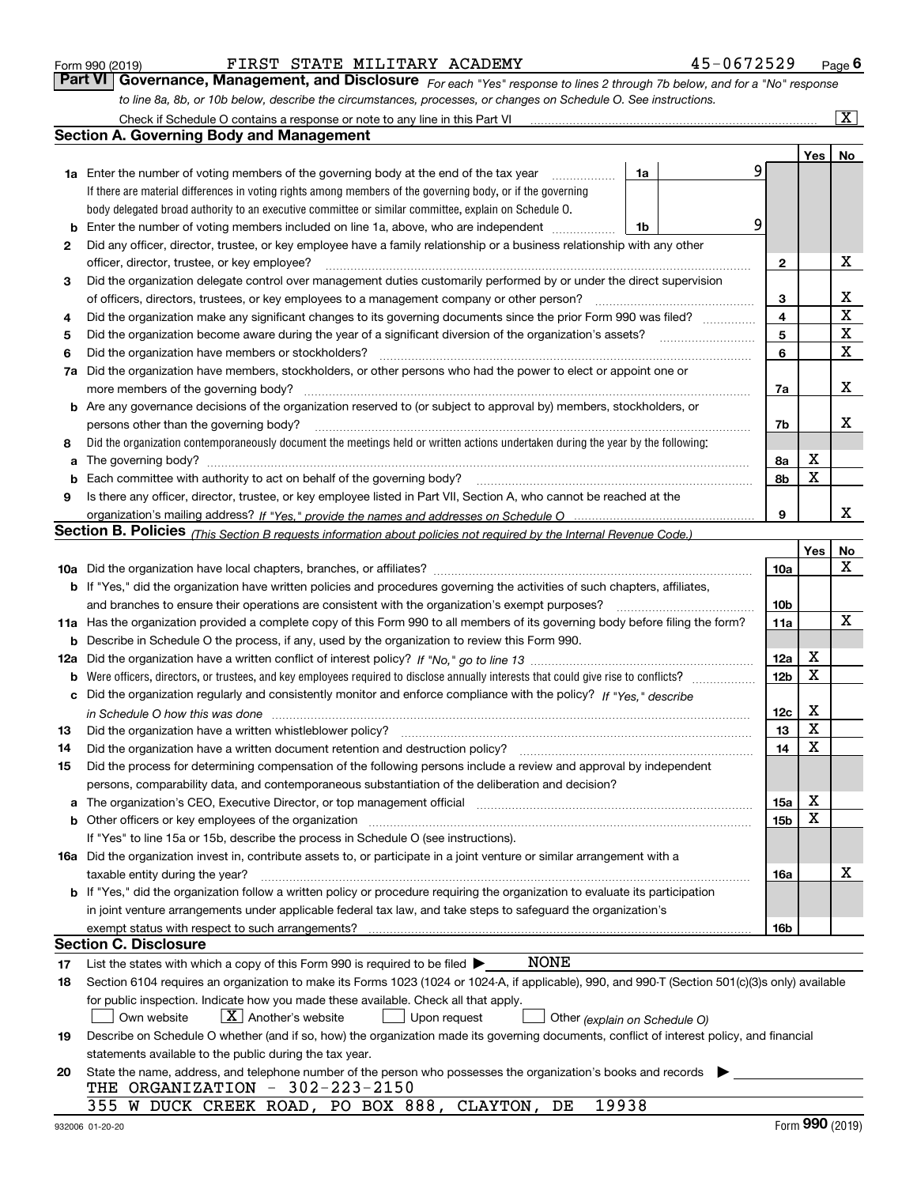FIRST STATE MILITARY ACADEMY 45-0672529

*For each "Yes" response to lines 2 through 7b below, and for a "No" response to line 8a, 8b, or 10b below, describe the circumstances, processes, or changes on Schedule O. See instructions.* Form 990 (2019) **FORT STATE MILITARY ACADEMY 1998 1998 1999 Page 6**<br>**Part VI Governance, Management, and Disclosure** *For each "Yes" response to lines 2 through 7b below, and for a "No" response* Check if Schedule O contains a response or note to any line in this Part VI

|    | Check if Schedule O contains a response or note to any line in this Part VI                                                                                           |    |   |                 |     | $\overline{\mathbf{X}}$ $\overline{\mathbf{X}}$ |
|----|-----------------------------------------------------------------------------------------------------------------------------------------------------------------------|----|---|-----------------|-----|-------------------------------------------------|
|    | Section A. Governing Body and Management                                                                                                                              |    |   |                 |     |                                                 |
|    |                                                                                                                                                                       |    |   |                 | Yes | No                                              |
|    | 1a Enter the number of voting members of the governing body at the end of the tax year                                                                                | 1a | 9 |                 |     |                                                 |
|    | If there are material differences in voting rights among members of the governing body, or if the governing                                                           |    |   |                 |     |                                                 |
|    | body delegated broad authority to an executive committee or similar committee, explain on Schedule O.                                                                 |    |   |                 |     |                                                 |
| b  | Enter the number of voting members included on line 1a, above, who are independent                                                                                    | 1b | 9 |                 |     |                                                 |
| 2  | Did any officer, director, trustee, or key employee have a family relationship or a business relationship with any other                                              |    |   |                 |     |                                                 |
|    | officer, director, trustee, or key employee?                                                                                                                          |    |   | 2               |     | х                                               |
| 3  | Did the organization delegate control over management duties customarily performed by or under the direct supervision                                                 |    |   |                 |     |                                                 |
|    | of officers, directors, trustees, or key employees to a management company or other person?                                                                           |    |   | 3               |     | х                                               |
| 4  | Did the organization make any significant changes to its governing documents since the prior Form 990 was filed?                                                      |    |   | 4               |     | $\mathbf X$                                     |
| 5  |                                                                                                                                                                       |    |   | 5               |     | X                                               |
| 6  | Did the organization have members or stockholders?                                                                                                                    |    |   | 6               |     | $\mathbf X$                                     |
| 7a | Did the organization have members, stockholders, or other persons who had the power to elect or appoint one or                                                        |    |   |                 |     |                                                 |
|    | more members of the governing body?                                                                                                                                   |    |   | 7a              |     | х                                               |
|    | <b>b</b> Are any governance decisions of the organization reserved to (or subject to approval by) members, stockholders, or                                           |    |   |                 |     |                                                 |
|    | persons other than the governing body?                                                                                                                                |    |   | 7b              |     | х                                               |
| 8  | Did the organization contemporaneously document the meetings held or written actions undertaken during the year by the following:                                     |    |   |                 |     |                                                 |
| a  |                                                                                                                                                                       |    |   | 8a              | Х   |                                                 |
| b  |                                                                                                                                                                       |    |   | 8b              | X   |                                                 |
| 9  | Is there any officer, director, trustee, or key employee listed in Part VII, Section A, who cannot be reached at the                                                  |    |   |                 |     |                                                 |
|    |                                                                                                                                                                       |    |   | 9               |     | x                                               |
|    | <b>Section B. Policies</b> (This Section B requests information about policies not required by the Internal Revenue Code.)                                            |    |   |                 |     |                                                 |
|    |                                                                                                                                                                       |    |   |                 | Yes | No                                              |
|    |                                                                                                                                                                       |    |   | 10a             |     | X                                               |
|    | <b>b</b> If "Yes," did the organization have written policies and procedures governing the activities of such chapters, affiliates,                                   |    |   |                 |     |                                                 |
|    | and branches to ensure their operations are consistent with the organization's exempt purposes?                                                                       |    |   | 10 <sub>b</sub> |     |                                                 |
|    | 11a Has the organization provided a complete copy of this Form 990 to all members of its governing body before filing the form?                                       |    |   | 11a             |     | $\mathbf X$                                     |
| b  | Describe in Schedule O the process, if any, used by the organization to review this Form 990.                                                                         |    |   |                 |     |                                                 |
|    |                                                                                                                                                                       |    |   | 12a             | х   |                                                 |
| b  |                                                                                                                                                                       |    |   | 12 <sub>b</sub> | X   |                                                 |
| c  | Did the organization regularly and consistently monitor and enforce compliance with the policy? If "Yes." describe                                                    |    |   |                 |     |                                                 |
|    | in Schedule O how this was done measured and contained a state of the state of the state of the state of the s                                                        |    |   | 12c             | х   |                                                 |
| 13 | Did the organization have a written whistleblower policy?                                                                                                             |    |   | 13              | X   |                                                 |
| 14 | Did the organization have a written document retention and destruction policy?                                                                                        |    |   | 14              | X   |                                                 |
| 15 | Did the process for determining compensation of the following persons include a review and approval by independent                                                    |    |   |                 |     |                                                 |
|    | persons, comparability data, and contemporaneous substantiation of the deliberation and decision?                                                                     |    |   |                 |     |                                                 |
| a  | The organization's CEO, Executive Director, or top management official manufactured content of the organization's CEO, Executive Director, or top management official |    |   | 15a             | х   |                                                 |
|    | <b>b</b> Other officers or key employees of the organization                                                                                                          |    |   | 15b             | х   |                                                 |
|    | If "Yes" to line 15a or 15b, describe the process in Schedule O (see instructions).                                                                                   |    |   |                 |     |                                                 |
|    | 16a Did the organization invest in, contribute assets to, or participate in a joint venture or similar arrangement with a                                             |    |   |                 |     |                                                 |
|    | taxable entity during the year?                                                                                                                                       |    |   | 16a             |     | х                                               |
|    | <b>b</b> If "Yes," did the organization follow a written policy or procedure requiring the organization to evaluate its participation                                 |    |   |                 |     |                                                 |
|    | in joint venture arrangements under applicable federal tax law, and take steps to safequard the organization's                                                        |    |   |                 |     |                                                 |
|    | exempt status with respect to such arrangements?                                                                                                                      |    |   | 16b             |     |                                                 |
|    | Section C. Disclosure                                                                                                                                                 |    |   |                 |     |                                                 |
| 17 | NONE<br>List the states with which a copy of this Form 990 is required to be filed $\blacktriangleright$                                                              |    |   |                 |     |                                                 |
| 18 | Section 6104 requires an organization to make its Forms 1023 (1024 or 1024-A, if applicable), 990, and 990-T (Section 501(c)(3)s only) available                      |    |   |                 |     |                                                 |
|    | for public inspection. Indicate how you made these available. Check all that apply.                                                                                   |    |   |                 |     |                                                 |
|    | $X$ Another's website<br>Upon request<br>Own website<br>Other (explain on Schedule O)                                                                                 |    |   |                 |     |                                                 |
| 19 | Describe on Schedule O whether (and if so, how) the organization made its governing documents, conflict of interest policy, and financial                             |    |   |                 |     |                                                 |
|    | statements available to the public during the tax year.                                                                                                               |    |   |                 |     |                                                 |
| 20 | State the name, address, and telephone number of the person who possesses the organization's books and records                                                        |    |   |                 |     |                                                 |
|    | THE ORGANIZATION - 302-223-2150                                                                                                                                       |    |   |                 |     |                                                 |
|    | 355 W DUCK CREEK ROAD, PO BOX 888, CLAYTON, DE<br>19938                                                                                                               |    |   |                 |     |                                                 |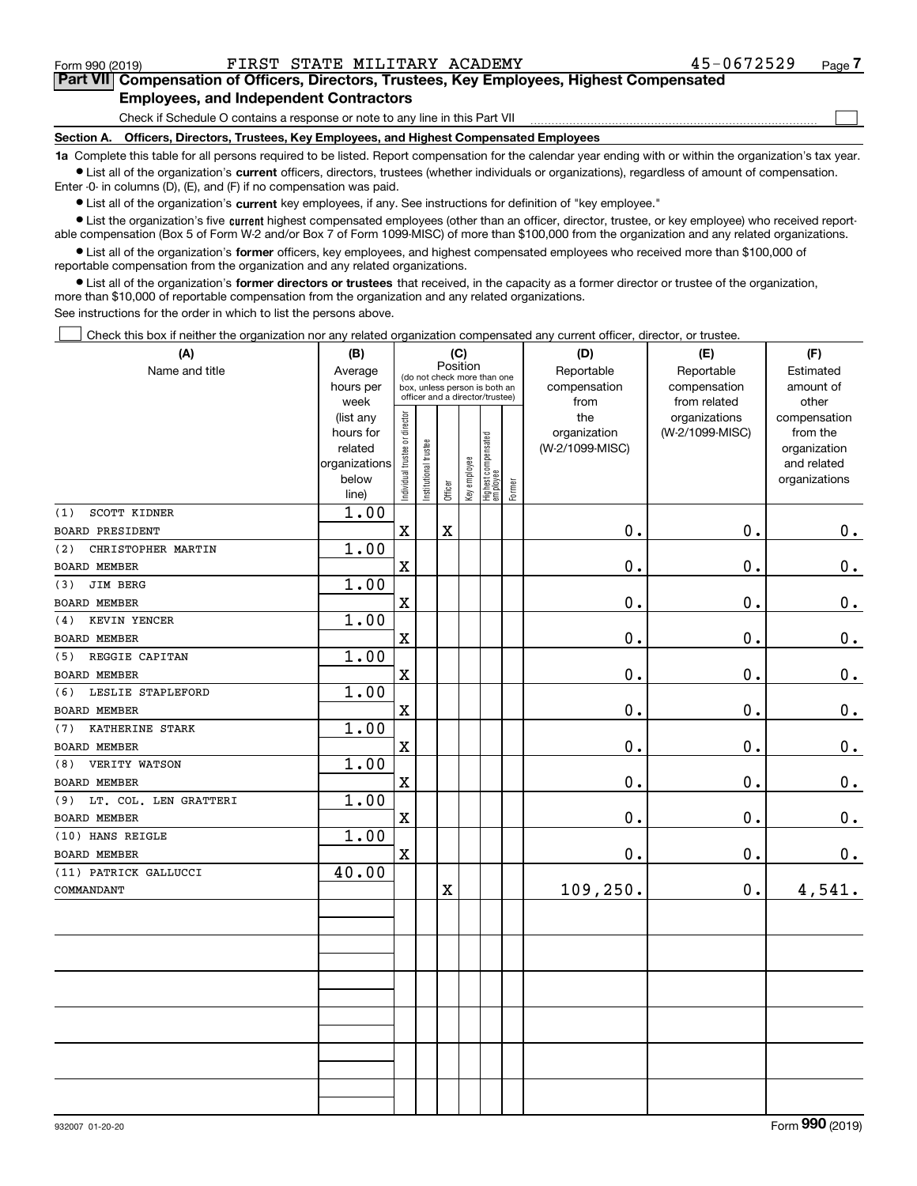$\mathcal{L}^{\text{max}}$ 

## **7Part VII Compensation of Officers, Directors, Trustees, Key Employees, Highest Compensated Employees, and Independent Contractors**

Check if Schedule O contains a response or note to any line in this Part VII

**Section A. Officers, Directors, Trustees, Key Employees, and Highest Compensated Employees**

**1a**  Complete this table for all persons required to be listed. Report compensation for the calendar year ending with or within the organization's tax year. **•** List all of the organization's current officers, directors, trustees (whether individuals or organizations), regardless of amount of compensation.

Enter -0- in columns (D), (E), and (F) if no compensation was paid.

 $\bullet$  List all of the organization's  $\,$ current key employees, if any. See instructions for definition of "key employee."

**•** List the organization's five current highest compensated employees (other than an officer, director, trustee, or key employee) who received reportable compensation (Box 5 of Form W-2 and/or Box 7 of Form 1099-MISC) of more than \$100,000 from the organization and any related organizations.

**•** List all of the organization's former officers, key employees, and highest compensated employees who received more than \$100,000 of reportable compensation from the organization and any related organizations.

**former directors or trustees**  ¥ List all of the organization's that received, in the capacity as a former director or trustee of the organization, more than \$10,000 of reportable compensation from the organization and any related organizations.

See instructions for the order in which to list the persons above.

Check this box if neither the organization nor any related organization compensated any current officer, director, or trustee.  $\mathcal{L}^{\text{max}}$ 

| (A)                         | (B)               |                                |                                                                  |             | (C)          |                                 |        | (D)                  | (E)                          | (F)                |
|-----------------------------|-------------------|--------------------------------|------------------------------------------------------------------|-------------|--------------|---------------------------------|--------|----------------------|------------------------------|--------------------|
| Name and title              | Average           |                                |                                                                  | Position    |              | (do not check more than one     |        | Reportable           | Reportable                   | Estimated          |
|                             | hours per<br>week |                                | box, unless person is both an<br>officer and a director/trustee) |             |              |                                 |        | compensation<br>from | compensation<br>from related | amount of<br>other |
|                             | (list any         |                                |                                                                  |             |              |                                 |        | the                  | organizations                | compensation       |
|                             | hours for         |                                |                                                                  |             |              |                                 |        | organization         | (W-2/1099-MISC)              | from the           |
|                             | related           |                                |                                                                  |             |              |                                 |        | (W-2/1099-MISC)      |                              | organization       |
|                             | organizations     |                                |                                                                  |             |              |                                 |        |                      |                              | and related        |
|                             | below             | Individual trustee or director | Institutional trustee                                            | Officer     | Key employee | Highest compensated<br>employee | Former |                      |                              | organizations      |
| SCOTT KIDNER<br>(1)         | line)<br>1.00     |                                |                                                                  |             |              |                                 |        |                      |                              |                    |
| <b>BOARD PRESIDENT</b>      |                   | $\mathbf X$                    |                                                                  | $\mathbf X$ |              |                                 |        | 0.                   | $\mathbf 0$ .                | $0_{.}$            |
| CHRISTOPHER MARTIN<br>(2)   | 1.00              |                                |                                                                  |             |              |                                 |        |                      |                              |                    |
| BOARD MEMBER                |                   | $\mathbf X$                    |                                                                  |             |              |                                 |        | $\mathbf 0$ .        | $\mathbf 0$ .                | $\mathbf 0$ .      |
| <b>JIM BERG</b><br>(3)      | 1.00              |                                |                                                                  |             |              |                                 |        |                      |                              |                    |
| <b>BOARD MEMBER</b>         |                   | $\mathbf X$                    |                                                                  |             |              |                                 |        | 0.                   | $\mathbf 0$ .                | $\mathbf 0$ .      |
| KEVIN YENCER<br>(4)         | 1.00              |                                |                                                                  |             |              |                                 |        |                      |                              |                    |
| <b>BOARD MEMBER</b>         |                   | $\mathbf X$                    |                                                                  |             |              |                                 |        | 0.                   | $\mathbf 0$ .                | $\mathbf 0$ .      |
| REGGIE CAPITAN<br>(5)       | 1.00              |                                |                                                                  |             |              |                                 |        |                      |                              |                    |
| <b>BOARD MEMBER</b>         |                   | $\rm X$                        |                                                                  |             |              |                                 |        | $\mathbf 0$ .        | 0.                           | $0_{.}$            |
| LESLIE STAPLEFORD<br>(6)    | 1.00              |                                |                                                                  |             |              |                                 |        |                      |                              |                    |
| <b>BOARD MEMBER</b>         |                   | $\mathbf X$                    |                                                                  |             |              |                                 |        | 0.                   | 0.                           | $\mathbf 0$ .      |
| KATHERINE STARK<br>(7)      | 1.00              |                                |                                                                  |             |              |                                 |        |                      |                              |                    |
| <b>BOARD MEMBER</b>         |                   | $\mathbf X$                    |                                                                  |             |              |                                 |        | 0.                   | $\mathbf 0$ .                | $\mathbf 0$ .      |
| <b>VERITY WATSON</b><br>(8) | 1.00              |                                |                                                                  |             |              |                                 |        |                      |                              |                    |
| <b>BOARD MEMBER</b>         |                   | $\rm X$                        |                                                                  |             |              |                                 |        | 0.                   | 0.                           | $\mathbf 0$ .      |
| (9) LT. COL. LEN GRATTERI   | 1.00              |                                |                                                                  |             |              |                                 |        |                      |                              |                    |
| BOARD MEMBER                |                   | $\mathbf X$                    |                                                                  |             |              |                                 |        | $0$ .                | 0.                           | 0.                 |
| (10) HANS REIGLE            | 1.00              |                                |                                                                  |             |              |                                 |        |                      |                              |                    |
| BOARD MEMBER                |                   | $\mathbf X$                    |                                                                  |             |              |                                 |        | $0$ .                | 0.                           | 0.                 |
| (11) PATRICK GALLUCCI       | 40.00             |                                |                                                                  |             |              |                                 |        |                      |                              |                    |
| COMMANDANT                  |                   |                                |                                                                  | $\rm X$     |              |                                 |        | 109,250.             | 0.                           | 4,541.             |
|                             |                   |                                |                                                                  |             |              |                                 |        |                      |                              |                    |
|                             |                   |                                |                                                                  |             |              |                                 |        |                      |                              |                    |
|                             |                   |                                |                                                                  |             |              |                                 |        |                      |                              |                    |
|                             |                   |                                |                                                                  |             |              |                                 |        |                      |                              |                    |
|                             |                   |                                |                                                                  |             |              |                                 |        |                      |                              |                    |
|                             |                   |                                |                                                                  |             |              |                                 |        |                      |                              |                    |
|                             |                   |                                |                                                                  |             |              |                                 |        |                      |                              |                    |
|                             |                   |                                |                                                                  |             |              |                                 |        |                      |                              |                    |
|                             |                   |                                |                                                                  |             |              |                                 |        |                      |                              |                    |
|                             |                   |                                |                                                                  |             |              |                                 |        |                      |                              |                    |
|                             |                   |                                |                                                                  |             |              |                                 |        |                      |                              |                    |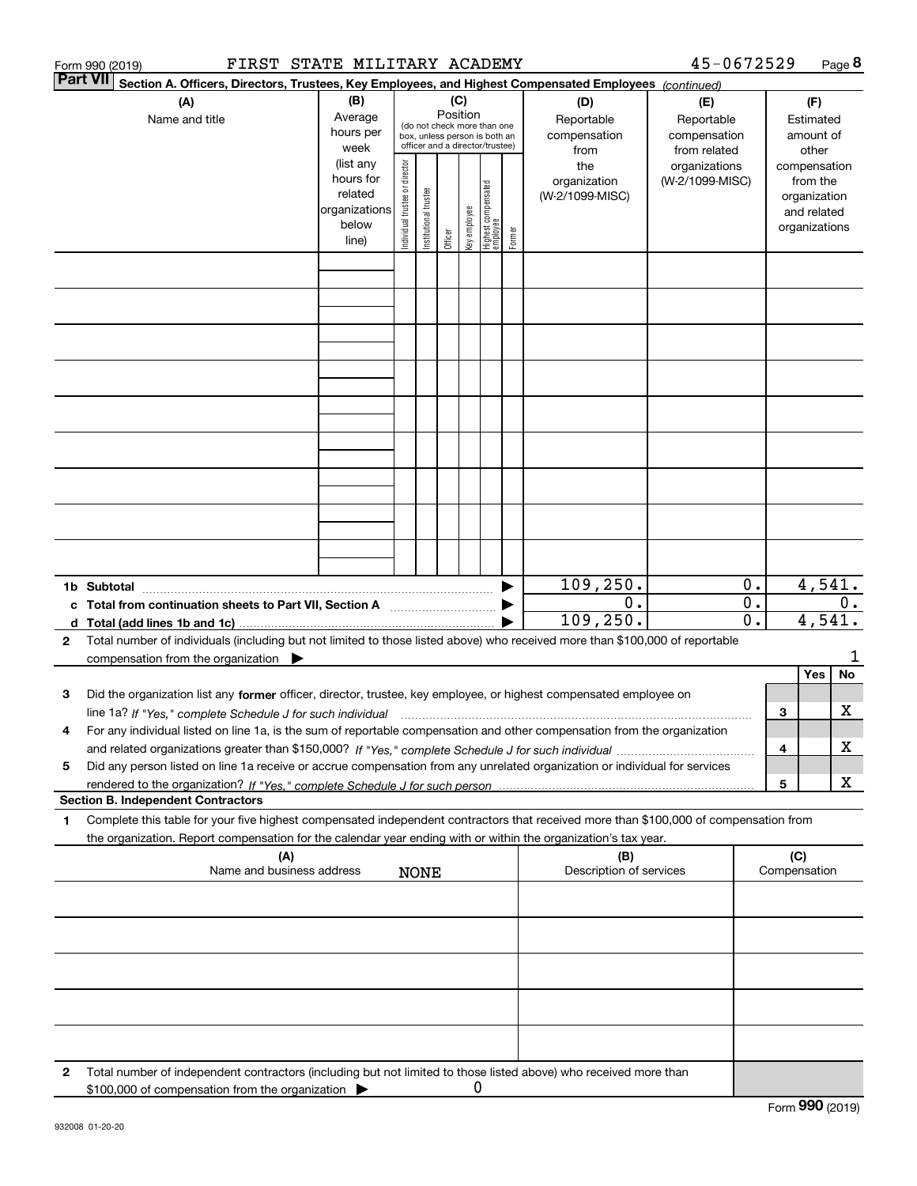| 45-0672529<br>FIRST STATE MILITARY ACADEMY<br>Form 990 (2019) |                                                                                                                                                                                                                                                                             |                                     |                                                                                                                    |  |  |   |  |  | Page 8                                                                                         |  |                     |                                                                          |        |       |
|---------------------------------------------------------------|-----------------------------------------------------------------------------------------------------------------------------------------------------------------------------------------------------------------------------------------------------------------------------|-------------------------------------|--------------------------------------------------------------------------------------------------------------------|--|--|---|--|--|------------------------------------------------------------------------------------------------|--|---------------------|--------------------------------------------------------------------------|--------|-------|
|                                                               | Part VII<br>Section A. Officers, Directors, Trustees, Key Employees, and Highest Compensated Employees (continued)                                                                                                                                                          |                                     |                                                                                                                    |  |  |   |  |  |                                                                                                |  |                     |                                                                          |        |       |
|                                                               | (A)<br>Name and title                                                                                                                                                                                                                                                       | (B)<br>Average<br>hours per<br>week | (C)<br>Position<br>(do not check more than one<br>box, unless person is both an<br>officer and a director/trustee) |  |  |   |  |  | (D)<br>(E)<br>Reportable<br>Reportable<br>compensation<br>compensation<br>from related<br>from |  |                     | (F)<br>Estimated<br>amount of<br>other                                   |        |       |
|                                                               | (list any<br>Individual trustee or director<br>the<br>hours for<br>organization<br>Highest compensated<br>employee<br>Itustee<br>related<br>(W-2/1099-MISC)<br>organizations<br>key employee<br>Institutional t<br>below<br>Former<br>Officer<br>line)                      |                                     |                                                                                                                    |  |  |   |  |  | organizations<br>(W-2/1099-MISC)                                                               |  |                     | compensation<br>from the<br>organization<br>and related<br>organizations |        |       |
|                                                               |                                                                                                                                                                                                                                                                             |                                     |                                                                                                                    |  |  |   |  |  |                                                                                                |  |                     |                                                                          |        |       |
|                                                               |                                                                                                                                                                                                                                                                             |                                     |                                                                                                                    |  |  |   |  |  |                                                                                                |  |                     |                                                                          |        |       |
|                                                               |                                                                                                                                                                                                                                                                             |                                     |                                                                                                                    |  |  |   |  |  |                                                                                                |  |                     |                                                                          |        |       |
|                                                               |                                                                                                                                                                                                                                                                             |                                     |                                                                                                                    |  |  |   |  |  |                                                                                                |  |                     |                                                                          |        |       |
|                                                               |                                                                                                                                                                                                                                                                             |                                     |                                                                                                                    |  |  |   |  |  |                                                                                                |  |                     |                                                                          |        |       |
|                                                               |                                                                                                                                                                                                                                                                             |                                     |                                                                                                                    |  |  |   |  |  |                                                                                                |  |                     |                                                                          |        |       |
|                                                               |                                                                                                                                                                                                                                                                             |                                     |                                                                                                                    |  |  |   |  |  |                                                                                                |  |                     |                                                                          |        |       |
|                                                               |                                                                                                                                                                                                                                                                             |                                     |                                                                                                                    |  |  |   |  |  |                                                                                                |  |                     |                                                                          |        |       |
|                                                               | 1b Subtotal                                                                                                                                                                                                                                                                 |                                     |                                                                                                                    |  |  |   |  |  | 109, 250.                                                                                      |  | 0.                  |                                                                          | 4,541. |       |
|                                                               | c Total from continuation sheets to Part VII, Section A                                                                                                                                                                                                                     |                                     |                                                                                                                    |  |  |   |  |  | 0.<br>109, 250.                                                                                |  | 0.<br>$\mathbf 0$ . |                                                                          | 4,541. | $0$ . |
| 2                                                             | Total number of individuals (including but not limited to those listed above) who received more than \$100,000 of reportable<br>compensation from the organization $\blacktriangleright$                                                                                    |                                     |                                                                                                                    |  |  |   |  |  |                                                                                                |  |                     |                                                                          |        | 1     |
|                                                               |                                                                                                                                                                                                                                                                             |                                     |                                                                                                                    |  |  |   |  |  |                                                                                                |  |                     |                                                                          | Yes    | No    |
| з                                                             | Did the organization list any former officer, director, trustee, key employee, or highest compensated employee on                                                                                                                                                           |                                     |                                                                                                                    |  |  |   |  |  |                                                                                                |  |                     | 3                                                                        |        | x     |
| 4                                                             | line 1a? If "Yes," complete Schedule J for such individual manufactured contained and the 1a? If "Yes," complete Schedule J for such individual<br>For any individual listed on line 1a, is the sum of reportable compensation and other compensation from the organization |                                     |                                                                                                                    |  |  |   |  |  |                                                                                                |  |                     | 4                                                                        |        | x     |
| 5                                                             | Did any person listed on line 1a receive or accrue compensation from any unrelated organization or individual for services                                                                                                                                                  |                                     |                                                                                                                    |  |  |   |  |  |                                                                                                |  |                     | 5                                                                        |        | x     |
|                                                               | <b>Section B. Independent Contractors</b>                                                                                                                                                                                                                                   |                                     |                                                                                                                    |  |  |   |  |  |                                                                                                |  |                     |                                                                          |        |       |
| 1                                                             | Complete this table for your five highest compensated independent contractors that received more than \$100,000 of compensation from<br>the organization. Report compensation for the calendar year ending with or within the organization's tax year.                      |                                     |                                                                                                                    |  |  |   |  |  |                                                                                                |  |                     |                                                                          |        |       |
|                                                               | (A)<br>(B)<br>Name and business address<br>Description of services<br><b>NONE</b>                                                                                                                                                                                           |                                     |                                                                                                                    |  |  |   |  |  |                                                                                                |  | (C)                 | Compensation                                                             |        |       |
|                                                               |                                                                                                                                                                                                                                                                             |                                     |                                                                                                                    |  |  |   |  |  |                                                                                                |  |                     |                                                                          |        |       |
|                                                               |                                                                                                                                                                                                                                                                             |                                     |                                                                                                                    |  |  |   |  |  |                                                                                                |  |                     |                                                                          |        |       |
|                                                               |                                                                                                                                                                                                                                                                             |                                     |                                                                                                                    |  |  |   |  |  |                                                                                                |  |                     |                                                                          |        |       |
|                                                               |                                                                                                                                                                                                                                                                             |                                     |                                                                                                                    |  |  |   |  |  |                                                                                                |  |                     |                                                                          |        |       |
|                                                               |                                                                                                                                                                                                                                                                             |                                     |                                                                                                                    |  |  |   |  |  |                                                                                                |  |                     |                                                                          |        |       |
| 2                                                             | Total number of independent contractors (including but not limited to those listed above) who received more than<br>\$100,000 of compensation from the organization                                                                                                         |                                     |                                                                                                                    |  |  | 0 |  |  |                                                                                                |  |                     |                                                                          |        |       |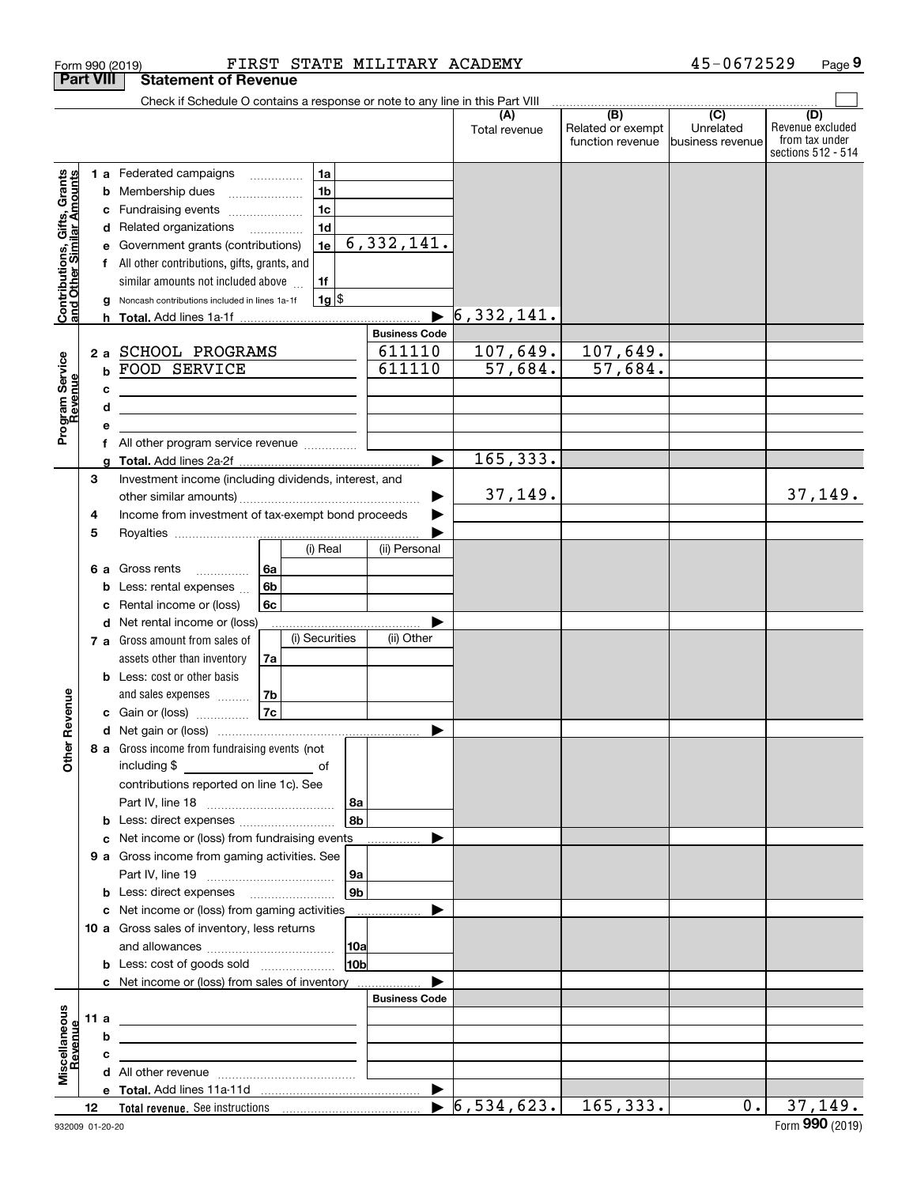|                                                           | <b>Part VIII</b> | <b>Statement of Revenue</b>                                                   |                |                       |                      |                                       |                                                 |                                                                 |
|-----------------------------------------------------------|------------------|-------------------------------------------------------------------------------|----------------|-----------------------|----------------------|---------------------------------------|-------------------------------------------------|-----------------------------------------------------------------|
|                                                           |                  | Check if Schedule O contains a response or note to any line in this Part VIII |                |                       |                      | (B)                                   |                                                 |                                                                 |
|                                                           |                  |                                                                               |                |                       | (A)<br>Total revenue | Related or exempt<br>function revenue | $\overline{C}$<br>Unrelated<br>business revenue | (D)<br>Revenue excluded<br>from tax under<br>sections 512 - 514 |
|                                                           |                  | 1 a Federated campaigns                                                       | 1a             |                       |                      |                                       |                                                 |                                                                 |
| Contributions, Gifts, Grants<br>and Other Similar Amounts |                  | <b>b</b> Membership dues                                                      | 1 <sub>b</sub> |                       |                      |                                       |                                                 |                                                                 |
|                                                           | c                | Fundraising events                                                            | 1 <sub>c</sub> |                       |                      |                                       |                                                 |                                                                 |
|                                                           |                  | d Related organizations                                                       | 1 <sub>d</sub> |                       |                      |                                       |                                                 |                                                                 |
|                                                           |                  | e Government grants (contributions)                                           | 1e             | 6,332,141.            |                      |                                       |                                                 |                                                                 |
|                                                           |                  | All other contributions, gifts, grants, and                                   |                |                       |                      |                                       |                                                 |                                                                 |
|                                                           |                  | similar amounts not included above                                            | 1f             |                       |                      |                                       |                                                 |                                                                 |
|                                                           |                  | Noncash contributions included in lines 1a-1f                                 | $1g$ \$        |                       |                      |                                       |                                                 |                                                                 |
|                                                           |                  |                                                                               |                |                       | 6,332,141.           |                                       |                                                 |                                                                 |
|                                                           |                  |                                                                               |                | <b>Business Code</b>  |                      |                                       |                                                 |                                                                 |
|                                                           |                  | 2 a SCHOOL PROGRAMS                                                           |                | 611110                | 107,649.             | 107,649.                              |                                                 |                                                                 |
|                                                           |                  | <b>b FOOD SERVICE</b>                                                         |                | 611110                | 57,684.              | 57,684.                               |                                                 |                                                                 |
|                                                           | c                | <u> 1989 - Johann Barn, mars eta bainar eta idazlea (</u>                     |                |                       |                      |                                       |                                                 |                                                                 |
|                                                           | d                | the control of the control of the control of the control of the control of    |                |                       |                      |                                       |                                                 |                                                                 |
| Program Service<br>Revenue                                | е                |                                                                               |                |                       |                      |                                       |                                                 |                                                                 |
|                                                           |                  | All other program service revenue                                             |                | $\blacktriangleright$ | 165, 333.            |                                       |                                                 |                                                                 |
|                                                           | 3                | Investment income (including dividends, interest, and                         |                |                       |                      |                                       |                                                 |                                                                 |
|                                                           |                  |                                                                               |                |                       | 37,149.              |                                       |                                                 | 37,149.                                                         |
|                                                           | 4                | Income from investment of tax-exempt bond proceeds                            |                |                       |                      |                                       |                                                 |                                                                 |
|                                                           | 5                |                                                                               |                |                       |                      |                                       |                                                 |                                                                 |
|                                                           |                  |                                                                               | (i) Real       | (ii) Personal         |                      |                                       |                                                 |                                                                 |
|                                                           |                  | 6 a Gross rents<br>.                                                          | 6a             |                       |                      |                                       |                                                 |                                                                 |
|                                                           |                  | <b>b</b> Less: rental expenses                                                | 6 <sub>b</sub> |                       |                      |                                       |                                                 |                                                                 |
|                                                           | c                | Rental income or (loss)                                                       | 6c             |                       |                      |                                       |                                                 |                                                                 |
|                                                           |                  | d Net rental income or (loss)                                                 |                |                       |                      |                                       |                                                 |                                                                 |
|                                                           |                  | 7 a Gross amount from sales of                                                | (i) Securities | (ii) Other            |                      |                                       |                                                 |                                                                 |
|                                                           |                  | assets other than inventory                                                   | 7a             |                       |                      |                                       |                                                 |                                                                 |
|                                                           |                  | <b>b</b> Less: cost or other basis                                            |                |                       |                      |                                       |                                                 |                                                                 |
|                                                           |                  | and sales expenses                                                            | 7b             |                       |                      |                                       |                                                 |                                                                 |
| Revenue                                                   |                  | c Gain or (loss)                                                              | 7c             |                       |                      |                                       |                                                 |                                                                 |
|                                                           |                  |                                                                               |                | ▶                     |                      |                                       |                                                 |                                                                 |
|                                                           |                  | 8 a Gross income from fundraising events (not                                 |                |                       |                      |                                       |                                                 |                                                                 |
| <b>Othe</b>                                               |                  | including \$                                                                  |                |                       |                      |                                       |                                                 |                                                                 |
|                                                           |                  | contributions reported on line 1c). See                                       |                |                       |                      |                                       |                                                 |                                                                 |
|                                                           |                  |                                                                               |                | 8a                    |                      |                                       |                                                 |                                                                 |
|                                                           |                  | <b>b</b> Less: direct expenses <i></i>                                        |                | l 8b                  |                      |                                       |                                                 |                                                                 |
|                                                           |                  | c Net income or (loss) from fundraising events                                |                |                       |                      |                                       |                                                 |                                                                 |
|                                                           |                  | 9 a Gross income from gaming activities. See                                  |                |                       |                      |                                       |                                                 |                                                                 |
|                                                           |                  |                                                                               |                | 9a                    |                      |                                       |                                                 |                                                                 |
|                                                           |                  | <b>b</b> Less: direct expenses <b>manually</b>                                |                | 9 <sub>b</sub>        |                      |                                       |                                                 |                                                                 |
|                                                           |                  | c Net income or (loss) from gaming activities                                 |                | .                     |                      |                                       |                                                 |                                                                 |
|                                                           |                  | 10 a Gross sales of inventory, less returns                                   |                |                       |                      |                                       |                                                 |                                                                 |
|                                                           |                  |                                                                               |                | 10a                   |                      |                                       |                                                 |                                                                 |
|                                                           |                  | <b>b</b> Less: cost of goods sold                                             |                | 10b                   |                      |                                       |                                                 |                                                                 |
|                                                           |                  | c Net income or (loss) from sales of inventory                                |                |                       |                      |                                       |                                                 |                                                                 |
|                                                           |                  |                                                                               |                | <b>Business Code</b>  |                      |                                       |                                                 |                                                                 |
| Miscellaneous                                             | 11 a             | <u> 1989 - Johann Barbara, martxa alemaniar arg</u>                           |                |                       |                      |                                       |                                                 |                                                                 |
| Revenue                                                   | b                |                                                                               |                |                       |                      |                                       |                                                 |                                                                 |
|                                                           | с                | <u> 1989 - John Stein, Amerikaansk politiker (</u>                            |                |                       |                      |                                       |                                                 |                                                                 |
|                                                           |                  |                                                                               |                |                       |                      |                                       |                                                 |                                                                 |
|                                                           | 12 <sup>12</sup> |                                                                               |                |                       |                      | $\triangleright$ 6,534,623. 165,333.  | 0.                                              | 37,149.                                                         |
|                                                           |                  |                                                                               |                |                       |                      |                                       |                                                 |                                                                 |

Form 990 (2019) FIRST STATE MILITARY ACADEMY 45-0672529 Page

**9**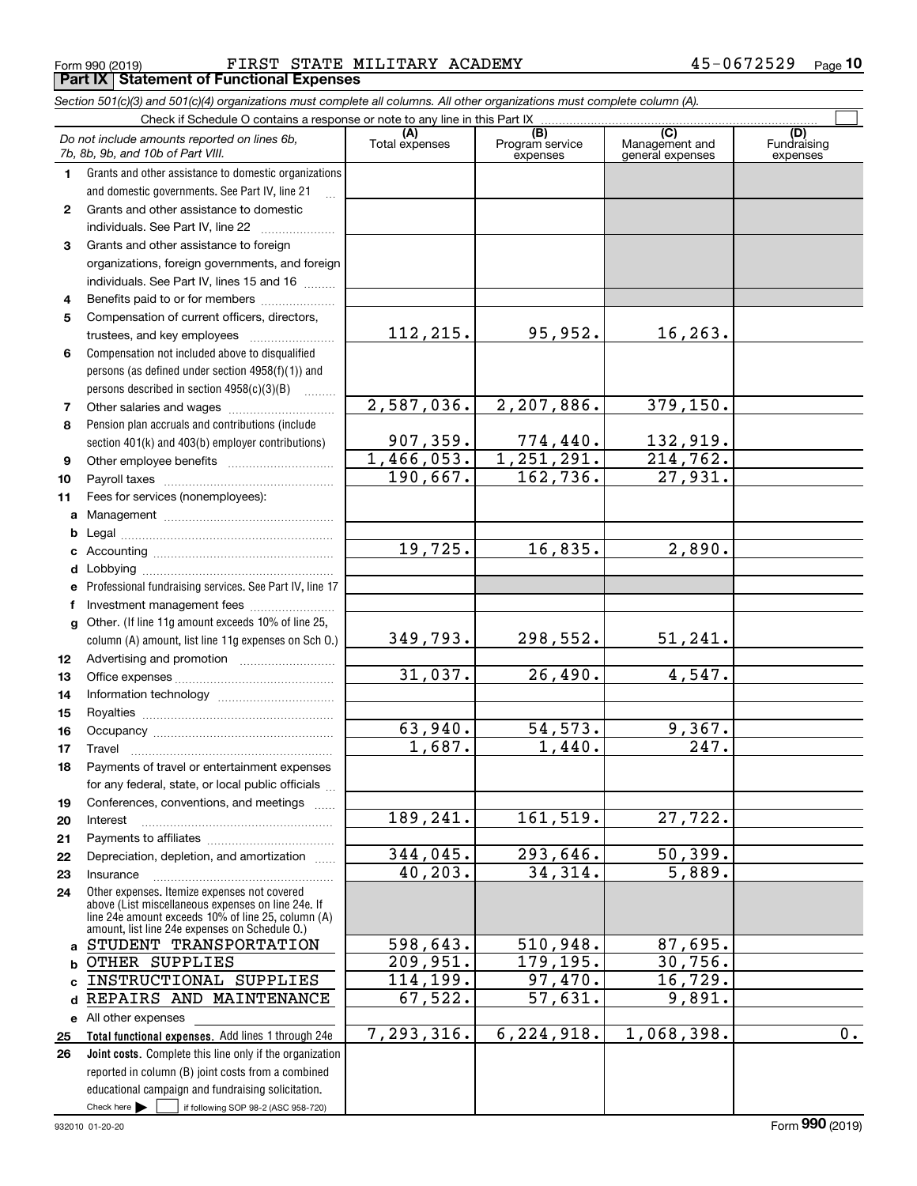Form 990 (2019) FIRST STATE MILITARY ACADEMY 45-0672529 <sub>Page</sub> **Part IX Statement of Functional Expenses**

*Section 501(c)(3) and 501(c)(4) organizations must complete all columns. All other organizations must complete column (A).*

|              | Do not include amounts reported on lines 6b,<br>7b, 8b, 9b, and 10b of Part VIII.                                                                        | (A)<br>Total expenses | $\overline{(B)}$<br>Program service<br>expenses | (C)<br>Management and<br>general expenses | (D)<br>Fundraising<br>expenses |
|--------------|----------------------------------------------------------------------------------------------------------------------------------------------------------|-----------------------|-------------------------------------------------|-------------------------------------------|--------------------------------|
| 1.           | Grants and other assistance to domestic organizations                                                                                                    |                       |                                                 |                                           |                                |
|              | and domestic governments. See Part IV, line 21                                                                                                           |                       |                                                 |                                           |                                |
| $\mathbf{2}$ | Grants and other assistance to domestic                                                                                                                  |                       |                                                 |                                           |                                |
|              | individuals. See Part IV, line 22                                                                                                                        |                       |                                                 |                                           |                                |
| 3            | Grants and other assistance to foreign                                                                                                                   |                       |                                                 |                                           |                                |
|              | organizations, foreign governments, and foreign                                                                                                          |                       |                                                 |                                           |                                |
|              | individuals. See Part IV, lines 15 and 16                                                                                                                |                       |                                                 |                                           |                                |
| 4            | Benefits paid to or for members                                                                                                                          |                       |                                                 |                                           |                                |
| 5            | Compensation of current officers, directors,                                                                                                             |                       |                                                 |                                           |                                |
|              | trustees, and key employees                                                                                                                              | 112,215.              | 95,952.                                         | 16,263.                                   |                                |
| 6            | Compensation not included above to disqualified                                                                                                          |                       |                                                 |                                           |                                |
|              | persons (as defined under section 4958(f)(1)) and                                                                                                        |                       |                                                 |                                           |                                |
|              | persons described in section 4958(c)(3)(B)                                                                                                               |                       |                                                 |                                           |                                |
| 7            | Other salaries and wages                                                                                                                                 | 2,587,036.            | 2,207,886.                                      | 379, 150.                                 |                                |
| 8            | Pension plan accruals and contributions (include                                                                                                         |                       |                                                 |                                           |                                |
|              | section 401(k) and 403(b) employer contributions)                                                                                                        | 907,359.              | 774,440.                                        | 132,919.                                  |                                |
| 9            |                                                                                                                                                          | 1,466,053.            | 1, 251, 291.                                    | 214,762.                                  |                                |
| 10           |                                                                                                                                                          | 190,667.              | 162,736.                                        | $\overline{27,931}$ .                     |                                |
| 11           | Fees for services (nonemployees):                                                                                                                        |                       |                                                 |                                           |                                |
|              |                                                                                                                                                          |                       |                                                 |                                           |                                |
|              |                                                                                                                                                          |                       |                                                 |                                           |                                |
|              |                                                                                                                                                          | 19,725.               | 16,835.                                         | 2,890.                                    |                                |
|              |                                                                                                                                                          |                       |                                                 |                                           |                                |
|              | e Professional fundraising services. See Part IV, line 17                                                                                                |                       |                                                 |                                           |                                |
| f            | Investment management fees                                                                                                                               |                       |                                                 |                                           |                                |
|              | g Other. (If line 11g amount exceeds 10% of line 25,                                                                                                     |                       |                                                 |                                           |                                |
|              | column (A) amount, list line 11g expenses on Sch 0.)                                                                                                     | 349,793.              | 298,552.                                        | 51,241.                                   |                                |
| 12           |                                                                                                                                                          |                       |                                                 |                                           |                                |
| 13           |                                                                                                                                                          | 31,037.               | 26,490.                                         | 4,547.                                    |                                |
| 14           |                                                                                                                                                          |                       |                                                 |                                           |                                |
| 15           |                                                                                                                                                          |                       |                                                 |                                           |                                |
| 16           |                                                                                                                                                          | 63,940.               | 54, 573.                                        | 9,367.                                    |                                |
| 17           |                                                                                                                                                          | 1,687.                | 1,440.                                          | $\overline{247}$ .                        |                                |
| 18           | Payments of travel or entertainment expenses                                                                                                             |                       |                                                 |                                           |                                |
|              | for any federal, state, or local public officials                                                                                                        |                       |                                                 |                                           |                                |
| 19           | Conferences, conventions, and meetings                                                                                                                   |                       |                                                 |                                           |                                |
| 20           | Interest                                                                                                                                                 | 189, 241.             | 161,519.                                        | 27,722.                                   |                                |
| 21           |                                                                                                                                                          |                       |                                                 |                                           |                                |
| 22           | Depreciation, depletion, and amortization                                                                                                                | 344,045.              | 293,646.                                        | 50, 399.                                  |                                |
| 23           | Insurance                                                                                                                                                | 40,203.               | 34,314.                                         | 5,889.                                    |                                |
| 24           | Other expenses. Itemize expenses not covered<br>above (List miscellaneous expenses on line 24e. If<br>line 24e amount exceeds 10% of line 25, column (A) |                       |                                                 |                                           |                                |
|              | amount, list line 24e expenses on Schedule 0.)<br>a STUDENT TRANSPORTATION                                                                               | 598,643.              | 510,948.                                        | 87,695.                                   |                                |
|              | <b>b OTHER SUPPLIES</b>                                                                                                                                  | 209,951.              | 179, 195.                                       | 30,756.                                   |                                |
|              | INSTRUCTIONAL SUPPLIES                                                                                                                                   | 114,199.              | 97,470.                                         | 16,729.                                   |                                |
| c            | d REPAIRS AND MAINTENANCE                                                                                                                                | 67,522.               | 57,631.                                         | 9,891.                                    |                                |
|              |                                                                                                                                                          |                       |                                                 |                                           |                                |
|              | e All other expenses                                                                                                                                     | 7,293,316.            | 6,224,918.                                      | 1,068,398.                                | $\overline{0}$ .               |
| 25           | Total functional expenses. Add lines 1 through 24e<br>Joint costs. Complete this line only if the organization                                           |                       |                                                 |                                           |                                |
| 26           | reported in column (B) joint costs from a combined                                                                                                       |                       |                                                 |                                           |                                |
|              | educational campaign and fundraising solicitation.                                                                                                       |                       |                                                 |                                           |                                |
|              | Check here $\blacktriangleright$<br>if following SOP 98-2 (ASC 958-720)                                                                                  |                       |                                                 |                                           |                                |
|              |                                                                                                                                                          |                       |                                                 |                                           |                                |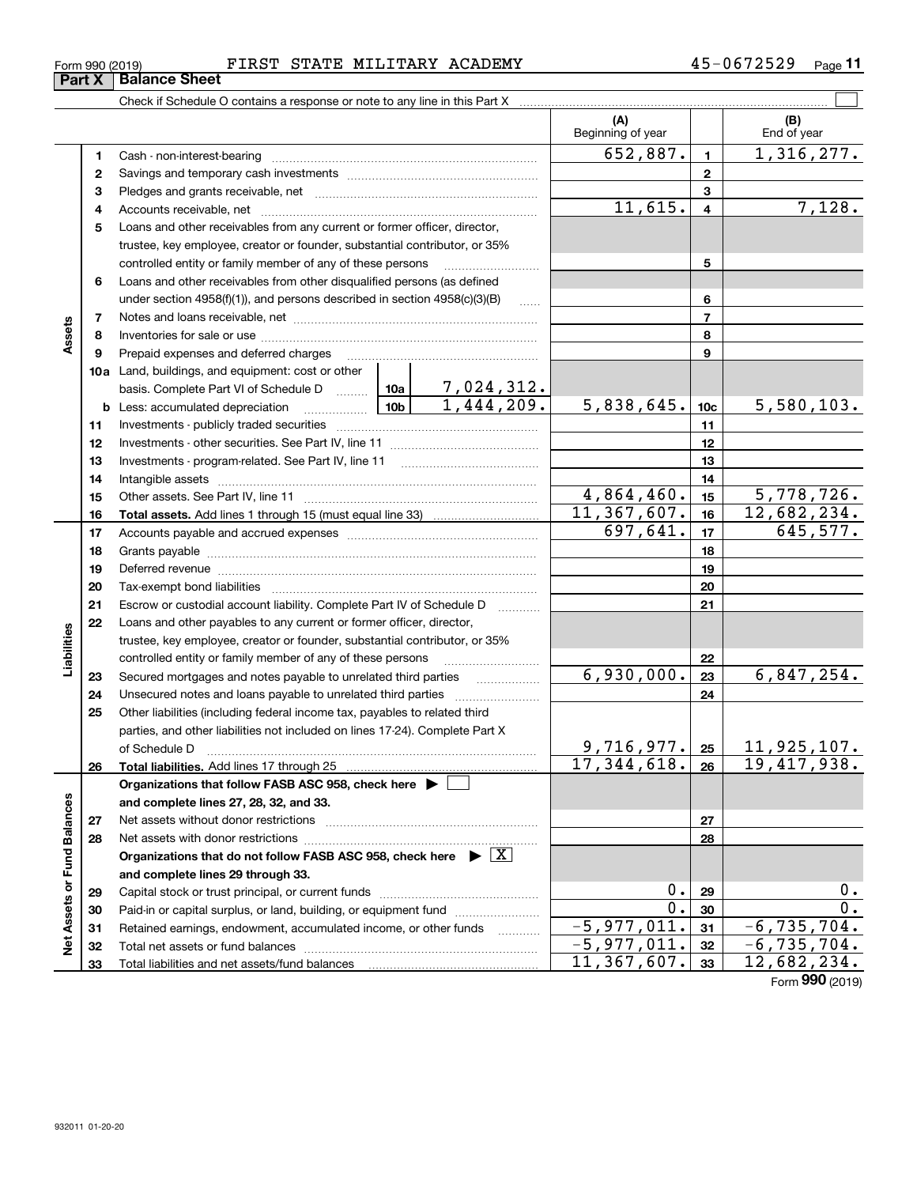**33**

Total liabilities and net assets/fund balances

| 45-0672529<br>MILITARY ACADEMY<br>STATE<br>FIRST<br>Form 990 (2019) | $P$ age |
|---------------------------------------------------------------------|---------|
|---------------------------------------------------------------------|---------|

|                             |    |                                                                                                    |             |            | (A)<br>Beginning of year |                          | (B)<br>End of year |
|-----------------------------|----|----------------------------------------------------------------------------------------------------|-------------|------------|--------------------------|--------------------------|--------------------|
|                             | 1  | Cash - non-interest-bearing                                                                        |             |            | 652,887.                 | $\mathbf{1}$             | 1,316,277.         |
|                             | 2  |                                                                                                    |             |            |                          | $\mathbf{2}$             |                    |
|                             | з  |                                                                                                    |             | 3          |                          |                          |                    |
|                             | 4  |                                                                                                    |             |            | 11,615.                  | $\overline{\mathbf{4}}$  | 7,128.             |
|                             | 5  | Loans and other receivables from any current or former officer, director,                          |             |            |                          |                          |                    |
|                             |    | trustee, key employee, creator or founder, substantial contributor, or 35%                         |             |            |                          |                          |                    |
|                             |    | controlled entity or family member of any of these persons                                         |             |            |                          | 5                        |                    |
|                             | 6  | Loans and other receivables from other disqualified persons (as defined                            |             |            |                          |                          |                    |
|                             |    | under section $4958(f)(1)$ , and persons described in section $4958(c)(3)(B)$                      |             |            |                          | 6                        |                    |
|                             | 7  |                                                                                                    |             |            |                          | $\overline{\phantom{a}}$ |                    |
| Assets                      | 8  |                                                                                                    |             |            |                          | 8                        |                    |
|                             | 9  | Prepaid expenses and deferred charges                                                              |             |            |                          | 9                        |                    |
|                             |    | <b>10a</b> Land, buildings, and equipment: cost or other                                           |             |            |                          |                          |                    |
|                             |    |                                                                                                    |             |            |                          |                          |                    |
|                             |    | basis. Complete Part VI of Schedule D  10a 7, 024, 312.<br><b>b</b> Less: accumulated depreciation |             |            | 5,838,645.               | 10 <sub>c</sub>          | 5,580,103.         |
|                             | 11 |                                                                                                    |             |            |                          | 11                       |                    |
|                             | 12 |                                                                                                    |             |            |                          | 12                       |                    |
|                             | 13 | Investments - program-related. See Part IV, line 11                                                |             |            |                          | 13                       |                    |
|                             | 14 | Intangible assets                                                                                  |             |            |                          | 14                       |                    |
|                             | 15 |                                                                                                    |             | 4,864,460. | 15                       | $\overline{5,778},726.$  |                    |
|                             | 16 |                                                                                                    | 11,367,607. | 16         | 12,682,234.              |                          |                    |
|                             | 17 |                                                                                                    | 697,641.    | 17         | 645, 577.                |                          |                    |
|                             | 18 |                                                                                                    |             | 18         |                          |                          |                    |
|                             | 19 |                                                                                                    |             |            |                          | 19                       |                    |
|                             | 20 |                                                                                                    |             |            |                          | 20                       |                    |
|                             | 21 | Escrow or custodial account liability. Complete Part IV of Schedule D                              |             |            |                          | 21                       |                    |
|                             | 22 | Loans and other payables to any current or former officer, director,                               |             |            |                          |                          |                    |
|                             |    | trustee, key employee, creator or founder, substantial contributor, or 35%                         |             |            |                          |                          |                    |
| Liabilities                 |    | controlled entity or family member of any of these persons                                         |             |            |                          | 22                       |                    |
|                             | 23 | Secured mortgages and notes payable to unrelated third parties                                     |             |            | 6,930,000.               | 23                       | 6,847,254.         |
|                             | 24 | Unsecured notes and loans payable to unrelated third parties                                       |             |            |                          | 24                       |                    |
|                             | 25 | Other liabilities (including federal income tax, payables to related third                         |             |            |                          |                          |                    |
|                             |    | parties, and other liabilities not included on lines 17-24). Complete Part X                       |             |            |                          |                          |                    |
|                             |    | of Schedule D                                                                                      |             |            | 9,716,977.               | 25                       | 11,925,107.        |
|                             | 26 | Total liabilities. Add lines 17 through 25                                                         |             |            | 17,344,618.              | 26                       | 19,417,938.        |
|                             |    | Organizations that follow FASB ASC 958, check here $\blacktriangleright$                           |             |            |                          |                          |                    |
|                             |    | and complete lines 27, 28, 32, and 33.                                                             |             |            |                          |                          |                    |
|                             | 27 | Net assets without donor restrictions                                                              |             |            |                          | 27                       |                    |
|                             | 28 |                                                                                                    |             |            |                          | 28                       |                    |
|                             |    | Organizations that do not follow FASB ASC 958, check here $\triangleright \lfloor X \rfloor$       |             |            |                          |                          |                    |
|                             |    | and complete lines 29 through 33.                                                                  |             |            |                          |                          |                    |
|                             | 29 |                                                                                                    |             |            | 0.                       | 29                       | $0$ .              |
|                             | 30 | Paid-in or capital surplus, or land, building, or equipment fund                                   |             |            | $\overline{0}$ .         | 30                       | $\overline{0}$ .   |
|                             | 31 | Retained earnings, endowment, accumulated income, or other funds                                   |             | .          | $-5,977,011.$            | 31                       | $-6, 735, 704.$    |
| Net Assets or Fund Balances | 32 |                                                                                                    |             |            | $-5,977,011.$            | 32                       | $-6, 735, 704.$    |
|                             |    |                                                                                                    |             |            |                          |                          |                    |

Form (2019) **990**

**33**11,367,607. 12,682,234.

# **Part X Balance Sheet**

| Form 990 (2019 |  |  |
|----------------|--|--|
|                |  |  |

 $\overline{\phantom{0}}$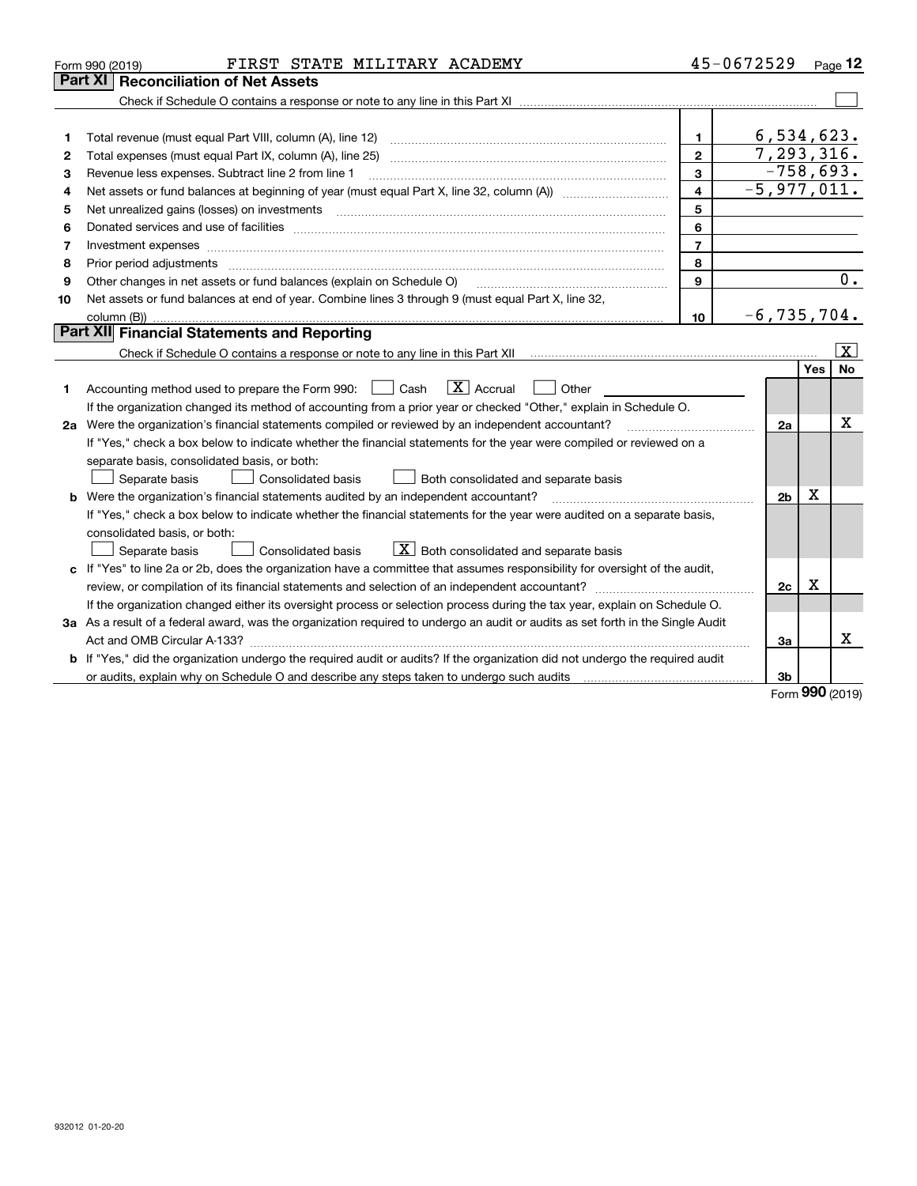| Part XI<br>6, 534, 623.<br>1<br>1<br>7, 293, 316.<br>$\mathbf{2}$<br>2<br>$-758,693.$<br>3<br>Revenue less expenses. Subtract line 2 from line 1<br>3<br>$-5,977,011.$<br>4<br>4<br>5<br>Net unrealized gains (losses) on investments<br>5<br>6<br>6<br>$\overline{7}$<br>Investment expenses<br>7<br>8<br>Prior period adjustments<br>8<br>Other changes in net assets or fund balances (explain on Schedule O)<br>9<br>9<br>Net assets or fund balances at end of year. Combine lines 3 through 9 (must equal Part X, line 32,<br>10<br>$-6, 735, 704.$<br>10 <sup>1</sup><br>Part XII Financial Statements and Reporting<br>$\overline{\mathbf{X}}$<br><b>No</b><br><b>Yes</b><br>$\boxed{\text{X}}$ Accrual<br>Accounting method used to prepare the Form 990: <u>June</u> Cash<br>Other<br>1<br>If the organization changed its method of accounting from a prior year or checked "Other," explain in Schedule O.<br>х<br>2a Were the organization's financial statements compiled or reviewed by an independent accountant?<br>2a<br>If "Yes," check a box below to indicate whether the financial statements for the year were compiled or reviewed on a<br>separate basis, consolidated basis, or both:<br>Both consolidated and separate basis<br>Separate basis<br>Consolidated basis<br>X<br>Were the organization's financial statements audited by an independent accountant?<br>2 <sub>b</sub><br>If "Yes," check a box below to indicate whether the financial statements for the year were audited on a separate basis,<br>consolidated basis, or both:<br>$X$ Both consolidated and separate basis<br>Separate basis<br><b>Consolidated basis</b><br>c If "Yes" to line 2a or 2b, does the organization have a committee that assumes responsibility for oversight of the audit,<br>x<br>review, or compilation of its financial statements and selection of an independent accountant? [[[[[[[[[[[[[[<br>2c<br>If the organization changed either its oversight process or selection process during the tax year, explain on Schedule O.<br>3a As a result of a federal award, was the organization required to undergo an audit or audits as set forth in the Single Audit<br>Х<br>За<br><b>b</b> If "Yes," did the organization undergo the required audit or audits? If the organization did not undergo the required audit<br>or audits, explain why on Schedule O and describe any steps taken to undergo such audits [11] content to under<br>3b<br><b>200</b> | FIRST STATE MILITARY ACADEMY<br>Form 990 (2019) |  | 45-0672529 |  |  | Page 12 |
|----------------------------------------------------------------------------------------------------------------------------------------------------------------------------------------------------------------------------------------------------------------------------------------------------------------------------------------------------------------------------------------------------------------------------------------------------------------------------------------------------------------------------------------------------------------------------------------------------------------------------------------------------------------------------------------------------------------------------------------------------------------------------------------------------------------------------------------------------------------------------------------------------------------------------------------------------------------------------------------------------------------------------------------------------------------------------------------------------------------------------------------------------------------------------------------------------------------------------------------------------------------------------------------------------------------------------------------------------------------------------------------------------------------------------------------------------------------------------------------------------------------------------------------------------------------------------------------------------------------------------------------------------------------------------------------------------------------------------------------------------------------------------------------------------------------------------------------------------------------------------------------------------------------------------------------------------------------------------------------------------------------------------------------------------------------------------------------------------------------------------------------------------------------------------------------------------------------------------------------------------------------------------------------------------------------------------------------------------------------------------------------------------------------------------------------------------------------------------------------|-------------------------------------------------|--|------------|--|--|---------|
|                                                                                                                                                                                                                                                                                                                                                                                                                                                                                                                                                                                                                                                                                                                                                                                                                                                                                                                                                                                                                                                                                                                                                                                                                                                                                                                                                                                                                                                                                                                                                                                                                                                                                                                                                                                                                                                                                                                                                                                                                                                                                                                                                                                                                                                                                                                                                                                                                                                                                        | <b>Reconciliation of Net Assets</b>             |  |            |  |  |         |
|                                                                                                                                                                                                                                                                                                                                                                                                                                                                                                                                                                                                                                                                                                                                                                                                                                                                                                                                                                                                                                                                                                                                                                                                                                                                                                                                                                                                                                                                                                                                                                                                                                                                                                                                                                                                                                                                                                                                                                                                                                                                                                                                                                                                                                                                                                                                                                                                                                                                                        |                                                 |  |            |  |  |         |
|                                                                                                                                                                                                                                                                                                                                                                                                                                                                                                                                                                                                                                                                                                                                                                                                                                                                                                                                                                                                                                                                                                                                                                                                                                                                                                                                                                                                                                                                                                                                                                                                                                                                                                                                                                                                                                                                                                                                                                                                                                                                                                                                                                                                                                                                                                                                                                                                                                                                                        |                                                 |  |            |  |  |         |
|                                                                                                                                                                                                                                                                                                                                                                                                                                                                                                                                                                                                                                                                                                                                                                                                                                                                                                                                                                                                                                                                                                                                                                                                                                                                                                                                                                                                                                                                                                                                                                                                                                                                                                                                                                                                                                                                                                                                                                                                                                                                                                                                                                                                                                                                                                                                                                                                                                                                                        |                                                 |  |            |  |  |         |
|                                                                                                                                                                                                                                                                                                                                                                                                                                                                                                                                                                                                                                                                                                                                                                                                                                                                                                                                                                                                                                                                                                                                                                                                                                                                                                                                                                                                                                                                                                                                                                                                                                                                                                                                                                                                                                                                                                                                                                                                                                                                                                                                                                                                                                                                                                                                                                                                                                                                                        |                                                 |  |            |  |  |         |
|                                                                                                                                                                                                                                                                                                                                                                                                                                                                                                                                                                                                                                                                                                                                                                                                                                                                                                                                                                                                                                                                                                                                                                                                                                                                                                                                                                                                                                                                                                                                                                                                                                                                                                                                                                                                                                                                                                                                                                                                                                                                                                                                                                                                                                                                                                                                                                                                                                                                                        |                                                 |  |            |  |  |         |
|                                                                                                                                                                                                                                                                                                                                                                                                                                                                                                                                                                                                                                                                                                                                                                                                                                                                                                                                                                                                                                                                                                                                                                                                                                                                                                                                                                                                                                                                                                                                                                                                                                                                                                                                                                                                                                                                                                                                                                                                                                                                                                                                                                                                                                                                                                                                                                                                                                                                                        |                                                 |  |            |  |  |         |
|                                                                                                                                                                                                                                                                                                                                                                                                                                                                                                                                                                                                                                                                                                                                                                                                                                                                                                                                                                                                                                                                                                                                                                                                                                                                                                                                                                                                                                                                                                                                                                                                                                                                                                                                                                                                                                                                                                                                                                                                                                                                                                                                                                                                                                                                                                                                                                                                                                                                                        |                                                 |  |            |  |  |         |
|                                                                                                                                                                                                                                                                                                                                                                                                                                                                                                                                                                                                                                                                                                                                                                                                                                                                                                                                                                                                                                                                                                                                                                                                                                                                                                                                                                                                                                                                                                                                                                                                                                                                                                                                                                                                                                                                                                                                                                                                                                                                                                                                                                                                                                                                                                                                                                                                                                                                                        |                                                 |  |            |  |  |         |
|                                                                                                                                                                                                                                                                                                                                                                                                                                                                                                                                                                                                                                                                                                                                                                                                                                                                                                                                                                                                                                                                                                                                                                                                                                                                                                                                                                                                                                                                                                                                                                                                                                                                                                                                                                                                                                                                                                                                                                                                                                                                                                                                                                                                                                                                                                                                                                                                                                                                                        |                                                 |  |            |  |  |         |
|                                                                                                                                                                                                                                                                                                                                                                                                                                                                                                                                                                                                                                                                                                                                                                                                                                                                                                                                                                                                                                                                                                                                                                                                                                                                                                                                                                                                                                                                                                                                                                                                                                                                                                                                                                                                                                                                                                                                                                                                                                                                                                                                                                                                                                                                                                                                                                                                                                                                                        |                                                 |  |            |  |  |         |
|                                                                                                                                                                                                                                                                                                                                                                                                                                                                                                                                                                                                                                                                                                                                                                                                                                                                                                                                                                                                                                                                                                                                                                                                                                                                                                                                                                                                                                                                                                                                                                                                                                                                                                                                                                                                                                                                                                                                                                                                                                                                                                                                                                                                                                                                                                                                                                                                                                                                                        |                                                 |  |            |  |  | 0.      |
|                                                                                                                                                                                                                                                                                                                                                                                                                                                                                                                                                                                                                                                                                                                                                                                                                                                                                                                                                                                                                                                                                                                                                                                                                                                                                                                                                                                                                                                                                                                                                                                                                                                                                                                                                                                                                                                                                                                                                                                                                                                                                                                                                                                                                                                                                                                                                                                                                                                                                        |                                                 |  |            |  |  |         |
|                                                                                                                                                                                                                                                                                                                                                                                                                                                                                                                                                                                                                                                                                                                                                                                                                                                                                                                                                                                                                                                                                                                                                                                                                                                                                                                                                                                                                                                                                                                                                                                                                                                                                                                                                                                                                                                                                                                                                                                                                                                                                                                                                                                                                                                                                                                                                                                                                                                                                        |                                                 |  |            |  |  |         |
|                                                                                                                                                                                                                                                                                                                                                                                                                                                                                                                                                                                                                                                                                                                                                                                                                                                                                                                                                                                                                                                                                                                                                                                                                                                                                                                                                                                                                                                                                                                                                                                                                                                                                                                                                                                                                                                                                                                                                                                                                                                                                                                                                                                                                                                                                                                                                                                                                                                                                        |                                                 |  |            |  |  |         |
|                                                                                                                                                                                                                                                                                                                                                                                                                                                                                                                                                                                                                                                                                                                                                                                                                                                                                                                                                                                                                                                                                                                                                                                                                                                                                                                                                                                                                                                                                                                                                                                                                                                                                                                                                                                                                                                                                                                                                                                                                                                                                                                                                                                                                                                                                                                                                                                                                                                                                        |                                                 |  |            |  |  |         |
|                                                                                                                                                                                                                                                                                                                                                                                                                                                                                                                                                                                                                                                                                                                                                                                                                                                                                                                                                                                                                                                                                                                                                                                                                                                                                                                                                                                                                                                                                                                                                                                                                                                                                                                                                                                                                                                                                                                                                                                                                                                                                                                                                                                                                                                                                                                                                                                                                                                                                        |                                                 |  |            |  |  |         |
|                                                                                                                                                                                                                                                                                                                                                                                                                                                                                                                                                                                                                                                                                                                                                                                                                                                                                                                                                                                                                                                                                                                                                                                                                                                                                                                                                                                                                                                                                                                                                                                                                                                                                                                                                                                                                                                                                                                                                                                                                                                                                                                                                                                                                                                                                                                                                                                                                                                                                        |                                                 |  |            |  |  |         |
|                                                                                                                                                                                                                                                                                                                                                                                                                                                                                                                                                                                                                                                                                                                                                                                                                                                                                                                                                                                                                                                                                                                                                                                                                                                                                                                                                                                                                                                                                                                                                                                                                                                                                                                                                                                                                                                                                                                                                                                                                                                                                                                                                                                                                                                                                                                                                                                                                                                                                        |                                                 |  |            |  |  |         |
|                                                                                                                                                                                                                                                                                                                                                                                                                                                                                                                                                                                                                                                                                                                                                                                                                                                                                                                                                                                                                                                                                                                                                                                                                                                                                                                                                                                                                                                                                                                                                                                                                                                                                                                                                                                                                                                                                                                                                                                                                                                                                                                                                                                                                                                                                                                                                                                                                                                                                        |                                                 |  |            |  |  |         |
|                                                                                                                                                                                                                                                                                                                                                                                                                                                                                                                                                                                                                                                                                                                                                                                                                                                                                                                                                                                                                                                                                                                                                                                                                                                                                                                                                                                                                                                                                                                                                                                                                                                                                                                                                                                                                                                                                                                                                                                                                                                                                                                                                                                                                                                                                                                                                                                                                                                                                        |                                                 |  |            |  |  |         |
|                                                                                                                                                                                                                                                                                                                                                                                                                                                                                                                                                                                                                                                                                                                                                                                                                                                                                                                                                                                                                                                                                                                                                                                                                                                                                                                                                                                                                                                                                                                                                                                                                                                                                                                                                                                                                                                                                                                                                                                                                                                                                                                                                                                                                                                                                                                                                                                                                                                                                        |                                                 |  |            |  |  |         |
|                                                                                                                                                                                                                                                                                                                                                                                                                                                                                                                                                                                                                                                                                                                                                                                                                                                                                                                                                                                                                                                                                                                                                                                                                                                                                                                                                                                                                                                                                                                                                                                                                                                                                                                                                                                                                                                                                                                                                                                                                                                                                                                                                                                                                                                                                                                                                                                                                                                                                        |                                                 |  |            |  |  |         |
|                                                                                                                                                                                                                                                                                                                                                                                                                                                                                                                                                                                                                                                                                                                                                                                                                                                                                                                                                                                                                                                                                                                                                                                                                                                                                                                                                                                                                                                                                                                                                                                                                                                                                                                                                                                                                                                                                                                                                                                                                                                                                                                                                                                                                                                                                                                                                                                                                                                                                        |                                                 |  |            |  |  |         |
|                                                                                                                                                                                                                                                                                                                                                                                                                                                                                                                                                                                                                                                                                                                                                                                                                                                                                                                                                                                                                                                                                                                                                                                                                                                                                                                                                                                                                                                                                                                                                                                                                                                                                                                                                                                                                                                                                                                                                                                                                                                                                                                                                                                                                                                                                                                                                                                                                                                                                        |                                                 |  |            |  |  |         |
|                                                                                                                                                                                                                                                                                                                                                                                                                                                                                                                                                                                                                                                                                                                                                                                                                                                                                                                                                                                                                                                                                                                                                                                                                                                                                                                                                                                                                                                                                                                                                                                                                                                                                                                                                                                                                                                                                                                                                                                                                                                                                                                                                                                                                                                                                                                                                                                                                                                                                        |                                                 |  |            |  |  |         |
|                                                                                                                                                                                                                                                                                                                                                                                                                                                                                                                                                                                                                                                                                                                                                                                                                                                                                                                                                                                                                                                                                                                                                                                                                                                                                                                                                                                                                                                                                                                                                                                                                                                                                                                                                                                                                                                                                                                                                                                                                                                                                                                                                                                                                                                                                                                                                                                                                                                                                        |                                                 |  |            |  |  |         |
|                                                                                                                                                                                                                                                                                                                                                                                                                                                                                                                                                                                                                                                                                                                                                                                                                                                                                                                                                                                                                                                                                                                                                                                                                                                                                                                                                                                                                                                                                                                                                                                                                                                                                                                                                                                                                                                                                                                                                                                                                                                                                                                                                                                                                                                                                                                                                                                                                                                                                        |                                                 |  |            |  |  |         |
|                                                                                                                                                                                                                                                                                                                                                                                                                                                                                                                                                                                                                                                                                                                                                                                                                                                                                                                                                                                                                                                                                                                                                                                                                                                                                                                                                                                                                                                                                                                                                                                                                                                                                                                                                                                                                                                                                                                                                                                                                                                                                                                                                                                                                                                                                                                                                                                                                                                                                        |                                                 |  |            |  |  |         |
|                                                                                                                                                                                                                                                                                                                                                                                                                                                                                                                                                                                                                                                                                                                                                                                                                                                                                                                                                                                                                                                                                                                                                                                                                                                                                                                                                                                                                                                                                                                                                                                                                                                                                                                                                                                                                                                                                                                                                                                                                                                                                                                                                                                                                                                                                                                                                                                                                                                                                        |                                                 |  |            |  |  |         |
|                                                                                                                                                                                                                                                                                                                                                                                                                                                                                                                                                                                                                                                                                                                                                                                                                                                                                                                                                                                                                                                                                                                                                                                                                                                                                                                                                                                                                                                                                                                                                                                                                                                                                                                                                                                                                                                                                                                                                                                                                                                                                                                                                                                                                                                                                                                                                                                                                                                                                        |                                                 |  |            |  |  |         |
|                                                                                                                                                                                                                                                                                                                                                                                                                                                                                                                                                                                                                                                                                                                                                                                                                                                                                                                                                                                                                                                                                                                                                                                                                                                                                                                                                                                                                                                                                                                                                                                                                                                                                                                                                                                                                                                                                                                                                                                                                                                                                                                                                                                                                                                                                                                                                                                                                                                                                        |                                                 |  |            |  |  |         |
|                                                                                                                                                                                                                                                                                                                                                                                                                                                                                                                                                                                                                                                                                                                                                                                                                                                                                                                                                                                                                                                                                                                                                                                                                                                                                                                                                                                                                                                                                                                                                                                                                                                                                                                                                                                                                                                                                                                                                                                                                                                                                                                                                                                                                                                                                                                                                                                                                                                                                        |                                                 |  |            |  |  |         |
|                                                                                                                                                                                                                                                                                                                                                                                                                                                                                                                                                                                                                                                                                                                                                                                                                                                                                                                                                                                                                                                                                                                                                                                                                                                                                                                                                                                                                                                                                                                                                                                                                                                                                                                                                                                                                                                                                                                                                                                                                                                                                                                                                                                                                                                                                                                                                                                                                                                                                        |                                                 |  |            |  |  |         |

Form (2019) **990**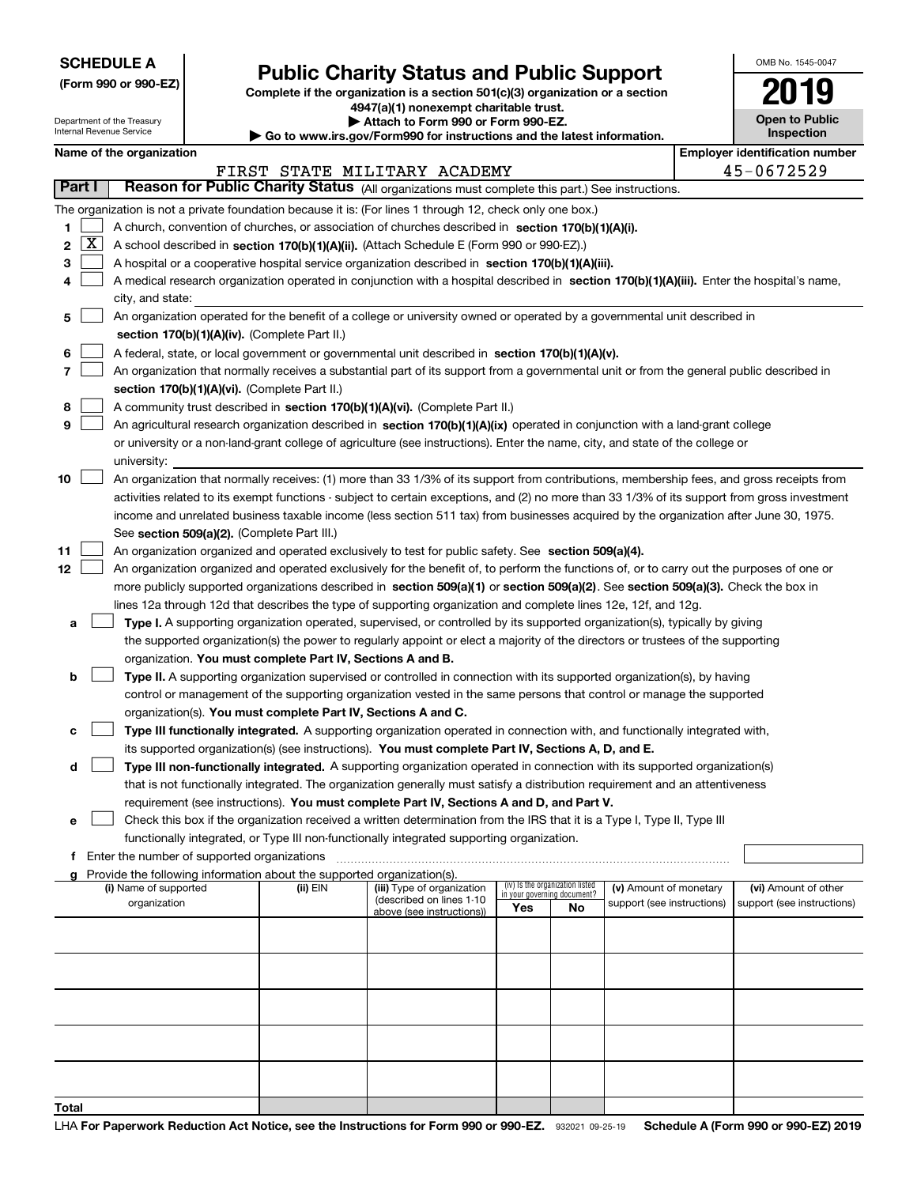| <b>SCHEDULE A</b> |
|-------------------|
|-------------------|

Department of the Treasury Internal Revenue Service

**(Form 990 or 990-EZ)**

## **Public Charity Status and Public Support**

**Complete if the organization is a section 501(c)(3) organization or a section 4947(a)(1) nonexempt charitable trust.**

**| Attach to Form 990 or Form 990-EZ.** 

**| Go to www.irs.gov/Form990 for instructions and the latest information.**

| OMB No. 1545-0047                   |
|-------------------------------------|
| 2019                                |
| <b>Open to Public</b><br>Inspection |

| Name of the organization |  |
|--------------------------|--|
|--------------------------|--|

|          |   | Name of the organization                                                                                                                                                                                                                                                         |          |                                                        |                                 |    |                                                      |  | <b>Employer identification number</b>              |  |  |
|----------|---|----------------------------------------------------------------------------------------------------------------------------------------------------------------------------------------------------------------------------------------------------------------------------------|----------|--------------------------------------------------------|---------------------------------|----|------------------------------------------------------|--|----------------------------------------------------|--|--|
|          |   |                                                                                                                                                                                                                                                                                  |          | FIRST STATE MILITARY ACADEMY                           |                                 |    |                                                      |  | 45-0672529                                         |  |  |
| Part I   |   | Reason for Public Charity Status (All organizations must complete this part.) See instructions.                                                                                                                                                                                  |          |                                                        |                                 |    |                                                      |  |                                                    |  |  |
|          |   | The organization is not a private foundation because it is: (For lines 1 through 12, check only one box.)                                                                                                                                                                        |          |                                                        |                                 |    |                                                      |  |                                                    |  |  |
| 1.       |   | A church, convention of churches, or association of churches described in section 170(b)(1)(A)(i).                                                                                                                                                                               |          |                                                        |                                 |    |                                                      |  |                                                    |  |  |
| 2        | X | A school described in section 170(b)(1)(A)(ii). (Attach Schedule E (Form 990 or 990-EZ).)                                                                                                                                                                                        |          |                                                        |                                 |    |                                                      |  |                                                    |  |  |
| 3        |   | A hospital or a cooperative hospital service organization described in section $170(b)(1)(A)(iii)$ .                                                                                                                                                                             |          |                                                        |                                 |    |                                                      |  |                                                    |  |  |
| 4        |   | A medical research organization operated in conjunction with a hospital described in section 170(b)(1)(A)(iii). Enter the hospital's name,                                                                                                                                       |          |                                                        |                                 |    |                                                      |  |                                                    |  |  |
|          |   | city, and state:                                                                                                                                                                                                                                                                 |          |                                                        |                                 |    |                                                      |  |                                                    |  |  |
| 5        |   | An organization operated for the benefit of a college or university owned or operated by a governmental unit described in                                                                                                                                                        |          |                                                        |                                 |    |                                                      |  |                                                    |  |  |
|          |   | section 170(b)(1)(A)(iv). (Complete Part II.)                                                                                                                                                                                                                                    |          |                                                        |                                 |    |                                                      |  |                                                    |  |  |
| 6        |   | A federal, state, or local government or governmental unit described in section 170(b)(1)(A)(v).                                                                                                                                                                                 |          |                                                        |                                 |    |                                                      |  |                                                    |  |  |
| 7        |   | An organization that normally receives a substantial part of its support from a governmental unit or from the general public described in                                                                                                                                        |          |                                                        |                                 |    |                                                      |  |                                                    |  |  |
|          |   | section 170(b)(1)(A)(vi). (Complete Part II.)                                                                                                                                                                                                                                    |          |                                                        |                                 |    |                                                      |  |                                                    |  |  |
| 8        |   | A community trust described in section 170(b)(1)(A)(vi). (Complete Part II.)                                                                                                                                                                                                     |          |                                                        |                                 |    |                                                      |  |                                                    |  |  |
| 9        |   | An agricultural research organization described in section 170(b)(1)(A)(ix) operated in conjunction with a land-grant college                                                                                                                                                    |          |                                                        |                                 |    |                                                      |  |                                                    |  |  |
|          |   | or university or a non-land-grant college of agriculture (see instructions). Enter the name, city, and state of the college or                                                                                                                                                   |          |                                                        |                                 |    |                                                      |  |                                                    |  |  |
|          |   | university:                                                                                                                                                                                                                                                                      |          |                                                        |                                 |    |                                                      |  |                                                    |  |  |
| 10       |   | An organization that normally receives: (1) more than 33 1/3% of its support from contributions, membership fees, and gross receipts from                                                                                                                                        |          |                                                        |                                 |    |                                                      |  |                                                    |  |  |
|          |   | activities related to its exempt functions - subject to certain exceptions, and (2) no more than 33 1/3% of its support from gross investment                                                                                                                                    |          |                                                        |                                 |    |                                                      |  |                                                    |  |  |
|          |   | income and unrelated business taxable income (less section 511 tax) from businesses acquired by the organization after June 30, 1975.                                                                                                                                            |          |                                                        |                                 |    |                                                      |  |                                                    |  |  |
|          |   | See section 509(a)(2). (Complete Part III.)                                                                                                                                                                                                                                      |          |                                                        |                                 |    |                                                      |  |                                                    |  |  |
| 11<br>12 |   | An organization organized and operated exclusively to test for public safety. See section 509(a)(4).                                                                                                                                                                             |          |                                                        |                                 |    |                                                      |  |                                                    |  |  |
|          |   | An organization organized and operated exclusively for the benefit of, to perform the functions of, or to carry out the purposes of one or<br>more publicly supported organizations described in section 509(a)(1) or section 509(a)(2). See section 509(a)(3). Check the box in |          |                                                        |                                 |    |                                                      |  |                                                    |  |  |
|          |   | lines 12a through 12d that describes the type of supporting organization and complete lines 12e, 12f, and 12g.                                                                                                                                                                   |          |                                                        |                                 |    |                                                      |  |                                                    |  |  |
| а        |   | <b>Type I.</b> A supporting organization operated, supervised, or controlled by its supported organization(s), typically by giving                                                                                                                                               |          |                                                        |                                 |    |                                                      |  |                                                    |  |  |
|          |   | the supported organization(s) the power to regularly appoint or elect a majority of the directors or trustees of the supporting                                                                                                                                                  |          |                                                        |                                 |    |                                                      |  |                                                    |  |  |
|          |   | organization. You must complete Part IV, Sections A and B.                                                                                                                                                                                                                       |          |                                                        |                                 |    |                                                      |  |                                                    |  |  |
| b        |   | <b>Type II.</b> A supporting organization supervised or controlled in connection with its supported organization(s), by having                                                                                                                                                   |          |                                                        |                                 |    |                                                      |  |                                                    |  |  |
|          |   | control or management of the supporting organization vested in the same persons that control or manage the supported                                                                                                                                                             |          |                                                        |                                 |    |                                                      |  |                                                    |  |  |
|          |   | organization(s). You must complete Part IV, Sections A and C.                                                                                                                                                                                                                    |          |                                                        |                                 |    |                                                      |  |                                                    |  |  |
| с        |   | Type III functionally integrated. A supporting organization operated in connection with, and functionally integrated with,                                                                                                                                                       |          |                                                        |                                 |    |                                                      |  |                                                    |  |  |
|          |   | its supported organization(s) (see instructions). You must complete Part IV, Sections A, D, and E.                                                                                                                                                                               |          |                                                        |                                 |    |                                                      |  |                                                    |  |  |
| d        |   | Type III non-functionally integrated. A supporting organization operated in connection with its supported organization(s)                                                                                                                                                        |          |                                                        |                                 |    |                                                      |  |                                                    |  |  |
|          |   | that is not functionally integrated. The organization generally must satisfy a distribution requirement and an attentiveness                                                                                                                                                     |          |                                                        |                                 |    |                                                      |  |                                                    |  |  |
|          |   | requirement (see instructions). You must complete Part IV, Sections A and D, and Part V.                                                                                                                                                                                         |          |                                                        |                                 |    |                                                      |  |                                                    |  |  |
|          |   | Check this box if the organization received a written determination from the IRS that it is a Type I, Type II, Type III                                                                                                                                                          |          |                                                        |                                 |    |                                                      |  |                                                    |  |  |
|          |   | functionally integrated, or Type III non-functionally integrated supporting organization.                                                                                                                                                                                        |          |                                                        |                                 |    |                                                      |  |                                                    |  |  |
|          |   | f Enter the number of supported organizations                                                                                                                                                                                                                                    |          |                                                        |                                 |    |                                                      |  |                                                    |  |  |
|          |   | g Provide the following information about the supported organization(s).                                                                                                                                                                                                         |          |                                                        | (iv) Is the organization listed |    |                                                      |  |                                                    |  |  |
|          |   | (i) Name of supported<br>organization                                                                                                                                                                                                                                            | (ii) EIN | (iii) Type of organization<br>(described on lines 1-10 | in your governing document?     |    | (v) Amount of monetary<br>support (see instructions) |  | (vi) Amount of other<br>support (see instructions) |  |  |
|          |   |                                                                                                                                                                                                                                                                                  |          | above (see instructions))                              | Yes                             | No |                                                      |  |                                                    |  |  |
|          |   |                                                                                                                                                                                                                                                                                  |          |                                                        |                                 |    |                                                      |  |                                                    |  |  |
|          |   |                                                                                                                                                                                                                                                                                  |          |                                                        |                                 |    |                                                      |  |                                                    |  |  |
|          |   |                                                                                                                                                                                                                                                                                  |          |                                                        |                                 |    |                                                      |  |                                                    |  |  |
|          |   |                                                                                                                                                                                                                                                                                  |          |                                                        |                                 |    |                                                      |  |                                                    |  |  |
|          |   |                                                                                                                                                                                                                                                                                  |          |                                                        |                                 |    |                                                      |  |                                                    |  |  |
|          |   |                                                                                                                                                                                                                                                                                  |          |                                                        |                                 |    |                                                      |  |                                                    |  |  |
|          |   |                                                                                                                                                                                                                                                                                  |          |                                                        |                                 |    |                                                      |  |                                                    |  |  |
|          |   |                                                                                                                                                                                                                                                                                  |          |                                                        |                                 |    |                                                      |  |                                                    |  |  |
| Total    |   |                                                                                                                                                                                                                                                                                  |          |                                                        |                                 |    |                                                      |  |                                                    |  |  |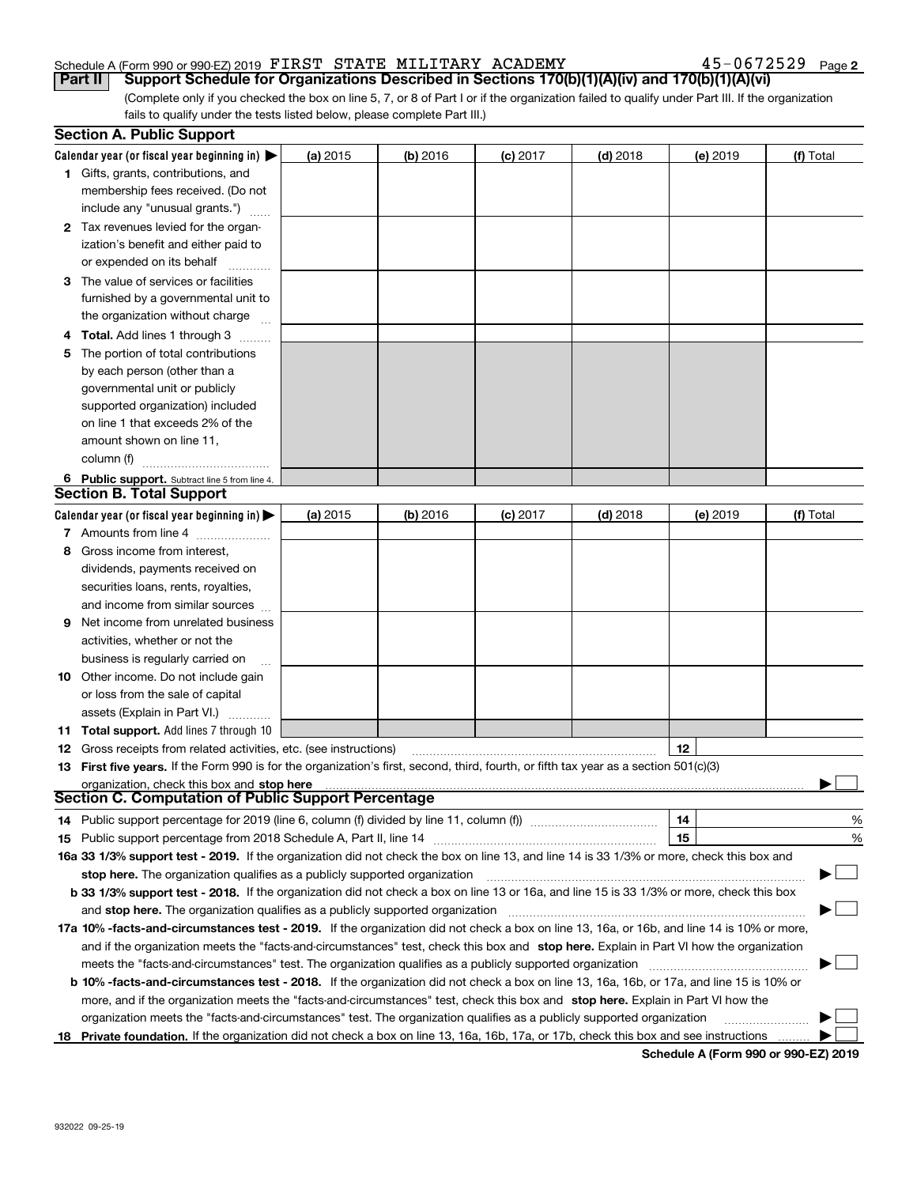#### Schedule A (Form 990 or 990-EZ) 2019 Page FIRST STATE MILITARY ACADEMY 45-0672529

**2**

(Complete only if you checked the box on line 5, 7, or 8 of Part I or if the organization failed to qualify under Part III. If the organization fails to qualify under the tests listed below, please complete Part III.) **Part II Support Schedule for Organizations Described in Sections 170(b)(1)(A)(iv) and 170(b)(1)(A)(vi)** 

|    | <b>Section A. Public Support</b>                                                                                                               |          |            |            |            |          |           |
|----|------------------------------------------------------------------------------------------------------------------------------------------------|----------|------------|------------|------------|----------|-----------|
|    | Calendar year (or fiscal year beginning in) $\blacktriangleright$                                                                              | (a) 2015 | $(b)$ 2016 | $(c)$ 2017 | $(d)$ 2018 | (e) 2019 | (f) Total |
|    | <b>1</b> Gifts, grants, contributions, and                                                                                                     |          |            |            |            |          |           |
|    | membership fees received. (Do not                                                                                                              |          |            |            |            |          |           |
|    | include any "unusual grants.")                                                                                                                 |          |            |            |            |          |           |
|    | 2 Tax revenues levied for the organ-                                                                                                           |          |            |            |            |          |           |
|    | ization's benefit and either paid to                                                                                                           |          |            |            |            |          |           |
|    | or expended on its behalf                                                                                                                      |          |            |            |            |          |           |
|    | 3 The value of services or facilities                                                                                                          |          |            |            |            |          |           |
|    | furnished by a governmental unit to                                                                                                            |          |            |            |            |          |           |
|    | the organization without charge                                                                                                                |          |            |            |            |          |           |
|    | <b>4 Total.</b> Add lines 1 through 3                                                                                                          |          |            |            |            |          |           |
| 5. | The portion of total contributions                                                                                                             |          |            |            |            |          |           |
|    | by each person (other than a                                                                                                                   |          |            |            |            |          |           |
|    | governmental unit or publicly                                                                                                                  |          |            |            |            |          |           |
|    | supported organization) included                                                                                                               |          |            |            |            |          |           |
|    | on line 1 that exceeds 2% of the                                                                                                               |          |            |            |            |          |           |
|    | amount shown on line 11,                                                                                                                       |          |            |            |            |          |           |
|    | column (f)                                                                                                                                     |          |            |            |            |          |           |
|    | 6 Public support. Subtract line 5 from line 4.                                                                                                 |          |            |            |            |          |           |
|    | <b>Section B. Total Support</b>                                                                                                                |          |            |            |            |          |           |
|    | Calendar year (or fiscal year beginning in) $\blacktriangleright$                                                                              | (a) 2015 | (b) 2016   | $(c)$ 2017 | $(d)$ 2018 | (e) 2019 | (f) Total |
|    | 7 Amounts from line 4                                                                                                                          |          |            |            |            |          |           |
|    | 8 Gross income from interest,                                                                                                                  |          |            |            |            |          |           |
|    | dividends, payments received on                                                                                                                |          |            |            |            |          |           |
|    | securities loans, rents, royalties,                                                                                                            |          |            |            |            |          |           |
|    | and income from similar sources                                                                                                                |          |            |            |            |          |           |
| 9. | Net income from unrelated business                                                                                                             |          |            |            |            |          |           |
|    | activities, whether or not the                                                                                                                 |          |            |            |            |          |           |
|    | business is regularly carried on                                                                                                               |          |            |            |            |          |           |
|    | <b>10</b> Other income. Do not include gain                                                                                                    |          |            |            |            |          |           |
|    | or loss from the sale of capital                                                                                                               |          |            |            |            |          |           |
|    | assets (Explain in Part VI.)                                                                                                                   |          |            |            |            |          |           |
|    | <b>11 Total support.</b> Add lines 7 through 10                                                                                                |          |            |            |            |          |           |
|    | <b>12</b> Gross receipts from related activities, etc. (see instructions)                                                                      |          |            |            |            | 12       |           |
|    | 13 First five years. If the Form 990 is for the organization's first, second, third, fourth, or fifth tax year as a section 501(c)(3)          |          |            |            |            |          |           |
|    | organization, check this box and stop here                                                                                                     |          |            |            |            |          |           |
|    | Section C. Computation of Public Support Percentage                                                                                            |          |            |            |            |          |           |
|    | 14 Public support percentage for 2019 (line 6, column (f) divided by line 11, column (f) <i>mummention</i>                                     |          |            |            |            | 14       | %         |
|    |                                                                                                                                                |          |            |            |            | 15       | %         |
|    | 16a 33 1/3% support test - 2019. If the organization did not check the box on line 13, and line 14 is 33 1/3% or more, check this box and      |          |            |            |            |          |           |
|    | stop here. The organization qualifies as a publicly supported organization                                                                     |          |            |            |            |          | Ţ         |
|    | b 33 1/3% support test - 2018. If the organization did not check a box on line 13 or 16a, and line 15 is 33 1/3% or more, check this box       |          |            |            |            |          |           |
|    | and stop here. The organization qualifies as a publicly supported organization                                                                 |          |            |            |            |          |           |
|    | 17a 10% -facts-and-circumstances test - 2019. If the organization did not check a box on line 13, 16a, or 16b, and line 14 is 10% or more,     |          |            |            |            |          |           |
|    | and if the organization meets the "facts-and-circumstances" test, check this box and stop here. Explain in Part VI how the organization        |          |            |            |            |          |           |
|    | meets the "facts-and-circumstances" test. The organization qualifies as a publicly supported organization                                      |          |            |            |            |          |           |
|    | <b>b 10% -facts-and-circumstances test - 2018.</b> If the organization did not check a box on line 13, 16a, 16b, or 17a, and line 15 is 10% or |          |            |            |            |          |           |
|    | more, and if the organization meets the "facts-and-circumstances" test, check this box and stop here. Explain in Part VI how the               |          |            |            |            |          |           |
|    | organization meets the "facts-and-circumstances" test. The organization qualifies as a publicly supported organization                         |          |            |            |            |          |           |
| 18 | Private foundation. If the organization did not check a box on line 13, 16a, 16b, 17a, or 17b, check this box and see instructions             |          |            |            |            |          |           |

**Schedule A (Form 990 or 990-EZ) 2019**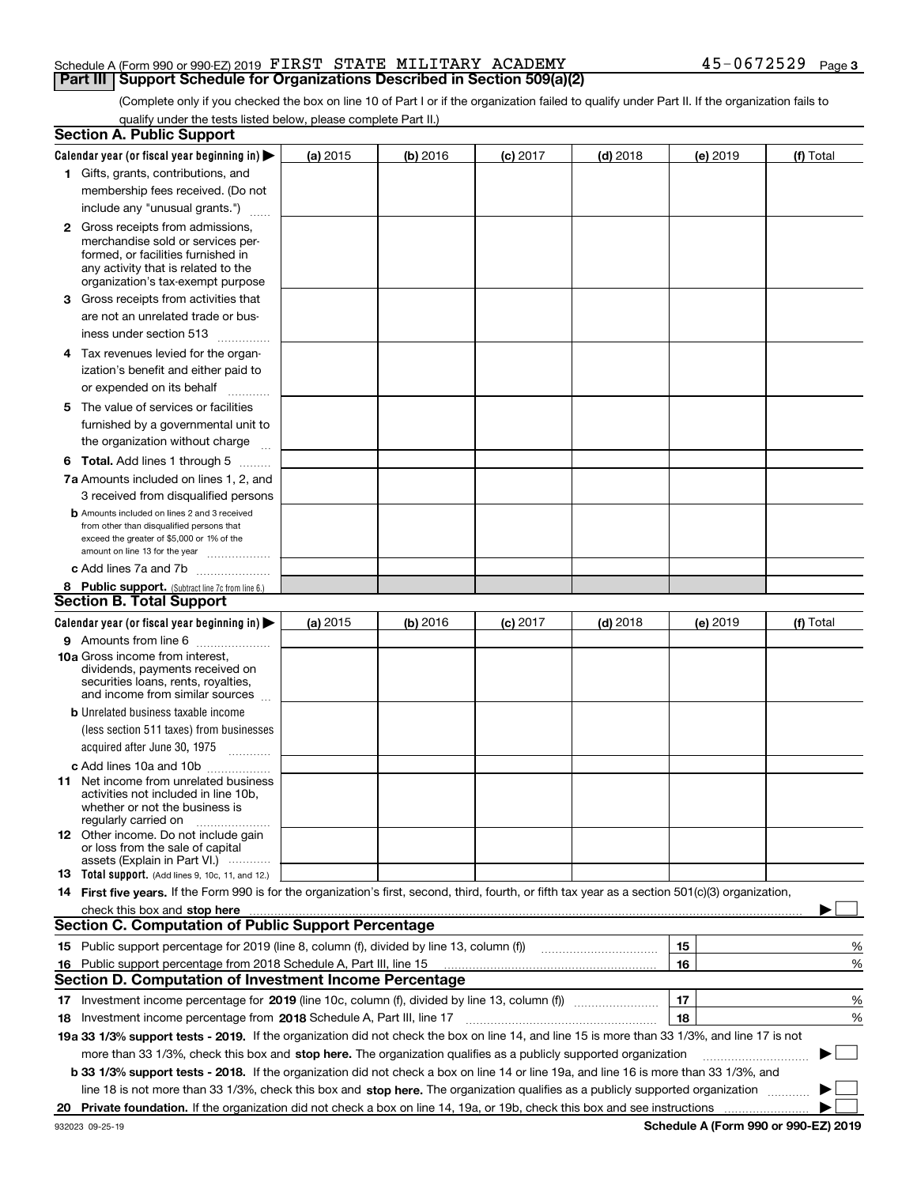#### Schedule A (Form 990 or 990-EZ) 2019 Page FIRST STATE MILITARY ACADEMY 45-0672529**Part III Support Schedule for Organizations Described in Section 509(a)(2)**

(Complete only if you checked the box on line 10 of Part I or if the organization failed to qualify under Part II. If the organization fails to qualify under the tests listed below, please complete Part II.)

|    | <b>Section A. Public Support</b>                                                                                                                    |            |          |            |            |          |             |
|----|-----------------------------------------------------------------------------------------------------------------------------------------------------|------------|----------|------------|------------|----------|-------------|
|    | Calendar year (or fiscal year beginning in) $\blacktriangleright$                                                                                   | (a) 2015   | (b) 2016 | $(c)$ 2017 | $(d)$ 2018 | (e) 2019 | (f) Total   |
|    | 1 Gifts, grants, contributions, and                                                                                                                 |            |          |            |            |          |             |
|    | membership fees received. (Do not                                                                                                                   |            |          |            |            |          |             |
|    | include any "unusual grants.")                                                                                                                      |            |          |            |            |          |             |
|    | <b>2</b> Gross receipts from admissions,                                                                                                            |            |          |            |            |          |             |
|    | merchandise sold or services per-                                                                                                                   |            |          |            |            |          |             |
|    | formed, or facilities furnished in                                                                                                                  |            |          |            |            |          |             |
|    | any activity that is related to the<br>organization's tax-exempt purpose                                                                            |            |          |            |            |          |             |
|    | 3 Gross receipts from activities that                                                                                                               |            |          |            |            |          |             |
|    | are not an unrelated trade or bus-                                                                                                                  |            |          |            |            |          |             |
|    | iness under section 513                                                                                                                             |            |          |            |            |          |             |
|    | 4 Tax revenues levied for the organ-                                                                                                                |            |          |            |            |          |             |
|    | ization's benefit and either paid to                                                                                                                |            |          |            |            |          |             |
|    | or expended on its behalf                                                                                                                           |            |          |            |            |          |             |
|    | .                                                                                                                                                   |            |          |            |            |          |             |
|    | 5 The value of services or facilities                                                                                                               |            |          |            |            |          |             |
|    | furnished by a governmental unit to                                                                                                                 |            |          |            |            |          |             |
|    | the organization without charge                                                                                                                     |            |          |            |            |          |             |
|    | <b>6 Total.</b> Add lines 1 through 5                                                                                                               |            |          |            |            |          |             |
|    | 7a Amounts included on lines 1, 2, and                                                                                                              |            |          |            |            |          |             |
|    | 3 received from disqualified persons                                                                                                                |            |          |            |            |          |             |
|    | <b>b</b> Amounts included on lines 2 and 3 received<br>from other than disqualified persons that                                                    |            |          |            |            |          |             |
|    | exceed the greater of \$5,000 or 1% of the                                                                                                          |            |          |            |            |          |             |
|    | amount on line 13 for the year                                                                                                                      |            |          |            |            |          |             |
|    | c Add lines 7a and 7b                                                                                                                               |            |          |            |            |          |             |
|    | 8 Public support. (Subtract line 7c from line 6.)                                                                                                   |            |          |            |            |          |             |
|    | <b>Section B. Total Support</b>                                                                                                                     |            |          |            |            |          |             |
|    | Calendar year (or fiscal year beginning in) $\blacktriangleright$                                                                                   | (a) $2015$ | (b) 2016 | $(c)$ 2017 | $(d)$ 2018 | (e) 2019 | (f) Total   |
|    | 9 Amounts from line 6                                                                                                                               |            |          |            |            |          |             |
|    | <b>10a</b> Gross income from interest,<br>dividends, payments received on                                                                           |            |          |            |            |          |             |
|    | securities loans, rents, royalties,                                                                                                                 |            |          |            |            |          |             |
|    | and income from similar sources                                                                                                                     |            |          |            |            |          |             |
|    | <b>b</b> Unrelated business taxable income                                                                                                          |            |          |            |            |          |             |
|    | (less section 511 taxes) from businesses                                                                                                            |            |          |            |            |          |             |
|    | acquired after June 30, 1975                                                                                                                        |            |          |            |            |          |             |
|    | c Add lines 10a and 10b                                                                                                                             |            |          |            |            |          |             |
|    | 11 Net income from unrelated business                                                                                                               |            |          |            |            |          |             |
|    | activities not included in line 10b,<br>whether or not the business is                                                                              |            |          |            |            |          |             |
|    | regularly carried on                                                                                                                                |            |          |            |            |          |             |
|    | <b>12</b> Other income. Do not include gain                                                                                                         |            |          |            |            |          |             |
|    | or loss from the sale of capital<br>assets (Explain in Part VI.)                                                                                    |            |          |            |            |          |             |
|    | 13 Total support. (Add lines 9, 10c, 11, and 12.)                                                                                                   |            |          |            |            |          |             |
|    | 14 First five years. If the Form 990 is for the organization's first, second, third, fourth, or fifth tax year as a section 501(c)(3) organization, |            |          |            |            |          |             |
|    | check this box and stop here <i>macuum macuum macuum macuum macuum macuum macuum macuum macuum</i>                                                  |            |          |            |            |          |             |
|    | <b>Section C. Computation of Public Support Percentage</b>                                                                                          |            |          |            |            |          |             |
|    | 15 Public support percentage for 2019 (line 8, column (f), divided by line 13, column (f))                                                          |            |          |            |            | 15       | %           |
| 16 | Public support percentage from 2018 Schedule A, Part III, line 15                                                                                   |            |          |            |            | 16       | %           |
|    | <b>Section D. Computation of Investment Income Percentage</b>                                                                                       |            |          |            |            |          |             |
|    | 17 Investment income percentage for 2019 (line 10c, column (f), divided by line 13, column (f))                                                     |            |          |            |            | 17       | %           |
|    | 18 Investment income percentage from 2018 Schedule A, Part III, line 17                                                                             |            |          |            |            | 18       | %           |
|    | 19a 33 1/3% support tests - 2019. If the organization did not check the box on line 14, and line 15 is more than 33 1/3%, and line 17 is not        |            |          |            |            |          |             |
|    | more than 33 1/3%, check this box and stop here. The organization qualifies as a publicly supported organization                                    |            |          |            |            |          | $\sim$<br>▶ |
|    | b 33 1/3% support tests - 2018. If the organization did not check a box on line 14 or line 19a, and line 16 is more than 33 1/3%, and               |            |          |            |            |          |             |
|    | line 18 is not more than 33 1/3%, check this box and stop here. The organization qualifies as a publicly supported organization                     |            |          |            |            |          |             |
|    |                                                                                                                                                     |            |          |            |            |          |             |
| 20 |                                                                                                                                                     |            |          |            |            |          |             |

**Schedule A (Form 990 or 990-EZ) 2019**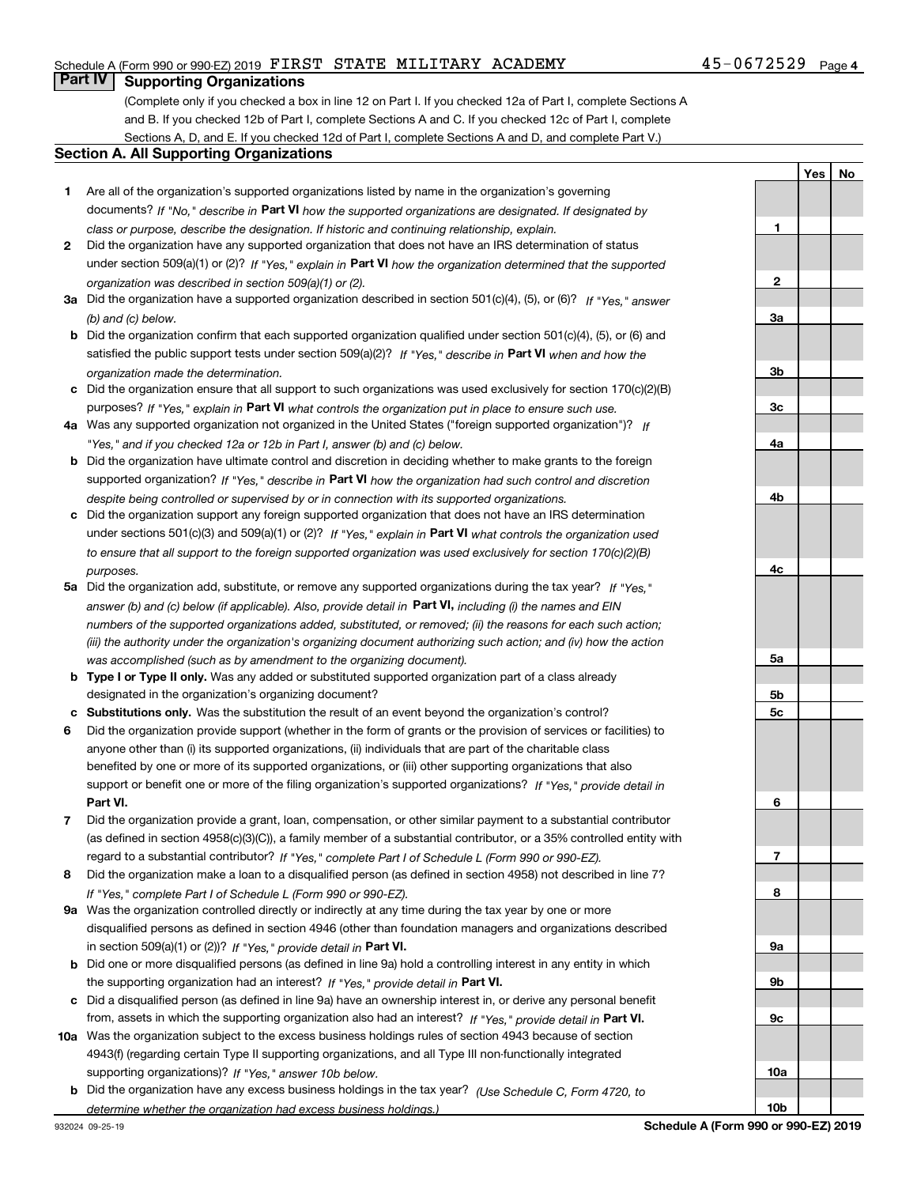### Schedule A (Form 990 or 990-EZ) 2019 Page FIRST STATE MILITARY ACADEMY 45-0672529

## **Part IV Supporting Organizations**

(Complete only if you checked a box in line 12 on Part I. If you checked 12a of Part I, complete Sections A and B. If you checked 12b of Part I, complete Sections A and C. If you checked 12c of Part I, complete Sections A, D, and E. If you checked 12d of Part I, complete Sections A and D, and complete Part V.)

#### **Section A. All Supporting Organizations**

- **1** Are all of the organization's supported organizations listed by name in the organization's governing documents? If "No," describe in **Part VI** how the supported organizations are designated. If designated by *class or purpose, describe the designation. If historic and continuing relationship, explain.*
- **2** Did the organization have any supported organization that does not have an IRS determination of status under section 509(a)(1) or (2)? If "Yes," explain in Part VI how the organization determined that the supported *organization was described in section 509(a)(1) or (2).*
- **3a** Did the organization have a supported organization described in section 501(c)(4), (5), or (6)? If "Yes," answer *(b) and (c) below.*
- **b** Did the organization confirm that each supported organization qualified under section 501(c)(4), (5), or (6) and satisfied the public support tests under section 509(a)(2)? If "Yes," describe in **Part VI** when and how the *organization made the determination.*
- **c**Did the organization ensure that all support to such organizations was used exclusively for section 170(c)(2)(B) purposes? If "Yes," explain in **Part VI** what controls the organization put in place to ensure such use.
- **4a***If* Was any supported organization not organized in the United States ("foreign supported organization")? *"Yes," and if you checked 12a or 12b in Part I, answer (b) and (c) below.*
- **b** Did the organization have ultimate control and discretion in deciding whether to make grants to the foreign supported organization? If "Yes," describe in **Part VI** how the organization had such control and discretion *despite being controlled or supervised by or in connection with its supported organizations.*
- **c** Did the organization support any foreign supported organization that does not have an IRS determination under sections 501(c)(3) and 509(a)(1) or (2)? If "Yes," explain in **Part VI** what controls the organization used *to ensure that all support to the foreign supported organization was used exclusively for section 170(c)(2)(B) purposes.*
- **5a***If "Yes,"* Did the organization add, substitute, or remove any supported organizations during the tax year? answer (b) and (c) below (if applicable). Also, provide detail in **Part VI,** including (i) the names and EIN *numbers of the supported organizations added, substituted, or removed; (ii) the reasons for each such action; (iii) the authority under the organization's organizing document authorizing such action; and (iv) how the action was accomplished (such as by amendment to the organizing document).*
- **b** Type I or Type II only. Was any added or substituted supported organization part of a class already designated in the organization's organizing document?
- **cSubstitutions only.**  Was the substitution the result of an event beyond the organization's control?
- **6** Did the organization provide support (whether in the form of grants or the provision of services or facilities) to **Part VI.** *If "Yes," provide detail in* support or benefit one or more of the filing organization's supported organizations? anyone other than (i) its supported organizations, (ii) individuals that are part of the charitable class benefited by one or more of its supported organizations, or (iii) other supporting organizations that also
- **7**Did the organization provide a grant, loan, compensation, or other similar payment to a substantial contributor *If "Yes," complete Part I of Schedule L (Form 990 or 990-EZ).* regard to a substantial contributor? (as defined in section 4958(c)(3)(C)), a family member of a substantial contributor, or a 35% controlled entity with
- **8** Did the organization make a loan to a disqualified person (as defined in section 4958) not described in line 7? *If "Yes," complete Part I of Schedule L (Form 990 or 990-EZ).*
- **9a** Was the organization controlled directly or indirectly at any time during the tax year by one or more in section 509(a)(1) or (2))? If "Yes," *provide detail in* <code>Part VI.</code> disqualified persons as defined in section 4946 (other than foundation managers and organizations described
- **b** Did one or more disqualified persons (as defined in line 9a) hold a controlling interest in any entity in which the supporting organization had an interest? If "Yes," provide detail in P**art VI**.
- **c**Did a disqualified person (as defined in line 9a) have an ownership interest in, or derive any personal benefit from, assets in which the supporting organization also had an interest? If "Yes," provide detail in P**art VI.**
- **10a** Was the organization subject to the excess business holdings rules of section 4943 because of section supporting organizations)? If "Yes," answer 10b below. 4943(f) (regarding certain Type II supporting organizations, and all Type III non-functionally integrated
- **b** Did the organization have any excess business holdings in the tax year? (Use Schedule C, Form 4720, to *determine whether the organization had excess business holdings.)*

**23a3b3c4a4b4c5a5b5c6789a 9b9c10a**

**1**

**YesNo**

**10b**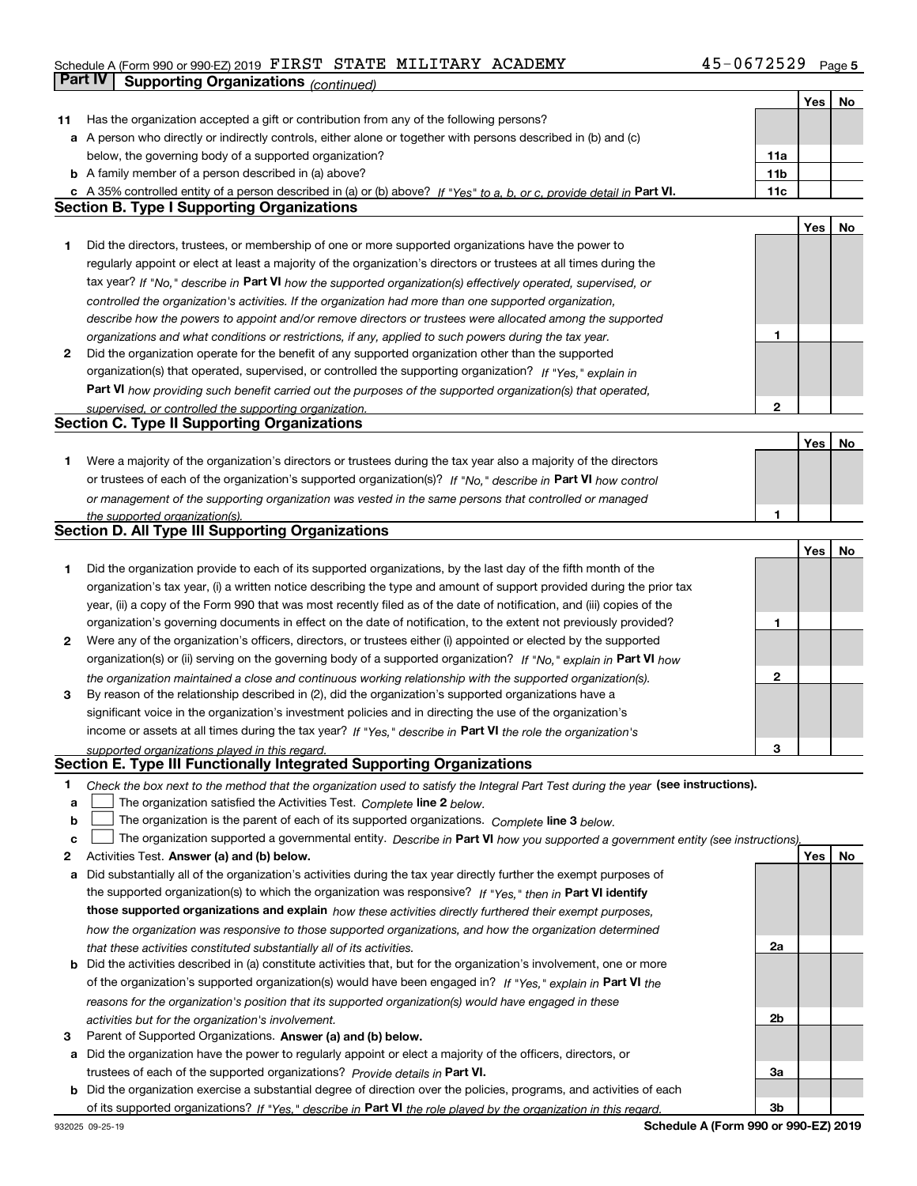## Schedule A (Form 990 or 990-EZ) 2019 Page FIRST STATE MILITARY ACADEMY 45-0672529**Part IV Supporting Organizations** *(continued)*

|    |                                                                                                                                   |                 | Yes        | No |
|----|-----------------------------------------------------------------------------------------------------------------------------------|-----------------|------------|----|
| 11 | Has the organization accepted a gift or contribution from any of the following persons?                                           |                 |            |    |
|    | a A person who directly or indirectly controls, either alone or together with persons described in (b) and (c)                    |                 |            |    |
|    | below, the governing body of a supported organization?                                                                            | 11a             |            |    |
|    | <b>b</b> A family member of a person described in (a) above?                                                                      | 11 <sub>b</sub> |            |    |
|    | c A 35% controlled entity of a person described in (a) or (b) above? If "Yes" to a, b, or c, provide detail in Part VI.           | 11c             |            |    |
|    | <b>Section B. Type I Supporting Organizations</b>                                                                                 |                 |            |    |
|    |                                                                                                                                   |                 | Yes        | No |
| 1  | Did the directors, trustees, or membership of one or more supported organizations have the power to                               |                 |            |    |
|    | regularly appoint or elect at least a majority of the organization's directors or trustees at all times during the                |                 |            |    |
|    | tax year? If "No," describe in Part VI how the supported organization(s) effectively operated, supervised, or                     |                 |            |    |
|    | controlled the organization's activities. If the organization had more than one supported organization,                           |                 |            |    |
|    | describe how the powers to appoint and/or remove directors or trustees were allocated among the supported                         |                 |            |    |
|    | organizations and what conditions or restrictions, if any, applied to such powers during the tax year.                            | 1               |            |    |
| 2  | Did the organization operate for the benefit of any supported organization other than the supported                               |                 |            |    |
|    | organization(s) that operated, supervised, or controlled the supporting organization? If "Yes," explain in                        |                 |            |    |
|    | Part VI how providing such benefit carried out the purposes of the supported organization(s) that operated,                       |                 |            |    |
|    |                                                                                                                                   | 2               |            |    |
|    | supervised, or controlled the supporting organization.<br><b>Section C. Type II Supporting Organizations</b>                      |                 |            |    |
|    |                                                                                                                                   |                 |            |    |
|    |                                                                                                                                   |                 | Yes        | No |
| 1  | Were a majority of the organization's directors or trustees during the tax year also a majority of the directors                  |                 |            |    |
|    | or trustees of each of the organization's supported organization(s)? If "No." describe in Part VI how control                     |                 |            |    |
|    | or management of the supporting organization was vested in the same persons that controlled or managed                            |                 |            |    |
|    | the supported organization(s).                                                                                                    | 1               |            |    |
|    | <b>Section D. All Type III Supporting Organizations</b>                                                                           |                 |            |    |
|    |                                                                                                                                   |                 | Yes        | No |
| 1  | Did the organization provide to each of its supported organizations, by the last day of the fifth month of the                    |                 |            |    |
|    | organization's tax year, (i) a written notice describing the type and amount of support provided during the prior tax             |                 |            |    |
|    | year, (ii) a copy of the Form 990 that was most recently filed as of the date of notification, and (iii) copies of the            |                 |            |    |
|    | organization's governing documents in effect on the date of notification, to the extent not previously provided?                  | 1               |            |    |
| 2  | Were any of the organization's officers, directors, or trustees either (i) appointed or elected by the supported                  |                 |            |    |
|    | organization(s) or (ii) serving on the governing body of a supported organization? If "No," explain in Part VI how                |                 |            |    |
|    | the organization maintained a close and continuous working relationship with the supported organization(s).                       | 2               |            |    |
| 3  | By reason of the relationship described in (2), did the organization's supported organizations have a                             |                 |            |    |
|    | significant voice in the organization's investment policies and in directing the use of the organization's                        |                 |            |    |
|    | income or assets at all times during the tax year? If "Yes," describe in Part VI the role the organization's                      |                 |            |    |
|    | supported organizations played in this regard.                                                                                    | 3               |            |    |
|    | Section E. Type III Functionally Integrated Supporting Organizations                                                              |                 |            |    |
| 1  | Check the box next to the method that the organization used to satisfy the Integral Part Test during the year (see instructions). |                 |            |    |
| а  | The organization satisfied the Activities Test. Complete line 2 below.                                                            |                 |            |    |
| b  | The organization is the parent of each of its supported organizations. Complete line 3 below.                                     |                 |            |    |
| c  | The organization supported a governmental entity. Describe in Part VI how you supported a government entity (see instructions),   |                 |            |    |
| 2  | Activities Test. Answer (a) and (b) below.                                                                                        |                 | <b>Yes</b> | No |
| а  | Did substantially all of the organization's activities during the tax year directly further the exempt purposes of                |                 |            |    |
|    | the supported organization(s) to which the organization was responsive? If "Yes," then in Part VI identify                        |                 |            |    |
|    | those supported organizations and explain how these activities directly furthered their exempt purposes,                          |                 |            |    |
|    | how the organization was responsive to those supported organizations, and how the organization determined                         |                 |            |    |
|    | that these activities constituted substantially all of its activities.                                                            | 2a              |            |    |
|    | <b>b</b> Did the activities described in (a) constitute activities that, but for the organization's involvement, one or more      |                 |            |    |
|    | of the organization's supported organization(s) would have been engaged in? If "Yes," explain in Part VI the                      |                 |            |    |
|    | reasons for the organization's position that its supported organization(s) would have engaged in these                            |                 |            |    |
|    | activities but for the organization's involvement.                                                                                | 2b              |            |    |
| З  | Parent of Supported Organizations. Answer (a) and (b) below.                                                                      |                 |            |    |
| а  | Did the organization have the power to regularly appoint or elect a majority of the officers, directors, or                       |                 |            |    |
|    | trustees of each of the supported organizations? Provide details in Part VI.                                                      | За              |            |    |
|    | <b>b</b> Did the organization exercise a substantial degree of direction over the policies, programs, and activities of each      |                 |            |    |
|    | of its supported organizations? If "Yes." describe in Part VI the role played by the organization in this regard.                 | 3b              |            |    |
|    |                                                                                                                                   |                 |            |    |

**Schedule A (Form 990 or 990-EZ) 2019**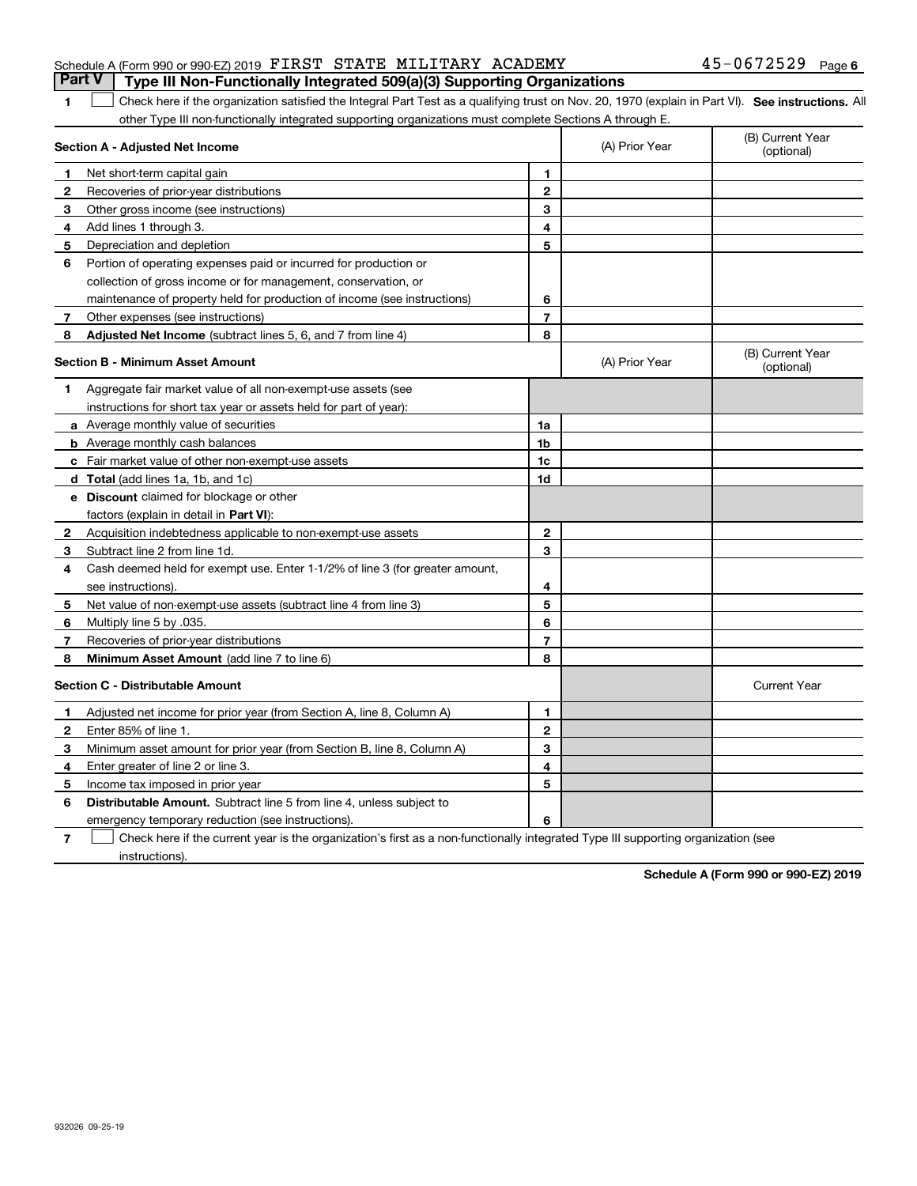**1**

| Schedule A (Form 990 or 990-EZ) 2019 FIRST STATE MILITARY ACADEMY |  |                                                                                  | $45 - 0672529$ Page 6 |  |
|-------------------------------------------------------------------|--|----------------------------------------------------------------------------------|-----------------------|--|
|                                                                   |  | Part V   Type III Non-Functionally Integrated 509(a)(3) Supporting Organizations |                       |  |

**SEP 10. See instructions.** All antegral Part Test as a qualifying trust on Nov. 20, 1970 (explain in Part VI). See instructions. All other Type III non-functionally integrated supporting organizations must complete Sections A through E. ×.

|              | Section A - Adjusted Net Income                                              |                | (A) Prior Year | (B) Current Year<br>(optional) |
|--------------|------------------------------------------------------------------------------|----------------|----------------|--------------------------------|
| 1            | Net short-term capital gain                                                  | 1.             |                |                                |
| 2            | Recoveries of prior-year distributions                                       | $\mathbf{2}$   |                |                                |
| 3            | Other gross income (see instructions)                                        | 3              |                |                                |
| 4            | Add lines 1 through 3.                                                       | 4              |                |                                |
| 5            | Depreciation and depletion                                                   | 5              |                |                                |
| 6            | Portion of operating expenses paid or incurred for production or             |                |                |                                |
|              | collection of gross income or for management, conservation, or               |                |                |                                |
|              | maintenance of property held for production of income (see instructions)     | 6              |                |                                |
| 7            | Other expenses (see instructions)                                            | $\overline{7}$ |                |                                |
| 8            | Adjusted Net Income (subtract lines 5, 6, and 7 from line 4)                 | 8              |                |                                |
|              | <b>Section B - Minimum Asset Amount</b>                                      |                | (A) Prior Year | (B) Current Year<br>(optional) |
| 1.           | Aggregate fair market value of all non-exempt-use assets (see                |                |                |                                |
|              | instructions for short tax year or assets held for part of year):            |                |                |                                |
|              | <b>a</b> Average monthly value of securities                                 | 1a             |                |                                |
|              | <b>b</b> Average monthly cash balances                                       | 1b             |                |                                |
|              | c Fair market value of other non-exempt-use assets                           | 1c             |                |                                |
|              | <b>d</b> Total (add lines 1a, 1b, and 1c)                                    | 1d             |                |                                |
|              | e Discount claimed for blockage or other                                     |                |                |                                |
|              | factors (explain in detail in Part VI):                                      |                |                |                                |
| $\mathbf{2}$ | Acquisition indebtedness applicable to non-exempt-use assets                 | $\mathbf{2}$   |                |                                |
| 3            | Subtract line 2 from line 1d.                                                | 3              |                |                                |
| 4            | Cash deemed held for exempt use. Enter 1-1/2% of line 3 (for greater amount, |                |                |                                |
|              | see instructions)                                                            | 4              |                |                                |
| 5            | Net value of non-exempt-use assets (subtract line 4 from line 3)             | 5              |                |                                |
| 6            | Multiply line 5 by .035.                                                     | 6              |                |                                |
| 7            | Recoveries of prior-year distributions                                       | $\overline{7}$ |                |                                |
| 8            | Minimum Asset Amount (add line 7 to line 6)                                  | 8              |                |                                |
|              | <b>Section C - Distributable Amount</b>                                      |                |                | <b>Current Year</b>            |
| 1            | Adjusted net income for prior year (from Section A, line 8, Column A)        | 1              |                |                                |
| $\mathbf{2}$ | Enter 85% of line 1.                                                         | $\mathbf{2}$   |                |                                |
| 3            | Minimum asset amount for prior year (from Section B, line 8, Column A)       | 3              |                |                                |
| 4            | Enter greater of line 2 or line 3.                                           | 4              |                |                                |
| 5            | Income tax imposed in prior year                                             | 5              |                |                                |
| 6            | <b>Distributable Amount.</b> Subtract line 5 from line 4, unless subject to  |                |                |                                |
|              | emergency temporary reduction (see instructions).                            | 6              |                |                                |

**7**Check here if the current year is the organization's first as a non-functionally integrated Type III supporting organization (see instructions).

**Schedule A (Form 990 or 990-EZ) 2019**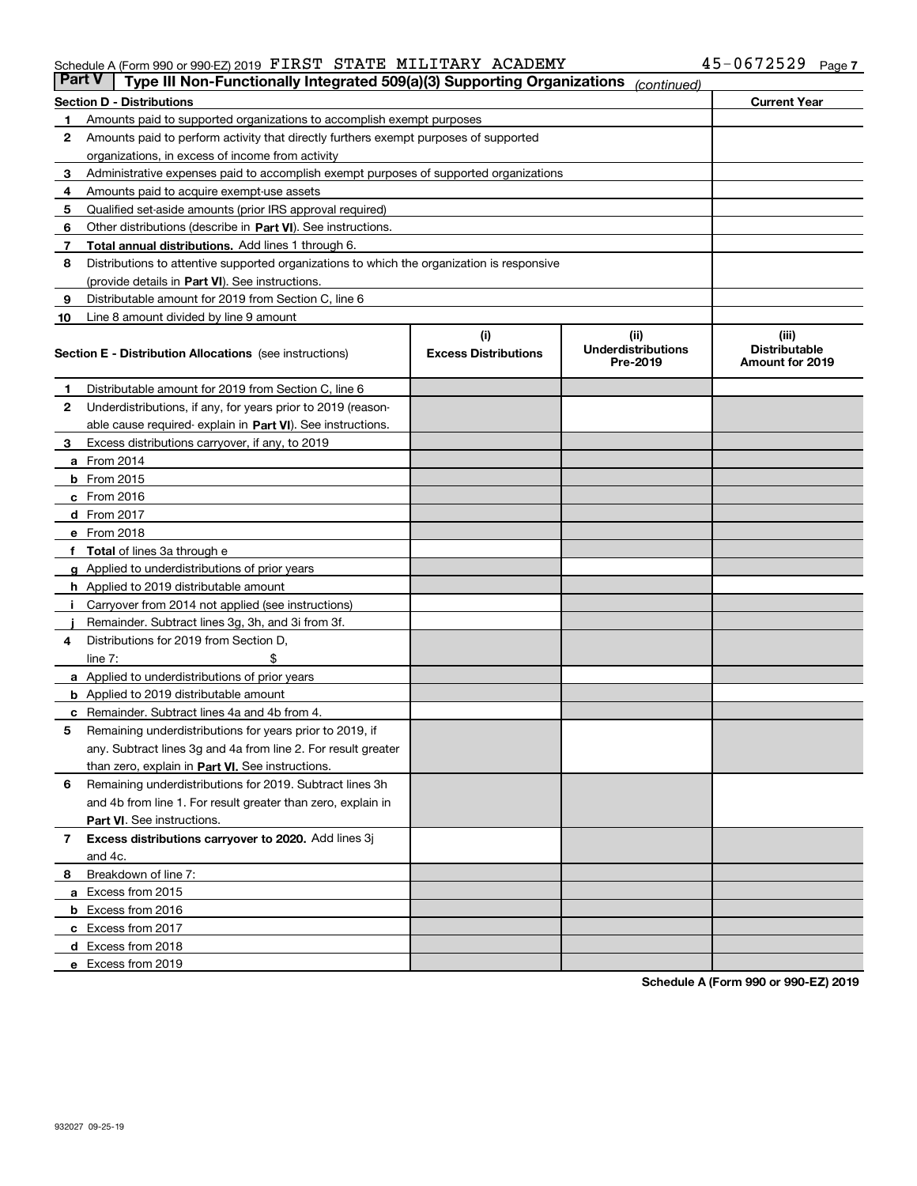#### Schedule A (Form 990 or 990-EZ) 2019 Page FIRST STATE MILITARY ACADEMY 45-0672529

| <b>Part V</b> | Type III Non-Functionally Integrated 509(a)(3) Supporting Organizations                    |                             | (continued)                           |                                         |  |  |  |
|---------------|--------------------------------------------------------------------------------------------|-----------------------------|---------------------------------------|-----------------------------------------|--|--|--|
|               | <b>Section D - Distributions</b>                                                           |                             |                                       | <b>Current Year</b>                     |  |  |  |
| 1             | Amounts paid to supported organizations to accomplish exempt purposes                      |                             |                                       |                                         |  |  |  |
| 2             | Amounts paid to perform activity that directly furthers exempt purposes of supported       |                             |                                       |                                         |  |  |  |
|               | organizations, in excess of income from activity                                           |                             |                                       |                                         |  |  |  |
| з             | Administrative expenses paid to accomplish exempt purposes of supported organizations      |                             |                                       |                                         |  |  |  |
| 4             | Amounts paid to acquire exempt-use assets                                                  |                             |                                       |                                         |  |  |  |
| 5             | Qualified set-aside amounts (prior IRS approval required)                                  |                             |                                       |                                         |  |  |  |
| 6             | Other distributions (describe in Part VI). See instructions.                               |                             |                                       |                                         |  |  |  |
| 7             | Total annual distributions. Add lines 1 through 6.                                         |                             |                                       |                                         |  |  |  |
| 8             | Distributions to attentive supported organizations to which the organization is responsive |                             |                                       |                                         |  |  |  |
|               | (provide details in Part VI). See instructions.                                            |                             |                                       |                                         |  |  |  |
| 9             | Distributable amount for 2019 from Section C, line 6                                       |                             |                                       |                                         |  |  |  |
| 10            | Line 8 amount divided by line 9 amount                                                     |                             |                                       |                                         |  |  |  |
|               |                                                                                            | (i)                         | (iii)                                 | (iii)                                   |  |  |  |
|               | <b>Section E - Distribution Allocations</b> (see instructions)                             | <b>Excess Distributions</b> | <b>Underdistributions</b><br>Pre-2019 | <b>Distributable</b><br>Amount for 2019 |  |  |  |
| 1             | Distributable amount for 2019 from Section C, line 6                                       |                             |                                       |                                         |  |  |  |
| 2             | Underdistributions, if any, for years prior to 2019 (reason-                               |                             |                                       |                                         |  |  |  |
|               | able cause required- explain in Part VI). See instructions.                                |                             |                                       |                                         |  |  |  |
| з             | Excess distributions carryover, if any, to 2019                                            |                             |                                       |                                         |  |  |  |
|               | <b>a</b> From 2014                                                                         |                             |                                       |                                         |  |  |  |
|               | <b>b</b> From $2015$                                                                       |                             |                                       |                                         |  |  |  |
|               | $c$ From 2016                                                                              |                             |                                       |                                         |  |  |  |
|               | <b>d</b> From 2017                                                                         |                             |                                       |                                         |  |  |  |
|               | e From 2018                                                                                |                             |                                       |                                         |  |  |  |
|               | Total of lines 3a through e                                                                |                             |                                       |                                         |  |  |  |
|               | <b>g</b> Applied to underdistributions of prior years                                      |                             |                                       |                                         |  |  |  |
|               | <b>h</b> Applied to 2019 distributable amount                                              |                             |                                       |                                         |  |  |  |
|               | Carryover from 2014 not applied (see instructions)                                         |                             |                                       |                                         |  |  |  |
|               | Remainder. Subtract lines 3g, 3h, and 3i from 3f.                                          |                             |                                       |                                         |  |  |  |
| 4             | Distributions for 2019 from Section D,                                                     |                             |                                       |                                         |  |  |  |
|               | line $7:$                                                                                  |                             |                                       |                                         |  |  |  |
|               | <b>a</b> Applied to underdistributions of prior years                                      |                             |                                       |                                         |  |  |  |
|               | <b>b</b> Applied to 2019 distributable amount                                              |                             |                                       |                                         |  |  |  |
| с             | Remainder. Subtract lines 4a and 4b from 4.                                                |                             |                                       |                                         |  |  |  |
| 5             | Remaining underdistributions for years prior to 2019, if                                   |                             |                                       |                                         |  |  |  |
|               | any. Subtract lines 3g and 4a from line 2. For result greater                              |                             |                                       |                                         |  |  |  |
|               | than zero, explain in Part VI. See instructions.                                           |                             |                                       |                                         |  |  |  |
| 6             | Remaining underdistributions for 2019. Subtract lines 3h                                   |                             |                                       |                                         |  |  |  |
|               | and 4b from line 1. For result greater than zero, explain in                               |                             |                                       |                                         |  |  |  |
|               | Part VI. See instructions.                                                                 |                             |                                       |                                         |  |  |  |
| 7             | Excess distributions carryover to 2020. Add lines 3j                                       |                             |                                       |                                         |  |  |  |
|               | and 4c.                                                                                    |                             |                                       |                                         |  |  |  |
| 8             | Breakdown of line 7:                                                                       |                             |                                       |                                         |  |  |  |
|               | a Excess from 2015                                                                         |                             |                                       |                                         |  |  |  |
|               |                                                                                            |                             |                                       |                                         |  |  |  |
|               | <b>b</b> Excess from 2016<br>c Excess from 2017                                            |                             |                                       |                                         |  |  |  |
|               |                                                                                            |                             |                                       |                                         |  |  |  |
|               | d Excess from 2018<br>e Excess from 2019                                                   |                             |                                       |                                         |  |  |  |
|               |                                                                                            |                             |                                       |                                         |  |  |  |

**Schedule A (Form 990 or 990-EZ) 2019**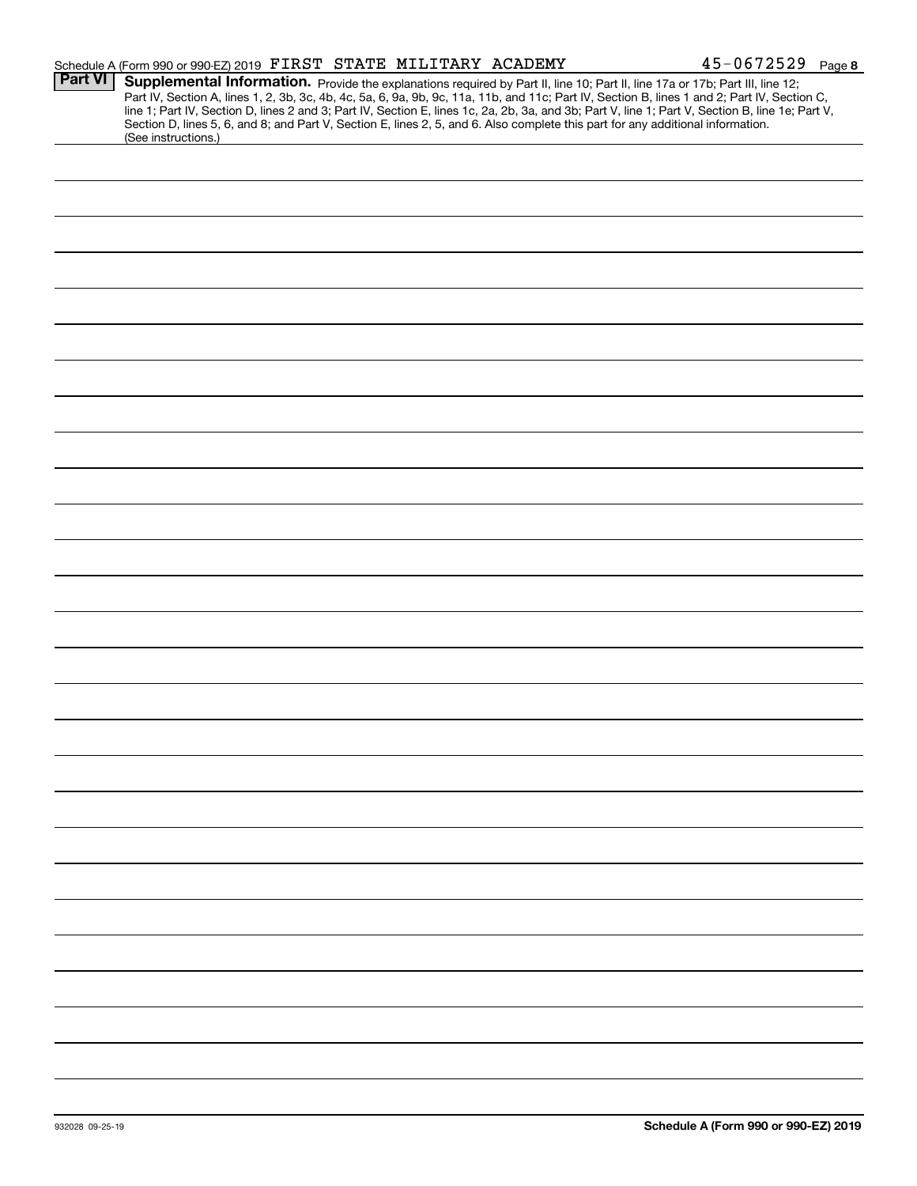|                | Schedule A (Form 990 or 990-EZ) 2019 FIRST STATE MILITARY ACADEMY                                                                                                                                                                                                                                                                                                                                                                                                                                                                                                                           |  | $45 - 0672529$ Page 8 |  |
|----------------|---------------------------------------------------------------------------------------------------------------------------------------------------------------------------------------------------------------------------------------------------------------------------------------------------------------------------------------------------------------------------------------------------------------------------------------------------------------------------------------------------------------------------------------------------------------------------------------------|--|-----------------------|--|
| <b>Part VI</b> | Supplemental Information. Provide the explanations required by Part II, line 10; Part II, line 17a or 17b; Part III, line 12;<br>Part IV, Section A, lines 1, 2, 3b, 3c, 4b, 4c, 5a, 6, 9a, 9b, 9c, 11a, 11b, and 11c; Part IV, Section B, lines 1 and 2; Part IV, Section C,<br>line 1; Part IV, Section D, lines 2 and 3; Part IV, Section E, lines 1c, 2a, 2b, 3a, and 3b; Part V, line 1; Part V, Section B, line 1e; Part V,<br>Section D, lines 5, 6, and 8; and Part V, Section E, lines 2, 5, and 6. Also complete this part for any additional information.<br>(See instructions.) |  |                       |  |
|                |                                                                                                                                                                                                                                                                                                                                                                                                                                                                                                                                                                                             |  |                       |  |
|                |                                                                                                                                                                                                                                                                                                                                                                                                                                                                                                                                                                                             |  |                       |  |
|                |                                                                                                                                                                                                                                                                                                                                                                                                                                                                                                                                                                                             |  |                       |  |
|                |                                                                                                                                                                                                                                                                                                                                                                                                                                                                                                                                                                                             |  |                       |  |
|                |                                                                                                                                                                                                                                                                                                                                                                                                                                                                                                                                                                                             |  |                       |  |
|                |                                                                                                                                                                                                                                                                                                                                                                                                                                                                                                                                                                                             |  |                       |  |
|                |                                                                                                                                                                                                                                                                                                                                                                                                                                                                                                                                                                                             |  |                       |  |
|                |                                                                                                                                                                                                                                                                                                                                                                                                                                                                                                                                                                                             |  |                       |  |
|                |                                                                                                                                                                                                                                                                                                                                                                                                                                                                                                                                                                                             |  |                       |  |
|                |                                                                                                                                                                                                                                                                                                                                                                                                                                                                                                                                                                                             |  |                       |  |
|                |                                                                                                                                                                                                                                                                                                                                                                                                                                                                                                                                                                                             |  |                       |  |
|                |                                                                                                                                                                                                                                                                                                                                                                                                                                                                                                                                                                                             |  |                       |  |
|                |                                                                                                                                                                                                                                                                                                                                                                                                                                                                                                                                                                                             |  |                       |  |
|                |                                                                                                                                                                                                                                                                                                                                                                                                                                                                                                                                                                                             |  |                       |  |
|                |                                                                                                                                                                                                                                                                                                                                                                                                                                                                                                                                                                                             |  |                       |  |
|                |                                                                                                                                                                                                                                                                                                                                                                                                                                                                                                                                                                                             |  |                       |  |
|                |                                                                                                                                                                                                                                                                                                                                                                                                                                                                                                                                                                                             |  |                       |  |
|                |                                                                                                                                                                                                                                                                                                                                                                                                                                                                                                                                                                                             |  |                       |  |
|                |                                                                                                                                                                                                                                                                                                                                                                                                                                                                                                                                                                                             |  |                       |  |
|                |                                                                                                                                                                                                                                                                                                                                                                                                                                                                                                                                                                                             |  |                       |  |
|                |                                                                                                                                                                                                                                                                                                                                                                                                                                                                                                                                                                                             |  |                       |  |
|                |                                                                                                                                                                                                                                                                                                                                                                                                                                                                                                                                                                                             |  |                       |  |
|                |                                                                                                                                                                                                                                                                                                                                                                                                                                                                                                                                                                                             |  |                       |  |
|                |                                                                                                                                                                                                                                                                                                                                                                                                                                                                                                                                                                                             |  |                       |  |
|                |                                                                                                                                                                                                                                                                                                                                                                                                                                                                                                                                                                                             |  |                       |  |
|                |                                                                                                                                                                                                                                                                                                                                                                                                                                                                                                                                                                                             |  |                       |  |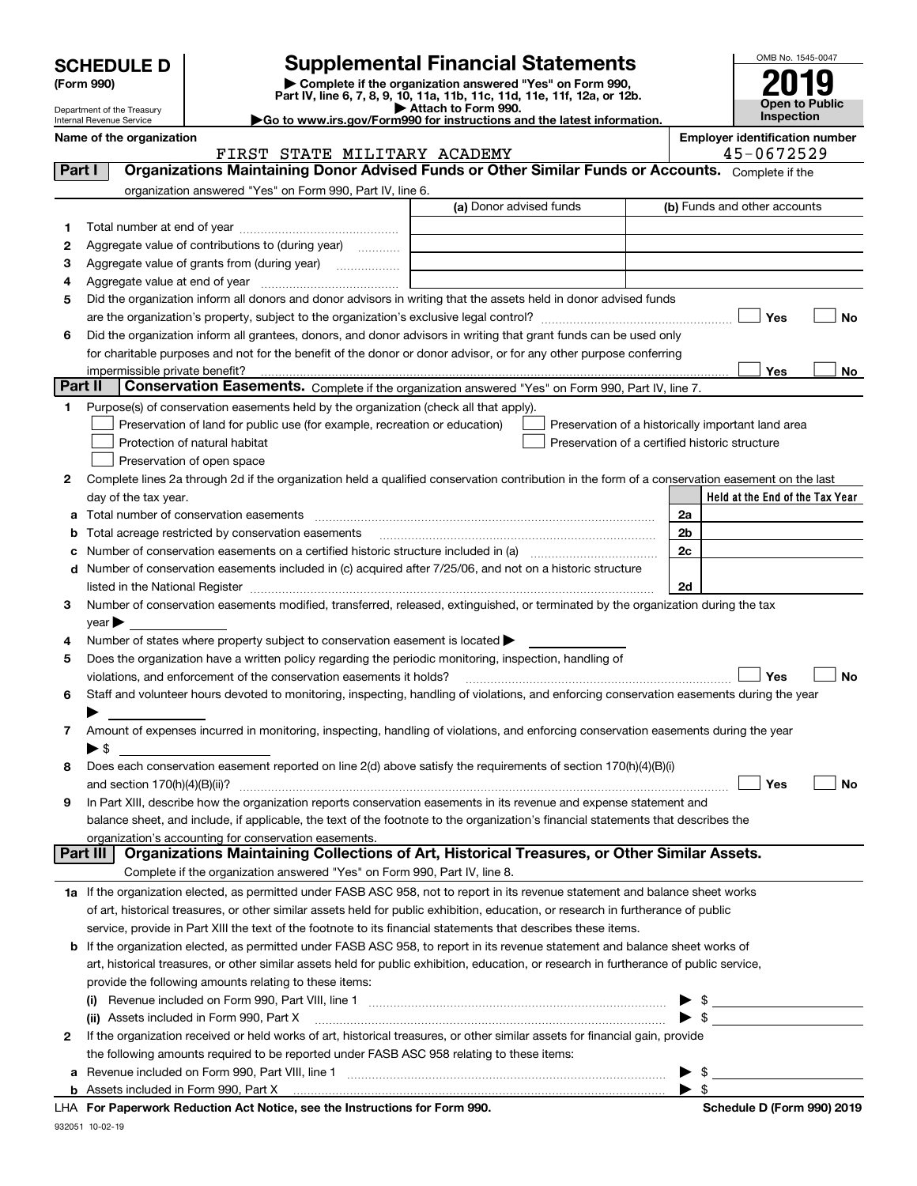| <b>SCHEDULE D</b> |  |
|-------------------|--|
|-------------------|--|

## **SCHEDULE D Supplemental Financial Statements**

(Form 990)<br>
Pepartment of the Treasury<br>
Department of the Treasury<br>
Department of the Treasury<br>
Department of the Treasury<br> **Co to www.irs.gov/Form990 for instructions and the latest information.**<br> **Co to www.irs.gov/Form9** 

 $\mathbf l$ 

OMB No. 1545-0047

Department of the Treasury Internal Revenue Service

#### **Name of the organization Employer identification number** FIRST STATE MILITARY ACADEMY 45-0672529

|   | Organizations Maintaining Donor Advised Funds or Other Similar Funds or Accounts. Complete if the<br>Part I                                                                                                                    | FIRST SIATE MILIIARI ACADEMI |                                                | 45-0074549                                         |  |  |
|---|--------------------------------------------------------------------------------------------------------------------------------------------------------------------------------------------------------------------------------|------------------------------|------------------------------------------------|----------------------------------------------------|--|--|
|   | organization answered "Yes" on Form 990, Part IV, line 6.                                                                                                                                                                      |                              |                                                |                                                    |  |  |
|   |                                                                                                                                                                                                                                | (a) Donor advised funds      |                                                | (b) Funds and other accounts                       |  |  |
|   |                                                                                                                                                                                                                                |                              |                                                |                                                    |  |  |
| 1 |                                                                                                                                                                                                                                |                              |                                                |                                                    |  |  |
| 2 | Aggregate value of contributions to (during year)                                                                                                                                                                              |                              |                                                |                                                    |  |  |
| з |                                                                                                                                                                                                                                |                              |                                                |                                                    |  |  |
| 4 |                                                                                                                                                                                                                                |                              |                                                |                                                    |  |  |
| 5 | Did the organization inform all donors and donor advisors in writing that the assets held in donor advised funds                                                                                                               |                              |                                                |                                                    |  |  |
|   |                                                                                                                                                                                                                                |                              |                                                | Yes<br><b>No</b>                                   |  |  |
| 6 | Did the organization inform all grantees, donors, and donor advisors in writing that grant funds can be used only                                                                                                              |                              |                                                |                                                    |  |  |
|   | for charitable purposes and not for the benefit of the donor or donor advisor, or for any other purpose conferring                                                                                                             |                              |                                                |                                                    |  |  |
|   |                                                                                                                                                                                                                                |                              |                                                | Yes<br>No                                          |  |  |
|   | Part II<br>Conservation Easements. Complete if the organization answered "Yes" on Form 990, Part IV, line 7.                                                                                                                   |                              |                                                |                                                    |  |  |
| 1 | Purpose(s) of conservation easements held by the organization (check all that apply).                                                                                                                                          |                              |                                                |                                                    |  |  |
|   | Preservation of land for public use (for example, recreation or education)                                                                                                                                                     |                              |                                                | Preservation of a historically important land area |  |  |
|   | Protection of natural habitat                                                                                                                                                                                                  |                              | Preservation of a certified historic structure |                                                    |  |  |
|   | Preservation of open space                                                                                                                                                                                                     |                              |                                                |                                                    |  |  |
| 2 | Complete lines 2a through 2d if the organization held a qualified conservation contribution in the form of a conservation easement on the last                                                                                 |                              |                                                |                                                    |  |  |
|   | day of the tax year.                                                                                                                                                                                                           |                              |                                                | Held at the End of the Tax Year                    |  |  |
| а | Total number of conservation easements                                                                                                                                                                                         |                              | 2a                                             |                                                    |  |  |
|   | Total acreage restricted by conservation easements                                                                                                                                                                             |                              | 2b                                             |                                                    |  |  |
|   | Number of conservation easements on a certified historic structure included in (a) manufacture included in (a)                                                                                                                 |                              | 2c                                             |                                                    |  |  |
| d | Number of conservation easements included in (c) acquired after 7/25/06, and not on a historic structure                                                                                                                       |                              |                                                |                                                    |  |  |
|   | listed in the National Register [11] matter and the National Register [11] matter is not all the National Register [11] matter is not all the National Register [11] matter is not all the National Register [11] matter is no |                              | 2d                                             |                                                    |  |  |
| 3 | Number of conservation easements modified, transferred, released, extinguished, or terminated by the organization during the tax                                                                                               |                              |                                                |                                                    |  |  |
|   | year $\blacktriangleright$                                                                                                                                                                                                     |                              |                                                |                                                    |  |  |
| 4 | Number of states where property subject to conservation easement is located                                                                                                                                                    |                              |                                                |                                                    |  |  |
| 5 | Does the organization have a written policy regarding the periodic monitoring, inspection, handling of                                                                                                                         |                              |                                                |                                                    |  |  |
|   | violations, and enforcement of the conservation easements it holds?                                                                                                                                                            |                              |                                                | Yes<br><b>No</b>                                   |  |  |
| 6 | Staff and volunteer hours devoted to monitoring, inspecting, handling of violations, and enforcing conservation easements during the year                                                                                      |                              |                                                |                                                    |  |  |
|   |                                                                                                                                                                                                                                |                              |                                                |                                                    |  |  |
| 7 | Amount of expenses incurred in monitoring, inspecting, handling of violations, and enforcing conservation easements during the year                                                                                            |                              |                                                |                                                    |  |  |
|   | $\blacktriangleright$ \$                                                                                                                                                                                                       |                              |                                                |                                                    |  |  |
| 8 | Does each conservation easement reported on line 2(d) above satisfy the requirements of section 170(h)(4)(B)(i)                                                                                                                |                              |                                                |                                                    |  |  |
|   |                                                                                                                                                                                                                                |                              |                                                | Yes<br><b>No</b>                                   |  |  |
| 9 | In Part XIII, describe how the organization reports conservation easements in its revenue and expense statement and                                                                                                            |                              |                                                |                                                    |  |  |
|   | balance sheet, and include, if applicable, the text of the footnote to the organization's financial statements that describes the                                                                                              |                              |                                                |                                                    |  |  |
|   | organization's accounting for conservation easements.                                                                                                                                                                          |                              |                                                |                                                    |  |  |
|   | Organizations Maintaining Collections of Art, Historical Treasures, or Other Similar Assets.<br>Part III                                                                                                                       |                              |                                                |                                                    |  |  |
|   | Complete if the organization answered "Yes" on Form 990, Part IV, line 8.                                                                                                                                                      |                              |                                                |                                                    |  |  |
|   | 1a If the organization elected, as permitted under FASB ASC 958, not to report in its revenue statement and balance sheet works                                                                                                |                              |                                                |                                                    |  |  |
|   | of art, historical treasures, or other similar assets held for public exhibition, education, or research in furtherance of public                                                                                              |                              |                                                |                                                    |  |  |
|   | service, provide in Part XIII the text of the footnote to its financial statements that describes these items.                                                                                                                 |                              |                                                |                                                    |  |  |
| b | If the organization elected, as permitted under FASB ASC 958, to report in its revenue statement and balance sheet works of                                                                                                    |                              |                                                |                                                    |  |  |
|   | art, historical treasures, or other similar assets held for public exhibition, education, or research in furtherance of public service,                                                                                        |                              |                                                |                                                    |  |  |
|   | provide the following amounts relating to these items:                                                                                                                                                                         |                              |                                                |                                                    |  |  |
|   |                                                                                                                                                                                                                                |                              |                                                | $\triangleright$ \$                                |  |  |
|   | (ii) Assets included in Form 990, Part X                                                                                                                                                                                       |                              |                                                | $\blacktriangleright$ \$                           |  |  |
| 2 | If the organization received or held works of art, historical treasures, or other similar assets for financial gain, provide                                                                                                   |                              |                                                |                                                    |  |  |
|   | the following amounts required to be reported under FASB ASC 958 relating to these items:                                                                                                                                      |                              |                                                |                                                    |  |  |
| а |                                                                                                                                                                                                                                |                              |                                                | $\mathfrak{S}$                                     |  |  |
|   |                                                                                                                                                                                                                                |                              | $\blacktriangleright$ \$                       |                                                    |  |  |

**For Paperwork Reduction Act Notice, see the Instructions for Form 990. Schedule D (Form 990) 2019** LHA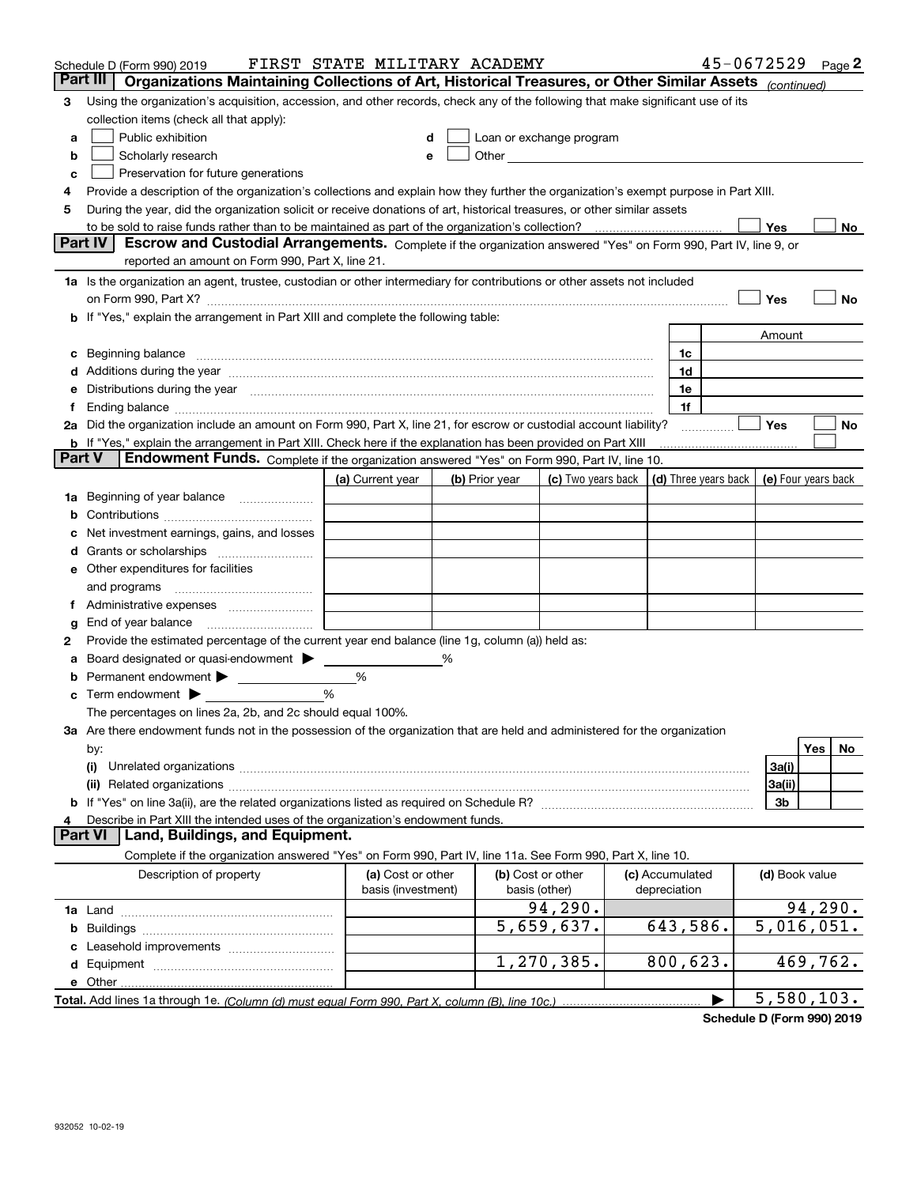|                | Schedule D (Form 990) 2019                                                                                                                                                                                                     | FIRST STATE MILITARY ACADEMY            |   |                |                                                                                                                                                                                                                                      |  |                      | 45-0672529              | Page 2  |     |
|----------------|--------------------------------------------------------------------------------------------------------------------------------------------------------------------------------------------------------------------------------|-----------------------------------------|---|----------------|--------------------------------------------------------------------------------------------------------------------------------------------------------------------------------------------------------------------------------------|--|----------------------|-------------------------|---------|-----|
|                | Part III<br>Organizations Maintaining Collections of Art, Historical Treasures, or Other Similar Assets (continued)                                                                                                            |                                         |   |                |                                                                                                                                                                                                                                      |  |                      |                         |         |     |
| 3              | Using the organization's acquisition, accession, and other records, check any of the following that make significant use of its                                                                                                |                                         |   |                |                                                                                                                                                                                                                                      |  |                      |                         |         |     |
|                | collection items (check all that apply):                                                                                                                                                                                       |                                         |   |                |                                                                                                                                                                                                                                      |  |                      |                         |         |     |
| a              | Public exhibition                                                                                                                                                                                                              |                                         |   |                | Loan or exchange program                                                                                                                                                                                                             |  |                      |                         |         |     |
| b              | Scholarly research                                                                                                                                                                                                             | e                                       |   |                | Other <u>with the contract of the contract of the contract of the contract of the contract of the contract of the contract of the contract of the contract of the contract of the contract of the contract of the contract of th</u> |  |                      |                         |         |     |
| с              | Preservation for future generations                                                                                                                                                                                            |                                         |   |                |                                                                                                                                                                                                                                      |  |                      |                         |         |     |
|                | Provide a description of the organization's collections and explain how they further the organization's exempt purpose in Part XIII.                                                                                           |                                         |   |                |                                                                                                                                                                                                                                      |  |                      |                         |         |     |
| 5              | During the year, did the organization solicit or receive donations of art, historical treasures, or other similar assets                                                                                                       |                                         |   |                |                                                                                                                                                                                                                                      |  |                      |                         |         |     |
|                | to be sold to raise funds rather than to be maintained as part of the organization's collection?                                                                                                                               |                                         |   |                |                                                                                                                                                                                                                                      |  |                      | Yes                     |         | No  |
|                | <b>Part IV</b><br>Escrow and Custodial Arrangements. Complete if the organization answered "Yes" on Form 990, Part IV, line 9, or                                                                                              |                                         |   |                |                                                                                                                                                                                                                                      |  |                      |                         |         |     |
|                | reported an amount on Form 990, Part X, line 21.                                                                                                                                                                               |                                         |   |                |                                                                                                                                                                                                                                      |  |                      |                         |         |     |
|                | 1a Is the organization an agent, trustee, custodian or other intermediary for contributions or other assets not included                                                                                                       |                                         |   |                |                                                                                                                                                                                                                                      |  |                      |                         |         |     |
|                | on Form 990, Part X? [11] matter contracts and contracts and contracts are contracted as a form 990, Part X?                                                                                                                   |                                         |   |                |                                                                                                                                                                                                                                      |  |                      | Yes                     |         | No  |
|                | b If "Yes," explain the arrangement in Part XIII and complete the following table:                                                                                                                                             |                                         |   |                |                                                                                                                                                                                                                                      |  |                      |                         |         |     |
|                |                                                                                                                                                                                                                                |                                         |   |                |                                                                                                                                                                                                                                      |  |                      | Amount                  |         |     |
|                |                                                                                                                                                                                                                                |                                         |   |                |                                                                                                                                                                                                                                      |  | 1c                   |                         |         |     |
|                | d Additions during the year measurements are all an according to the year measurement of the year measurement of the state of the state of the state of the state of the state of the state of the state of the state of the s |                                         |   |                |                                                                                                                                                                                                                                      |  | 1d                   |                         |         |     |
|                | e Distributions during the year manufactured and continuum and contract the year manufactured and contract the                                                                                                                 |                                         |   |                |                                                                                                                                                                                                                                      |  | 1e                   |                         |         |     |
|                | 2a Did the organization include an amount on Form 990, Part X, line 21, for escrow or custodial account liability?                                                                                                             |                                         |   |                |                                                                                                                                                                                                                                      |  | 1f                   | Yes                     |         | No  |
|                | <b>b</b> If "Yes," explain the arrangement in Part XIII. Check here if the explanation has been provided on Part XIII                                                                                                          |                                         |   |                |                                                                                                                                                                                                                                      |  |                      |                         |         |     |
| <b>Part V</b>  | Endowment Funds. Complete if the organization answered "Yes" on Form 990, Part IV, line 10.                                                                                                                                    |                                         |   |                |                                                                                                                                                                                                                                      |  |                      |                         |         |     |
|                |                                                                                                                                                                                                                                | (a) Current year                        |   | (b) Prior year | (c) Two years back                                                                                                                                                                                                                   |  | (d) Three years back | (e) Four years back     |         |     |
|                | 1a Beginning of year balance                                                                                                                                                                                                   |                                         |   |                |                                                                                                                                                                                                                                      |  |                      |                         |         |     |
|                |                                                                                                                                                                                                                                |                                         |   |                |                                                                                                                                                                                                                                      |  |                      |                         |         |     |
|                | Net investment earnings, gains, and losses                                                                                                                                                                                     |                                         |   |                |                                                                                                                                                                                                                                      |  |                      |                         |         |     |
|                |                                                                                                                                                                                                                                |                                         |   |                |                                                                                                                                                                                                                                      |  |                      |                         |         |     |
|                | e Other expenditures for facilities                                                                                                                                                                                            |                                         |   |                |                                                                                                                                                                                                                                      |  |                      |                         |         |     |
|                | and programs                                                                                                                                                                                                                   |                                         |   |                |                                                                                                                                                                                                                                      |  |                      |                         |         |     |
| Ť.             |                                                                                                                                                                                                                                |                                         |   |                |                                                                                                                                                                                                                                      |  |                      |                         |         |     |
| g              |                                                                                                                                                                                                                                |                                         |   |                |                                                                                                                                                                                                                                      |  |                      |                         |         |     |
| 2              | Provide the estimated percentage of the current year end balance (line 1g, column (a)) held as:                                                                                                                                |                                         |   |                |                                                                                                                                                                                                                                      |  |                      |                         |         |     |
|                | Board designated or quasi-endowment                                                                                                                                                                                            |                                         | % |                |                                                                                                                                                                                                                                      |  |                      |                         |         |     |
|                | Permanent endowment > <u>example</u>                                                                                                                                                                                           | %                                       |   |                |                                                                                                                                                                                                                                      |  |                      |                         |         |     |
|                | Term endowment $\blacktriangleright$                                                                                                                                                                                           | %                                       |   |                |                                                                                                                                                                                                                                      |  |                      |                         |         |     |
|                | The percentages on lines 2a, 2b, and 2c should equal 100%.                                                                                                                                                                     |                                         |   |                |                                                                                                                                                                                                                                      |  |                      |                         |         |     |
|                | 3a Are there endowment funds not in the possession of the organization that are held and administered for the organization                                                                                                     |                                         |   |                |                                                                                                                                                                                                                                      |  |                      |                         |         |     |
|                | by:                                                                                                                                                                                                                            |                                         |   |                |                                                                                                                                                                                                                                      |  |                      |                         | Yes     | No. |
|                | (i)<br>3a(i)                                                                                                                                                                                                                   |                                         |   |                |                                                                                                                                                                                                                                      |  |                      |                         |         |     |
|                | 3a(ii)<br>(ii)                                                                                                                                                                                                                 |                                         |   |                |                                                                                                                                                                                                                                      |  |                      |                         |         |     |
|                | 3b                                                                                                                                                                                                                             |                                         |   |                |                                                                                                                                                                                                                                      |  |                      |                         |         |     |
| 4              | Describe in Part XIII the intended uses of the organization's endowment funds.                                                                                                                                                 |                                         |   |                |                                                                                                                                                                                                                                      |  |                      |                         |         |     |
| <b>Part VI</b> | Land, Buildings, and Equipment.                                                                                                                                                                                                |                                         |   |                |                                                                                                                                                                                                                                      |  |                      |                         |         |     |
|                | Complete if the organization answered "Yes" on Form 990, Part IV, line 11a. See Form 990, Part X, line 10.                                                                                                                     |                                         |   |                |                                                                                                                                                                                                                                      |  |                      |                         |         |     |
|                | Description of property                                                                                                                                                                                                        | (a) Cost or other<br>basis (investment) |   |                | (b) Cost or other                                                                                                                                                                                                                    |  | (c) Accumulated      | (d) Book value          |         |     |
|                |                                                                                                                                                                                                                                |                                         |   |                | basis (other)<br>94, 290.                                                                                                                                                                                                            |  | depreciation         |                         |         |     |
|                |                                                                                                                                                                                                                                |                                         |   |                | 5,659,637.                                                                                                                                                                                                                           |  | 643,586.             | $\overline{5,016},051.$ | 94,290. |     |
|                |                                                                                                                                                                                                                                |                                         |   |                |                                                                                                                                                                                                                                      |  |                      |                         |         |     |
|                |                                                                                                                                                                                                                                |                                         |   |                | 1, 270, 385.                                                                                                                                                                                                                         |  | 800,623.             | 469, 762.               |         |     |
|                | e Other                                                                                                                                                                                                                        |                                         |   |                |                                                                                                                                                                                                                                      |  |                      |                         |         |     |
|                |                                                                                                                                                                                                                                |                                         |   |                |                                                                                                                                                                                                                                      |  |                      | 5,580,103.              |         |     |
|                |                                                                                                                                                                                                                                |                                         |   |                |                                                                                                                                                                                                                                      |  |                      |                         |         |     |

**Schedule D (Form 990) 2019**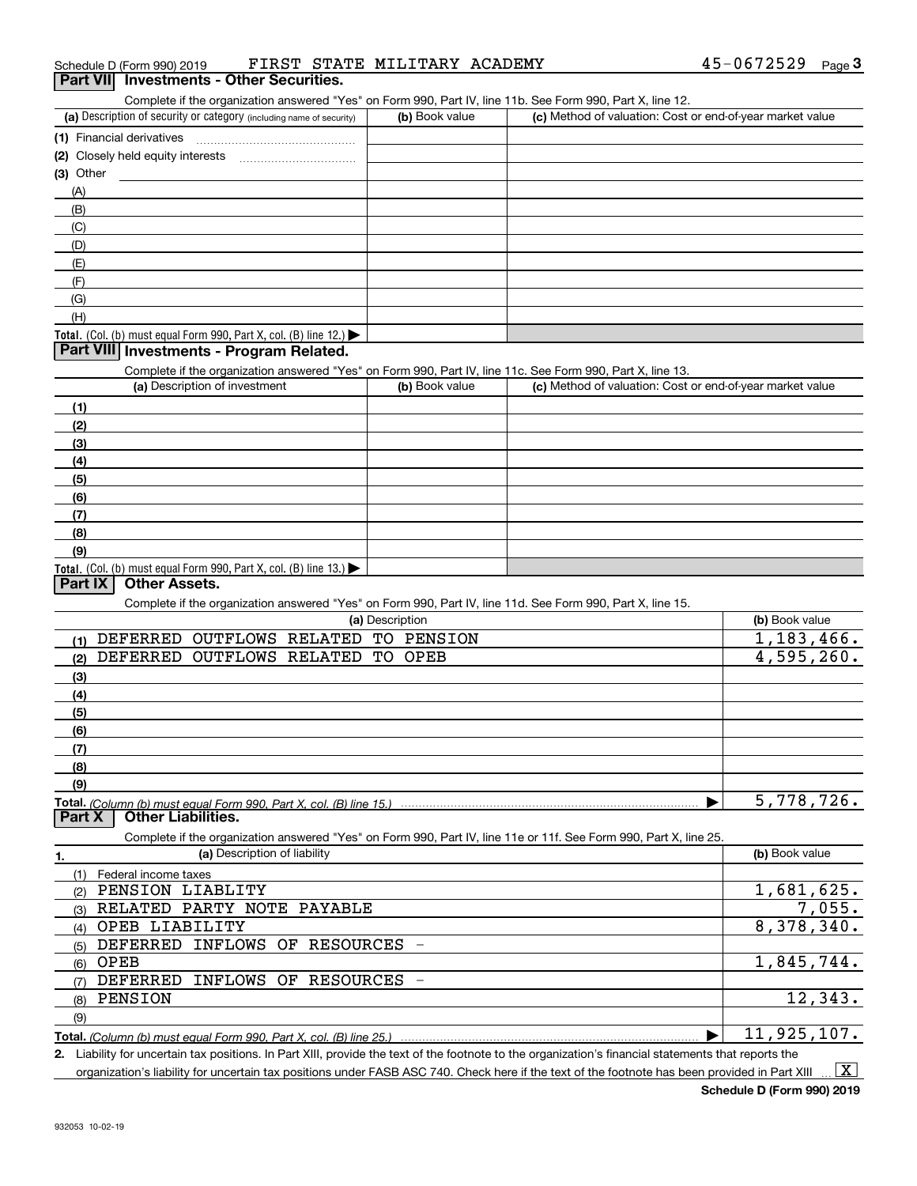| 45-0672529<br>FIRST STATE MILITARY ACADEMY<br>Schedule D (Form 990) 2019 |  | Page |
|--------------------------------------------------------------------------|--|------|
|--------------------------------------------------------------------------|--|------|

## **Part VII Investments - Other Securities.**

Complete if the organization answered "Yes" on Form 990, Part IV, line 11b. See Form 990, Part X, line 12.

| (a) Description of security or category (including name of security)       | (b) Book value | (c) Method of valuation: Cost or end-of-year market value |
|----------------------------------------------------------------------------|----------------|-----------------------------------------------------------|
| (1) Financial derivatives                                                  |                |                                                           |
| (2) Closely held equity interests                                          |                |                                                           |
| $(3)$ Other                                                                |                |                                                           |
| (A)                                                                        |                |                                                           |
| (B)                                                                        |                |                                                           |
| (C)                                                                        |                |                                                           |
| (D)                                                                        |                |                                                           |
| (E)                                                                        |                |                                                           |
| (F)                                                                        |                |                                                           |
| (G)                                                                        |                |                                                           |
| (H)                                                                        |                |                                                           |
| <b>Total.</b> (Col. (b) must equal Form 990, Part X, col. (B) line $12$ .) |                |                                                           |

#### **Part VIII Investments - Program Related.**

Complete if the organization answered "Yes" on Form 990, Part IV, line 11c. See Form 990, Part X, line 13.

| (a) Description of investment                                                                 | (b) Book value | (c) Method of valuation: Cost or end-of-year market value |
|-----------------------------------------------------------------------------------------------|----------------|-----------------------------------------------------------|
| (1)                                                                                           |                |                                                           |
| (2)                                                                                           |                |                                                           |
| (3)                                                                                           |                |                                                           |
| (4)                                                                                           |                |                                                           |
| $\frac{1}{2}$                                                                                 |                |                                                           |
| (6)                                                                                           |                |                                                           |
| (7)                                                                                           |                |                                                           |
| (8)                                                                                           |                |                                                           |
| (9)                                                                                           |                |                                                           |
| <b>Total.</b> (Col. (b) must equal Form 990, Part X, col. (B) line 13.) $\blacktriangleright$ |                |                                                           |

#### **Part IX Other Assets.**

Complete if the organization answered "Yes" on Form 990, Part IV, line 11d. See Form 990, Part X, line 15.

| (a) Description                                                                                                                                   | (b) Book value |
|---------------------------------------------------------------------------------------------------------------------------------------------------|----------------|
| TO.<br><b>DEFERRED</b><br><b>OUTFLOWS</b><br>RELATED<br>PENSION<br>(1)                                                                            | 1,183,466.     |
| <b>RELATED</b><br>DEFERRED<br>OUTFLOWS<br>OPEB<br>TО<br>(2)                                                                                       | 4,595,260.     |
| (3)                                                                                                                                               |                |
| (4)                                                                                                                                               |                |
| (5)                                                                                                                                               |                |
| (6)                                                                                                                                               |                |
| (7)                                                                                                                                               |                |
| (8)                                                                                                                                               |                |
| (9)                                                                                                                                               |                |
|                                                                                                                                                   | 5,778,726.     |
| <b>Other Liabilities.</b><br>Part X                                                                                                               |                |
| Complete if the organization answered "Yes" on Form 990, Part IV, line 11e or 11f. See Form 990, Part X, line 25.                                 |                |
| (a) Description of liability<br>1.                                                                                                                | (b) Book value |
| (1)<br>Federal income taxes                                                                                                                       |                |
| PENSION LIABLITY<br>(2)                                                                                                                           | 1,681,625.     |
| RELATED<br>PARTY NOTE<br>PAYABLE<br>(3)                                                                                                           | 7,055.         |
| OPEB LIABILITY<br>(4)                                                                                                                             | 8,378,340.     |
| <b>DEFERRED</b><br>OF<br>RESOURCES<br>INFLOWS<br>$\overline{\phantom{0}}$<br>(5)                                                                  |                |
| OPEB<br>(6)                                                                                                                                       | 1,845,744.     |
| <b>DEFERRED</b><br>INFLOWS<br>OF<br>RESOURCES -<br>(7)                                                                                            |                |
| PENSION<br>(8)                                                                                                                                    | 12,343.        |
| (9)                                                                                                                                               |                |
| Total. (Column (b) must equal Form 990, Part X, col. (B) line 25.) <i>manual communical contraction</i> contraction of                            | 11,925,107.    |
| 0. Liebility fer uno adoin tou nooitions, in Dort VIII, mroude the tout of the feature to the examination's financial atotomonte that reports the |                |

**2.**Liability for uncertain tax positions. In Part XIII, provide the text of the footnote to the organization's financial statements that reports the organization's liability for uncertain tax positions under FASB ASC 740. Check here if the text of the footnote has been provided in Part XIII  $\vert$  X  $\vert$ 

**Schedule D (Form 990) 2019**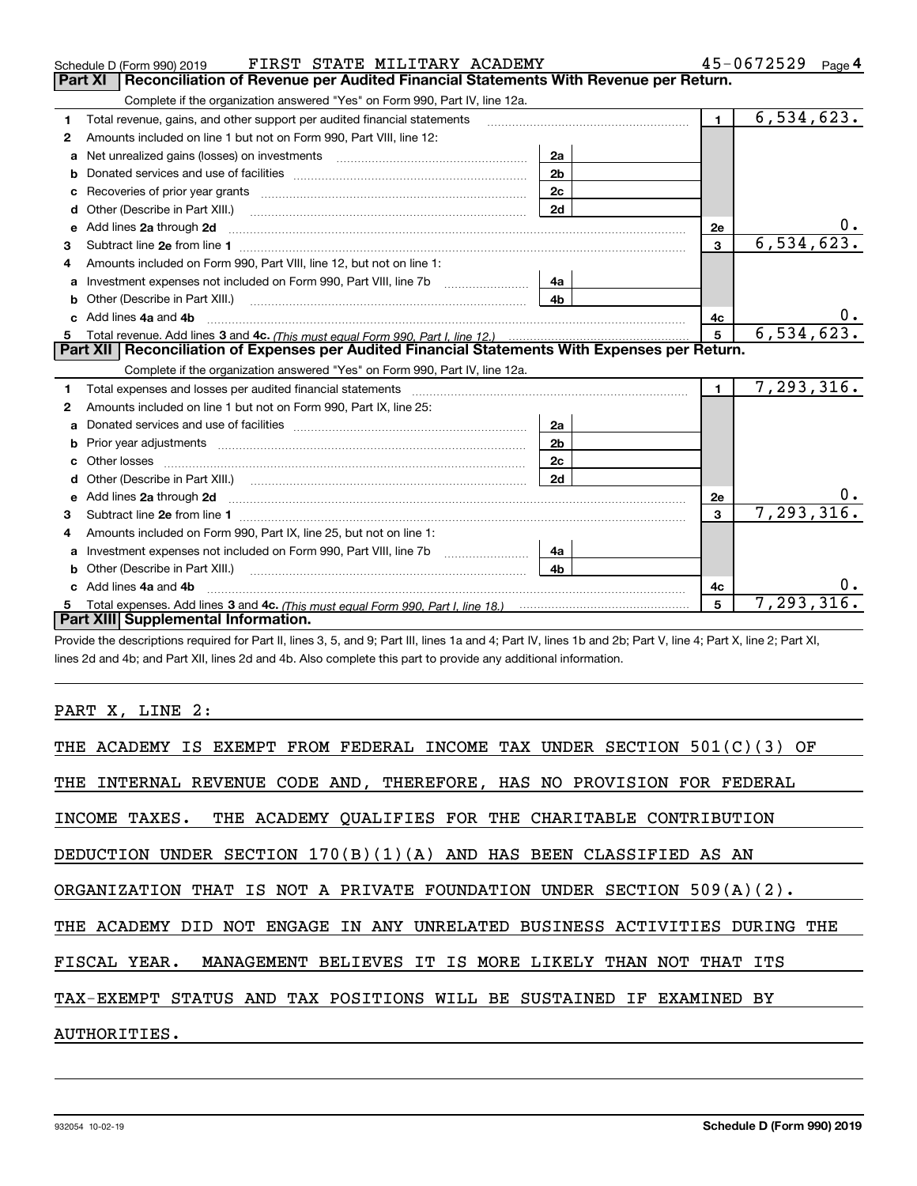|    | FIRST STATE MILITARY ACADEMY<br>Schedule D (Form 990) 2019                                                                                                                                                                          |                |                | 45-0672529<br>Page $4$ |
|----|-------------------------------------------------------------------------------------------------------------------------------------------------------------------------------------------------------------------------------------|----------------|----------------|------------------------|
|    | <b>Part XI</b><br>Reconciliation of Revenue per Audited Financial Statements With Revenue per Return.                                                                                                                               |                |                |                        |
|    | Complete if the organization answered "Yes" on Form 990, Part IV, line 12a.                                                                                                                                                         |                |                |                        |
| 1  | Total revenue, gains, and other support per audited financial statements                                                                                                                                                            |                | $\blacksquare$ | 6,534,623.             |
| 2  | Amounts included on line 1 but not on Form 990, Part VIII, line 12:                                                                                                                                                                 |                |                |                        |
| a  | Net unrealized gains (losses) on investments [11] matter contracts and the unrealized gains (losses) on investments                                                                                                                 | 2a             |                |                        |
|    |                                                                                                                                                                                                                                     | 2 <sub>b</sub> |                |                        |
|    | Recoveries of prior year grants [11] matter contracts and prior year grants [11] matter contracts and prior year grants and all the contracts and all the contracts and all the contracts and all the contracts of prior year.      | 2c             |                |                        |
| d  |                                                                                                                                                                                                                                     | 2d             |                |                        |
| e  | Add lines 2a through 2d                                                                                                                                                                                                             |                | <b>2e</b>      | 0.                     |
| 3  |                                                                                                                                                                                                                                     |                | $\overline{3}$ | 6,534,623.             |
| 4  | Amounts included on Form 990, Part VIII, line 12, but not on line 1:                                                                                                                                                                |                |                |                        |
|    |                                                                                                                                                                                                                                     | 4a             |                |                        |
| b  |                                                                                                                                                                                                                                     | 4 <sub>b</sub> |                |                        |
| c. | Add lines 4a and 4b                                                                                                                                                                                                                 |                | 4с             |                        |
|    |                                                                                                                                                                                                                                     |                | 5              | 6,534,623.             |
|    |                                                                                                                                                                                                                                     |                |                |                        |
|    | Part XII   Reconciliation of Expenses per Audited Financial Statements With Expenses per Return.                                                                                                                                    |                |                |                        |
|    | Complete if the organization answered "Yes" on Form 990, Part IV, line 12a.                                                                                                                                                         |                |                |                        |
| 1  | Total expenses and losses per audited financial statements [11] [11] Total expenses and losses per audited financial statements [11] [11] Total expenses and losses per audited financial statements                                |                | $\mathbf{1}$   | 7,293,316.             |
| 2  | Amounts included on line 1 but not on Form 990, Part IX, line 25:                                                                                                                                                                   |                |                |                        |
| a  |                                                                                                                                                                                                                                     | 2a             |                |                        |
|    |                                                                                                                                                                                                                                     | 2 <sub>b</sub> |                |                        |
| c  |                                                                                                                                                                                                                                     | 2c             |                |                        |
|    |                                                                                                                                                                                                                                     | 2d             |                |                        |
|    | Add lines 2a through 2d <b>must be a constructed as the constant of the S2a</b> through 2d must be a constructed as a construction of the set of the set of the set of the set of the set of the set of the set of the set of the s |                | 2e             |                        |
| 3  |                                                                                                                                                                                                                                     |                | 3              | 7, 293, 316.           |
| 4  | Amounts included on Form 990, Part IX, line 25, but not on line 1:                                                                                                                                                                  |                |                |                        |
|    |                                                                                                                                                                                                                                     | - 4а           |                |                        |
| b  | Other (Describe in Part XIII.)                                                                                                                                                                                                      | 4b.            |                |                        |
|    | Add lines 4a and 4b                                                                                                                                                                                                                 |                | 4с             |                        |
|    | Part XIII Supplemental Information.                                                                                                                                                                                                 |                | 5              | 7, 293, 316.           |

Provide the descriptions required for Part II, lines 3, 5, and 9; Part III, lines 1a and 4; Part IV, lines 1b and 2b; Part V, line 4; Part X, line 2; Part XI, lines 2d and 4b; and Part XII, lines 2d and 4b. Also complete this part to provide any additional information.

PART X, LINE 2:

| THE ACADEMY IS EXEMPT FROM FEDERAL INCOME TAX UNDER SECTION 501(C)(3) OF   |
|----------------------------------------------------------------------------|
| THE INTERNAL REVENUE CODE AND, THEREFORE, HAS NO PROVISION FOR FEDERAL     |
| INCOME TAXES. THE ACADEMY QUALIFIES FOR THE CHARITABLE CONTRIBUTION        |
| DEDUCTION UNDER SECTION 170(B)(1)(A) AND HAS BEEN CLASSIFIED AS AN         |
| ORGANIZATION THAT IS NOT A PRIVATE FOUNDATION UNDER SECTION $509(A)(2)$ .  |
| THE ACADEMY DID NOT ENGAGE IN ANY UNRELATED BUSINESS ACTIVITIES DURING THE |
| FISCAL YEAR. MANAGEMENT BELIEVES IT IS MORE LIKELY THAN NOT THAT ITS       |
| TAX-EXEMPT STATUS AND TAX POSITIONS WILL BE SUSTAINED IF EXAMINED BY       |
| AUTHORITIES.                                                               |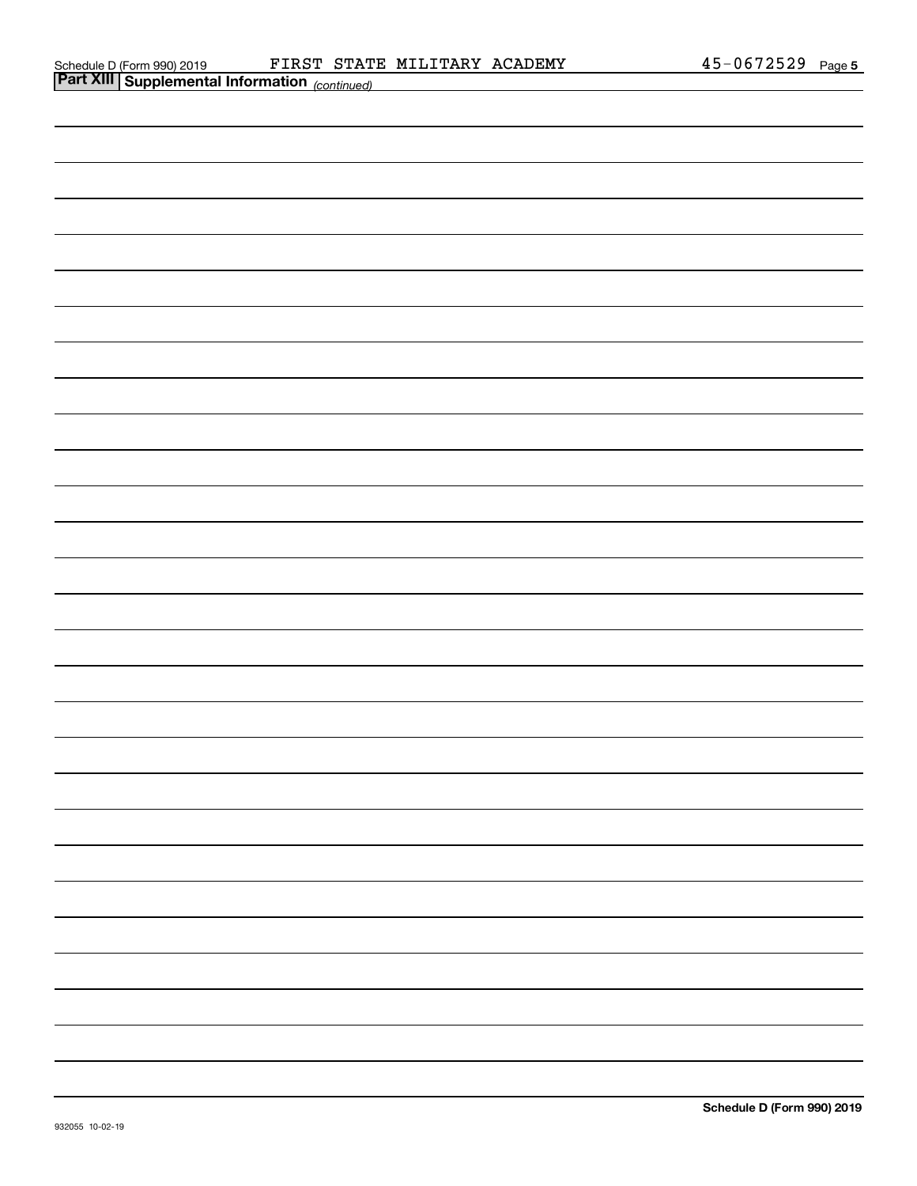| <b>Part XIII Supplemental Information</b> (continued) |
|-------------------------------------------------------|
|                                                       |
|                                                       |
|                                                       |
|                                                       |
|                                                       |
|                                                       |
|                                                       |
|                                                       |
|                                                       |
|                                                       |
|                                                       |
|                                                       |
|                                                       |
|                                                       |
|                                                       |
|                                                       |
|                                                       |
|                                                       |
|                                                       |
|                                                       |
|                                                       |
|                                                       |
|                                                       |
|                                                       |
|                                                       |
|                                                       |
|                                                       |
|                                                       |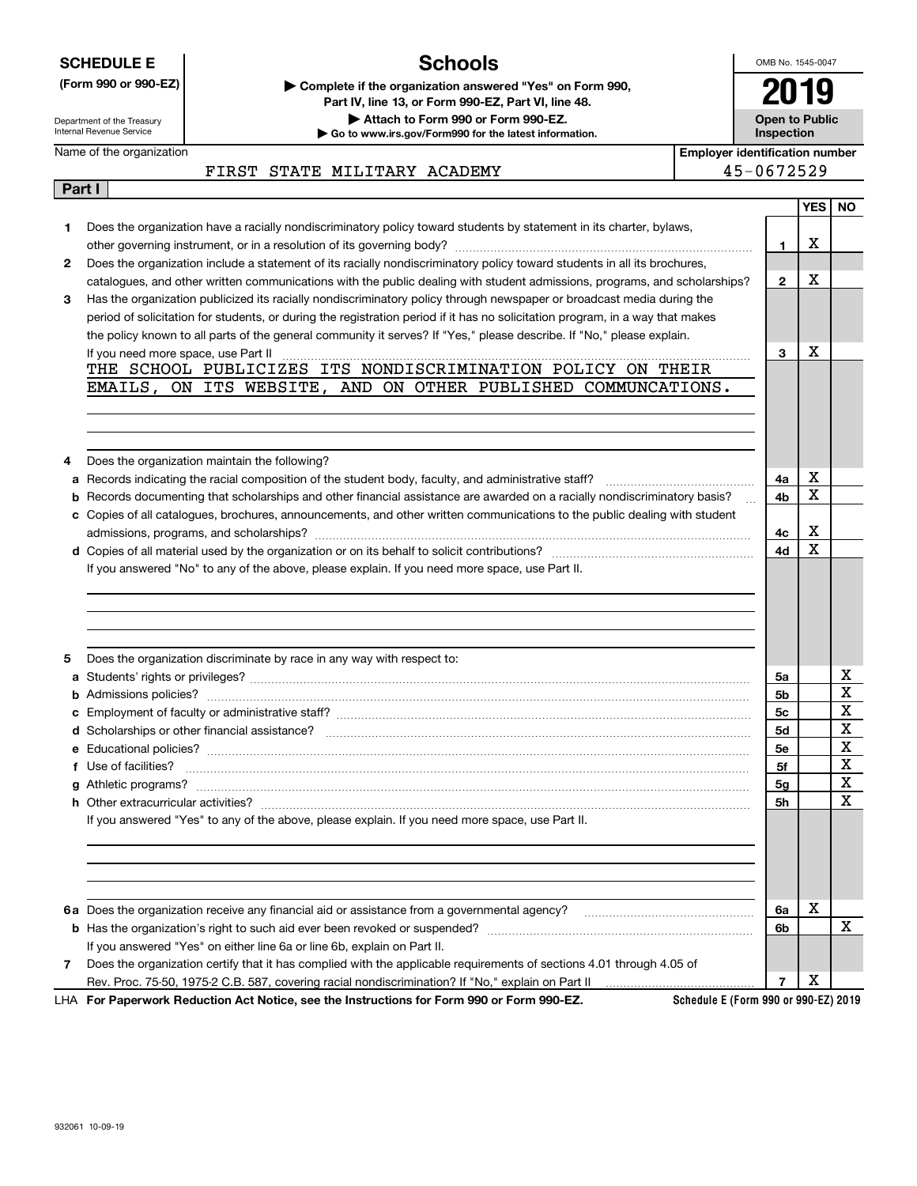|  |  |  |  | <b>SCHEDULE E</b> |  |
|--|--|--|--|-------------------|--|
|  |  |  |  |                   |  |

## **Schools**

OMB No. 1545-0047 **2019**

**Open to Public**

Department of the Treasury Internal Revenue Service

**(Form 990 or 990-EZ) | Complete if the organization answered "Yes" on Form 990, Part IV, line 13, or Form 990-EZ, Part VI, line 48. | Attach to Form 990 or Form 990-EZ.**

**| Go to www.irs.gov/Form990 for the latest information.**

**Inspection**

| ivanie or the organizatio |  |  |
|---------------------------|--|--|
|                           |  |  |

|        | Name of the organization                                                                                                      | <b>Employer identification number</b> |              |     |     |
|--------|-------------------------------------------------------------------------------------------------------------------------------|---------------------------------------|--------------|-----|-----|
|        | FIRST STATE MILITARY ACADEMY                                                                                                  | 45-0672529                            |              |     |     |
| Part I |                                                                                                                               |                                       |              |     |     |
|        |                                                                                                                               |                                       |              | YES | NO. |
| 1.     | Does the organization have a racially nondiscriminatory policy toward students by statement in its charter, bylaws,           |                                       |              |     |     |
|        |                                                                                                                               |                                       | 1            | Х   |     |
| 2      | Does the organization include a statement of its racially nondiscriminatory policy toward students in all its brochures,      |                                       |              |     |     |
|        | catalogues, and other written communications with the public dealing with student admissions, programs, and scholarships?     |                                       | $\mathbf{2}$ | X   |     |
| 3      | Has the organization publicized its racially nondiscriminatory policy through newspaper or broadcast media during the         |                                       |              |     |     |
|        | period of solicitation for students, or during the registration period if it has no solicitation program, in a way that makes |                                       |              |     |     |
|        | the policy known to all parts of the general community it serves? If "Yes," please describe. If "No," please explain.         |                                       |              |     |     |
|        | If you need more space, use Part II                                                                                           |                                       | 3            | X   |     |
|        | THE SCHOOL PUBLICIZES ITS NONDISCRIMINATION POLICY ON THEIR                                                                   |                                       |              |     |     |
|        | EMAILS, ON ITS WEBSITE, AND ON OTHER PUBLISHED COMMUNCATIONS.                                                                 |                                       |              |     |     |
|        |                                                                                                                               |                                       |              |     |     |
|        |                                                                                                                               |                                       |              |     |     |
|        |                                                                                                                               |                                       |              |     |     |
| 4      | Does the organization maintain the following?                                                                                 |                                       |              |     |     |
| а      |                                                                                                                               |                                       | 4a           | X   |     |
| b      | Records documenting that scholarships and other financial assistance are awarded on a racially nondiscriminatory basis?       |                                       | 4b           | X   |     |
|        | c Copies of all catalogues, brochures, announcements, and other written communications to the public dealing with student     |                                       |              |     |     |
|        |                                                                                                                               |                                       | 4с           | X   |     |
|        |                                                                                                                               |                                       | 4d           | X   |     |
|        | If you answered "No" to any of the above, please explain. If you need more space, use Part II.                                |                                       |              |     |     |
|        |                                                                                                                               |                                       |              |     |     |
|        |                                                                                                                               |                                       |              |     |     |
|        |                                                                                                                               |                                       |              |     |     |
|        |                                                                                                                               |                                       |              |     |     |
| 5      | Does the organization discriminate by race in any way with respect to:                                                        |                                       |              |     |     |
| а      |                                                                                                                               |                                       | 5a           |     | х   |
|        |                                                                                                                               |                                       | 5b           |     | X   |
|        |                                                                                                                               |                                       | 5c           |     | X   |
|        |                                                                                                                               |                                       | <b>5d</b>    |     | X   |
|        |                                                                                                                               |                                       | 5е           |     | X   |
|        | f Use of facilities?                                                                                                          |                                       | 5f           |     | X   |
|        |                                                                                                                               |                                       | 5g           |     | х   |
|        |                                                                                                                               |                                       | 5h           |     | X   |
|        | If you answered "Yes" to any of the above, please explain. If you need more space, use Part II.                               |                                       |              |     |     |
|        |                                                                                                                               |                                       |              |     |     |
|        |                                                                                                                               |                                       |              |     |     |
|        |                                                                                                                               |                                       |              |     |     |
|        |                                                                                                                               |                                       |              |     |     |
|        | 6a Does the organization receive any financial aid or assistance from a governmental agency?                                  |                                       | 6a           | х   |     |
|        |                                                                                                                               |                                       | 6b           |     | x   |
|        | If you answered "Yes" on either line 6a or line 6b, explain on Part II.                                                       |                                       |              |     |     |

**For Paperwork Reduction Act Notice, see the Instructions for Form 990 or Form 990-EZ.** LHA

Rev. Proc. 75-50, 1975-2 C.B. 587, covering racial nondiscrimination? If "No," explain on Part II

Does the organization certify that it has complied with the applicable requirements of sections 4.01 through 4.05 of

**Schedule E (Form 990 or 990-EZ) 2019**

**7**

X

**7**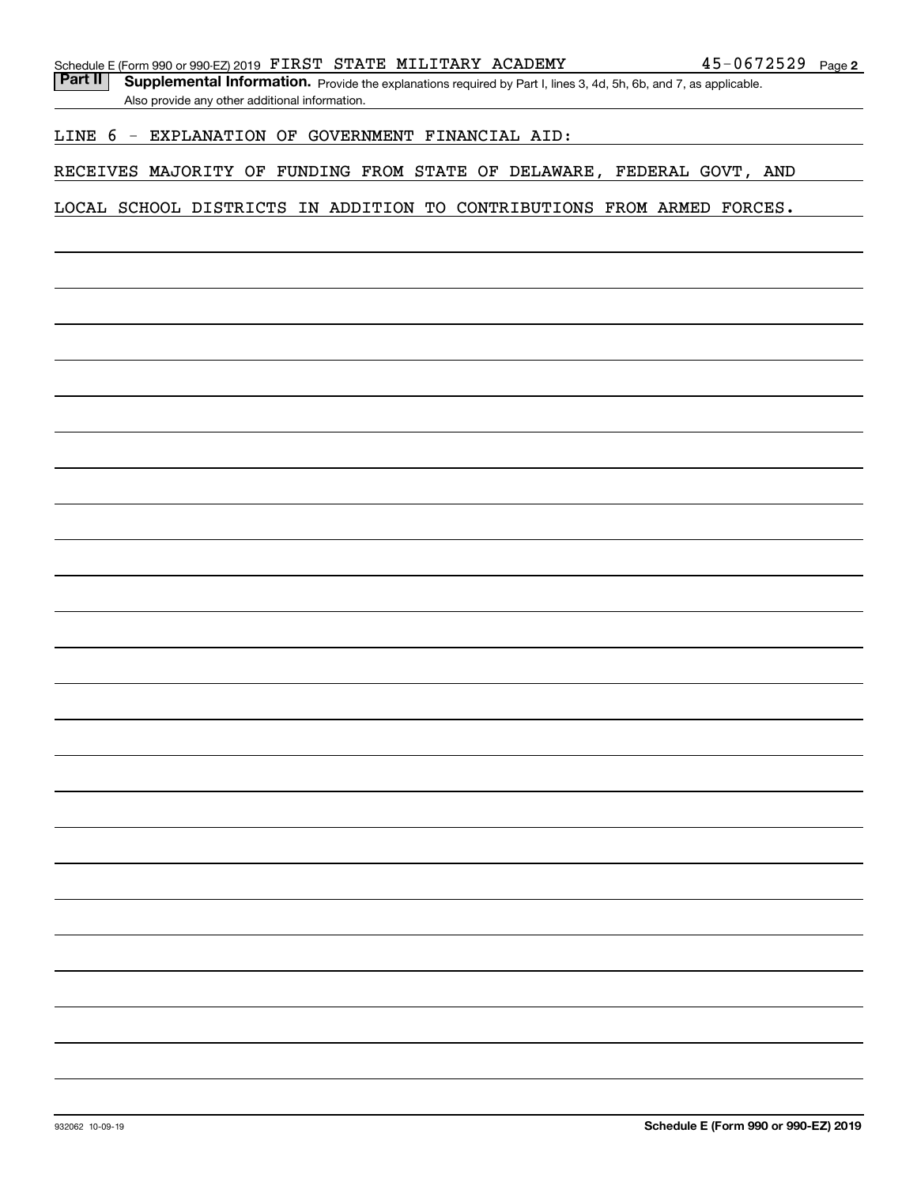Part II | Supplemental Information. Provide the explanations required by Part I, lines 3, 4d, 5h, 6b, and 7, as applicable. Also provide any other additional information.

## LINE 6 - EXPLANATION OF GOVERNMENT FINANCIAL AID:

RECEIVES MAJORITY OF FUNDING FROM STATE OF DELAWARE, FEDERAL GOVT, AND

LOCAL SCHOOL DISTRICTS IN ADDITION TO CONTRIBUTIONS FROM ARMED FORCES.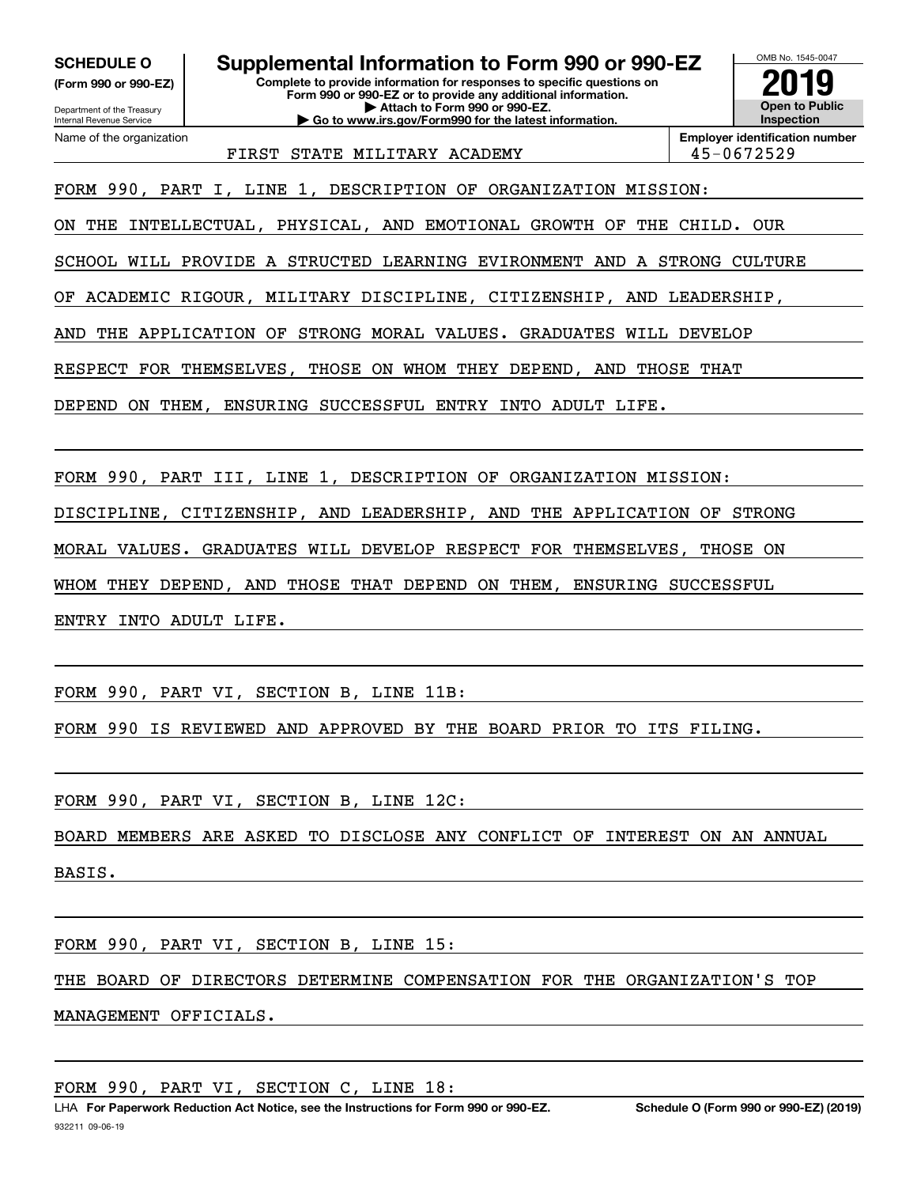**(Form 990 or 990-EZ)**

Department of the Treasury Internal Revenue Service Name of the organization

## **SCHEDULE O Supplemental Information to Form 990 or 990-EZ**

**Complete to provide information for responses to specific questions on Form 990 or 990-EZ or to provide any additional information. | Attach to Form 990 or 990-EZ. | Go to www.irs.gov/Form990 for the latest information.**



FIRST STATE MILITARY ACADEMY 45-0672529

FORM 990, PART I, LINE 1, DESCRIPTION OF ORGANIZATION MISSION:

ON THE INTELLECTUAL, PHYSICAL, AND EMOTIONAL GROWTH OF THE CHILD. OUR

SCHOOL WILL PROVIDE A STRUCTED LEARNING EVIRONMENT AND A STRONG CULTURE

OF ACADEMIC RIGOUR, MILITARY DISCIPLINE, CITIZENSHIP, AND LEADERSHIP,

AND THE APPLICATION OF STRONG MORAL VALUES. GRADUATES WILL DEVELOP

RESPECT FOR THEMSELVES, THOSE ON WHOM THEY DEPEND, AND THOSE THAT

DEPEND ON THEM, ENSURING SUCCESSFUL ENTRY INTO ADULT LIFE.

FORM 990, PART III, LINE 1, DESCRIPTION OF ORGANIZATION MISSION:

DISCIPLINE, CITIZENSHIP, AND LEADERSHIP, AND THE APPLICATION OF STRONG

MORAL VALUES. GRADUATES WILL DEVELOP RESPECT FOR THEMSELVES, THOSE ON

WHOM THEY DEPEND, AND THOSE THAT DEPEND ON THEM, ENSURING SUCCESSFUL

ENTRY INTO ADULT LIFE.

FORM 990, PART VI, SECTION B, LINE 11B:

FORM 990 IS REVIEWED AND APPROVED BY THE BOARD PRIOR TO ITS FILING.

FORM 990, PART VI, SECTION B, LINE 12C:

BOARD MEMBERS ARE ASKED TO DISCLOSE ANY CONFLICT OF INTEREST ON AN ANNUAL BASIS.

FORM 990, PART VI, SECTION B, LINE 15:

THE BOARD OF DIRECTORS DETERMINE COMPENSATION FOR THE ORGANIZATION'S TOP

MANAGEMENT OFFICIALS.

FORM 990, PART VI, SECTION C, LINE 18: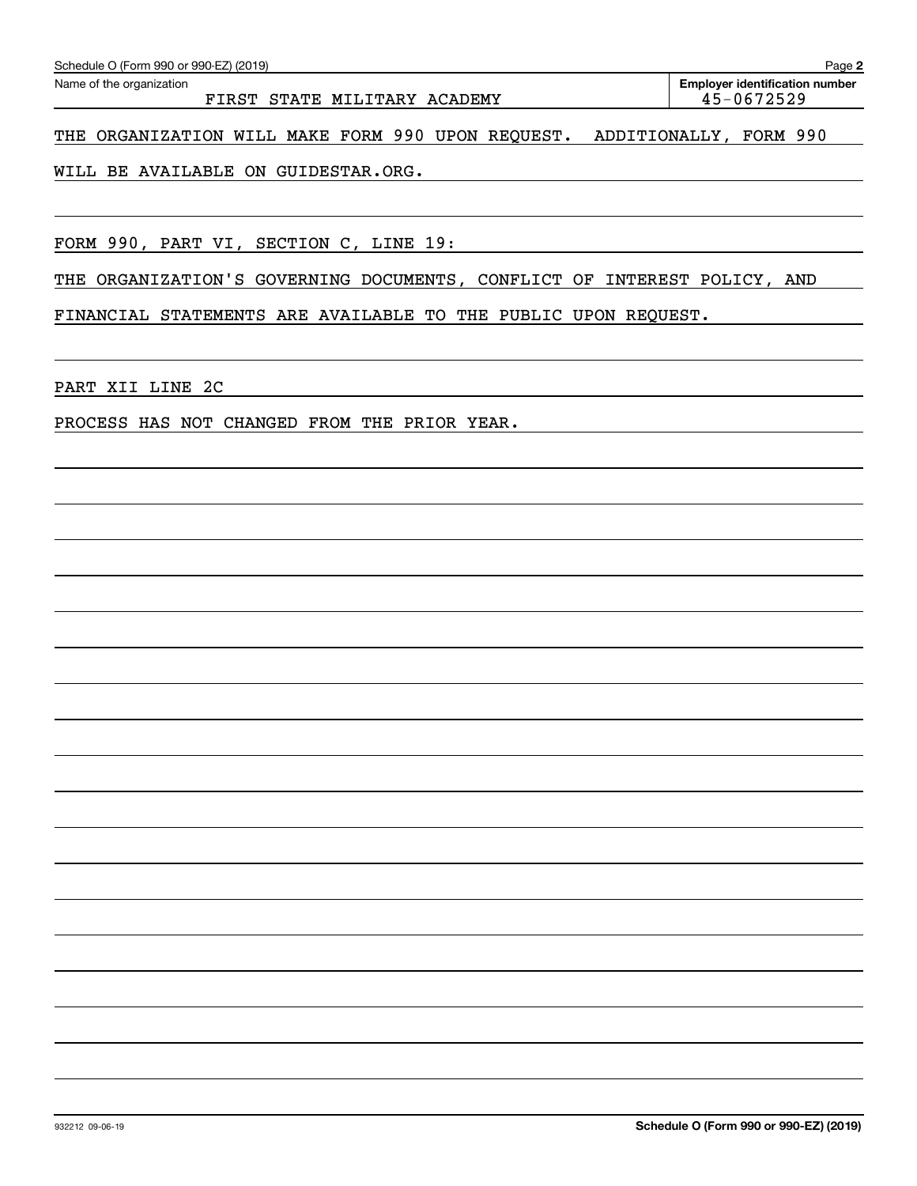| Schedule O (Form 990 or 990-EZ) (2019) | Page                                  |            |  |
|----------------------------------------|---------------------------------------|------------|--|
| Name of the organization               | <b>Employer identification number</b> |            |  |
| FIRST STATE MILITARY ACADEMY           |                                       | 45-0672529 |  |
|                                        |                                       |            |  |

THE ORGANIZATION WILL MAKE FORM 990 UPON REQUEST. ADDITIONALLY, FORM 990

WILL BE AVAILABLE ON GUIDESTAR.ORG.

FORM 990, PART VI, SECTION C, LINE 19:

THE ORGANIZATION'S GOVERNING DOCUMENTS, CONFLICT OF INTEREST POLICY, AND

FINANCIAL STATEMENTS ARE AVAILABLE TO THE PUBLIC UPON REQUEST.

PART XII LINE 2C

PROCESS HAS NOT CHANGED FROM THE PRIOR YEAR.

**2**